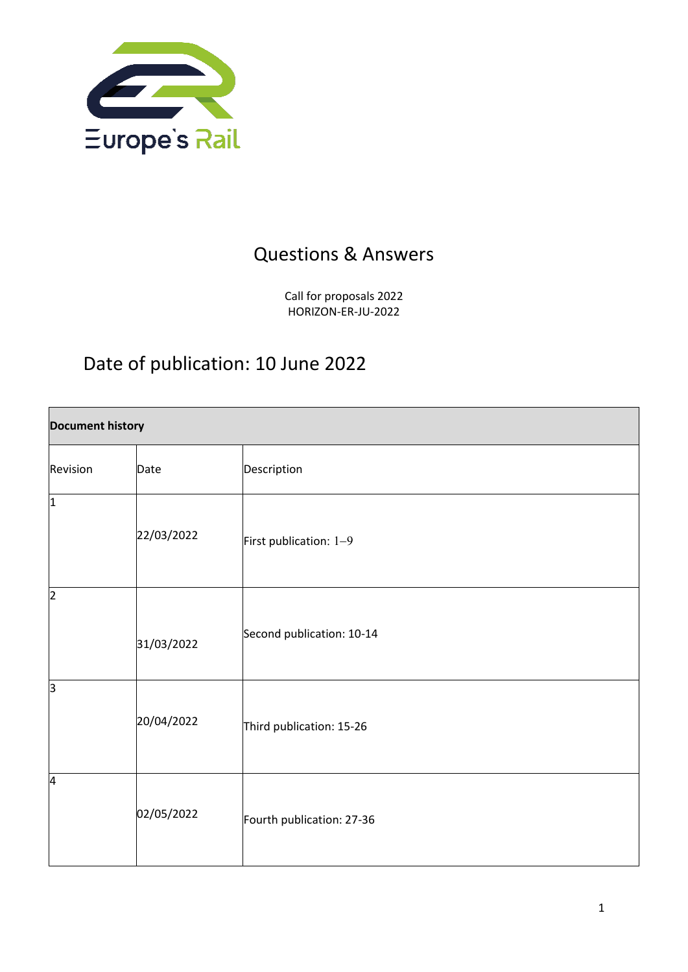

## Questions & Answers

Call for proposals 2022 HORIZON-ER-JU-2022

# Date of publication: 10 June 2022

| <b>Document history</b> |            |                           |
|-------------------------|------------|---------------------------|
| Revision                | Date       | Description               |
| $\overline{1}$          | 22/03/2022 | First publication: 1-9    |
| $\overline{2}$          | 31/03/2022 | Second publication: 10-14 |
| з                       | 20/04/2022 | Third publication: 15-26  |
| 4                       | 02/05/2022 | Fourth publication: 27-36 |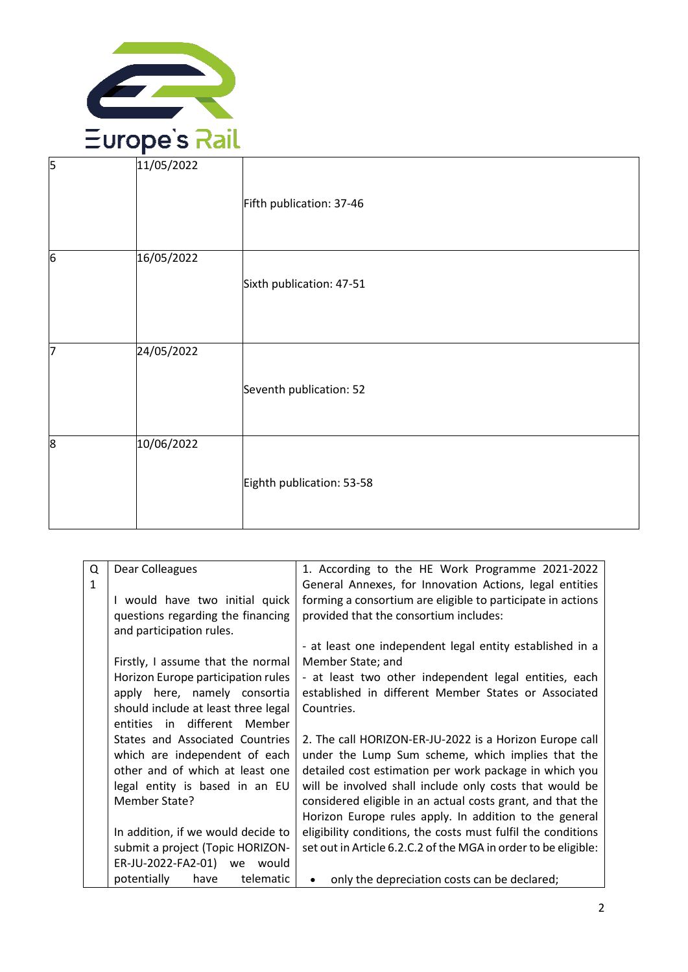

| 5                | 11/05/2022 | Fifth publication: 37-46  |
|------------------|------------|---------------------------|
| $6\phantom{a}$   | 16/05/2022 | Sixth publication: 47-51  |
| 7                | 24/05/2022 | Seventh publication: 52   |
| $\boldsymbol{8}$ | 10/06/2022 | Eighth publication: 53-58 |

| Q<br>$\mathbf{1}$ | Dear Colleagues                                               | 1. According to the HE Work Programme 2021-2022<br>General Annexes, for Innovation Actions, legal entities |
|-------------------|---------------------------------------------------------------|------------------------------------------------------------------------------------------------------------|
|                   | I would have two initial quick                                | forming a consortium are eligible to participate in actions                                                |
|                   | questions regarding the financing<br>and participation rules. | provided that the consortium includes:                                                                     |
|                   |                                                               | - at least one independent legal entity established in a                                                   |
|                   | Firstly, I assume that the normal                             | Member State; and                                                                                          |
|                   | Horizon Europe participation rules                            | - at least two other independent legal entities, each                                                      |
|                   | apply here, namely consortia                                  | established in different Member States or Associated                                                       |
|                   | should include at least three legal                           | Countries.                                                                                                 |
|                   | entities in different Member                                  |                                                                                                            |
|                   | States and Associated Countries                               | 2. The call HORIZON-ER-JU-2022 is a Horizon Europe call                                                    |
|                   | which are independent of each                                 | under the Lump Sum scheme, which implies that the                                                          |
|                   | other and of which at least one                               | detailed cost estimation per work package in which you                                                     |
|                   | legal entity is based in an EU                                | will be involved shall include only costs that would be                                                    |
|                   | Member State?                                                 | considered eligible in an actual costs grant, and that the                                                 |
|                   |                                                               | Horizon Europe rules apply. In addition to the general                                                     |
|                   | In addition, if we would decide to                            | eligibility conditions, the costs must fulfil the conditions                                               |
|                   | submit a project (Topic HORIZON-                              | set out in Article 6.2.C.2 of the MGA in order to be eligible:                                             |
|                   | ER-JU-2022-FA2-01) we would                                   |                                                                                                            |
|                   | potentially<br>telematic<br>have                              | only the depreciation costs can be declared;<br>$\bullet$                                                  |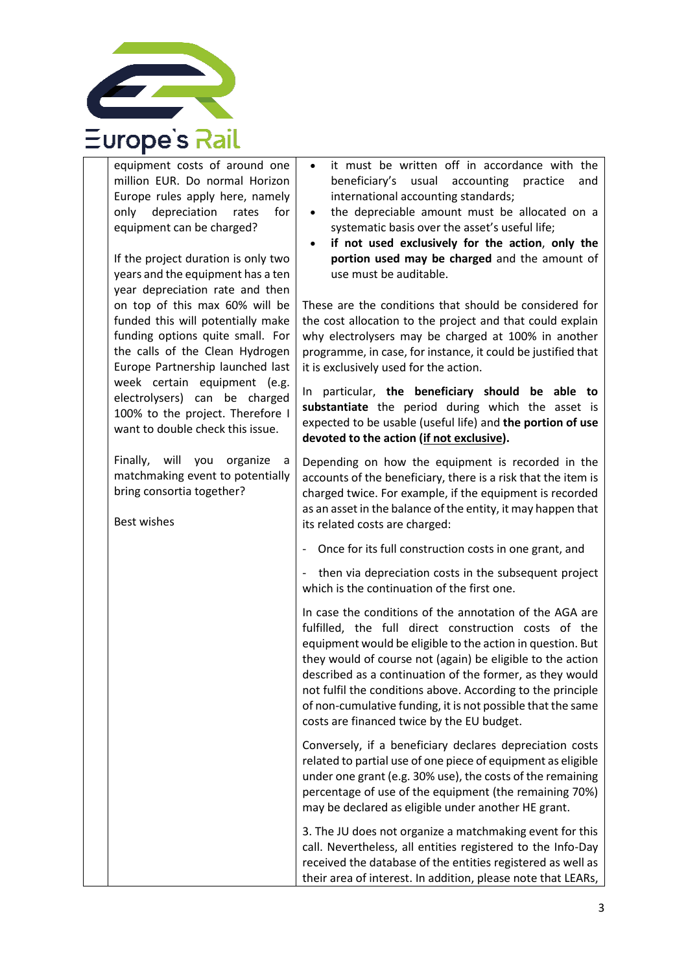

equipment costs of around one million EUR. Do normal Horizon Europe rules apply here, namely only depreciation rates for equipment can be charged? If the project duration is only two years and the equipment has a ten year depreciation rate and then on top of this max 60% will be funded this will potentially make funding options quite small. For the calls of the Clean Hydrogen Europe Partnership launched last week certain equipment (e.g. electrolysers) can be charged 100% to the project. Therefore I want to double check this issue. Finally, will you organize a matchmaking event to potentially bring consortia together? Best wishes it must be written off in accordance with the beneficiary's usual accounting practice and international accounting standards; • the depreciable amount must be allocated on a systematic basis over the asset's useful life; • **if not used exclusively for the action**, **only the portion used may be charged** and the amount of use must be auditable. These are the conditions that should be considered for the cost allocation to the project and that could explain why electrolysers may be charged at 100% in another programme, in case, for instance, it could be justified that it is exclusively used for the action. In particular, **the beneficiary should be able to substantiate** the period during which the asset is expected to be usable (useful life) and **the portion of use devoted to the action (if not exclusive).** Depending on how the equipment is recorded in the accounts of the beneficiary, there is a risk that the item is charged twice. For example, if the equipment is recorded as an asset in the balance of the entity, it may happen that its related costs are charged: Once for its full construction costs in one grant, and then via depreciation costs in the subsequent project which is the continuation of the first one. In case the conditions of the annotation of the AGA are fulfilled, the full direct construction costs of the equipment would be eligible to the action in question. But they would of course not (again) be eligible to the action described as a continuation of the former, as they would not fulfil the conditions above. According to the principle of non-cumulative funding, it is not possible that the same costs are financed twice by the EU budget. Conversely, if a beneficiary declares depreciation costs related to partial use of one piece of equipment as eligible under one grant (e.g. 30% use), the costs of the remaining percentage of use of the equipment (the remaining 70%) may be declared as eligible under another HE grant. 3. The JU does not organize a matchmaking event for this call. Nevertheless, all entities registered to the Info-Day received the database of the entities registered as well as their area of interest. In addition, please note that LEARs,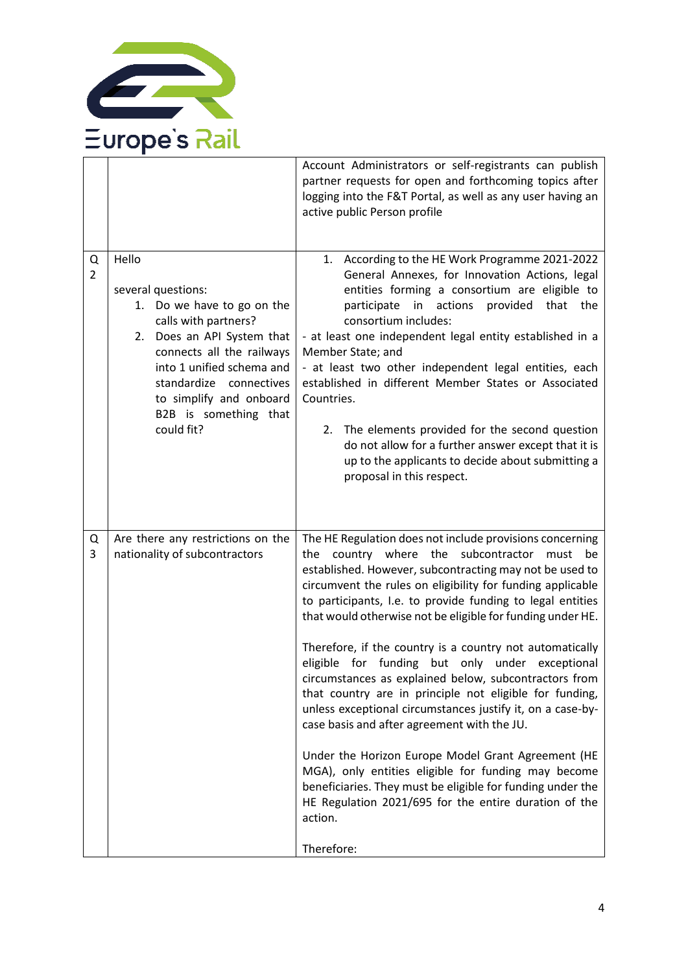

|                     |                                                                                                                                                                                                                                                                           | Account Administrators or self-registrants can publish<br>partner requests for open and forthcoming topics after<br>logging into the F&T Portal, as well as any user having an<br>active public Person profile                                                                                                                                                                                                                                                                                                                                                                                                                                                                                                                                                                                                                                                                                                                                                                  |
|---------------------|---------------------------------------------------------------------------------------------------------------------------------------------------------------------------------------------------------------------------------------------------------------------------|---------------------------------------------------------------------------------------------------------------------------------------------------------------------------------------------------------------------------------------------------------------------------------------------------------------------------------------------------------------------------------------------------------------------------------------------------------------------------------------------------------------------------------------------------------------------------------------------------------------------------------------------------------------------------------------------------------------------------------------------------------------------------------------------------------------------------------------------------------------------------------------------------------------------------------------------------------------------------------|
| Q<br>$\overline{2}$ | Hello<br>several questions:<br>Do we have to go on the<br>1.<br>calls with partners?<br>2. Does an API System that<br>connects all the railways<br>into 1 unified schema and<br>standardize connectives<br>to simplify and onboard<br>B2B is something that<br>could fit? | 1. According to the HE Work Programme 2021-2022<br>General Annexes, for Innovation Actions, legal<br>entities forming a consortium are eligible to<br>in actions<br>participate<br>provided<br>that the<br>consortium includes:<br>- at least one independent legal entity established in a<br>Member State; and<br>- at least two other independent legal entities, each<br>established in different Member States or Associated<br>Countries.<br>2. The elements provided for the second question<br>do not allow for a further answer except that it is<br>up to the applicants to decide about submitting a<br>proposal in this respect.                                                                                                                                                                                                                                                                                                                                    |
| Q<br>3              | Are there any restrictions on the<br>nationality of subcontractors                                                                                                                                                                                                        | The HE Regulation does not include provisions concerning<br>country where the subcontractor must<br>be<br>the<br>established. However, subcontracting may not be used to<br>circumvent the rules on eligibility for funding applicable<br>to participants, I.e. to provide funding to legal entities<br>that would otherwise not be eligible for funding under HE.<br>Therefore, if the country is a country not automatically<br>eligible for funding but only under exceptional<br>circumstances as explained below, subcontractors from<br>that country are in principle not eligible for funding,<br>unless exceptional circumstances justify it, on a case-by-<br>case basis and after agreement with the JU.<br>Under the Horizon Europe Model Grant Agreement (HE<br>MGA), only entities eligible for funding may become<br>beneficiaries. They must be eligible for funding under the<br>HE Regulation 2021/695 for the entire duration of the<br>action.<br>Therefore: |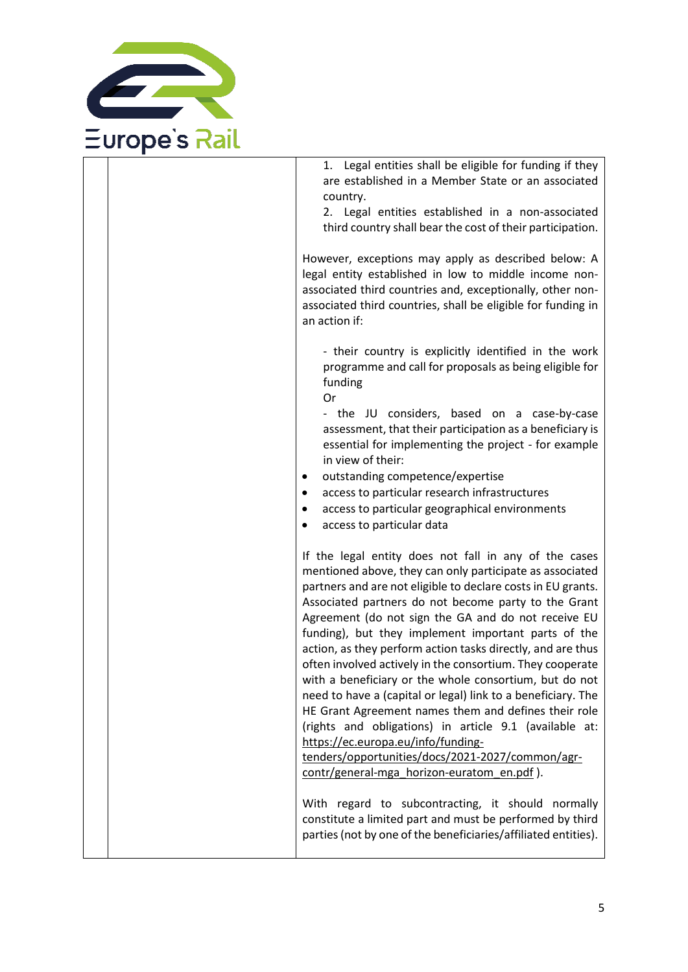

1. Legal entities shall be eligible for funding if they are established in a Member State or an associated country.

2. Legal entities established in a non-associated third country shall bear the cost of their participation.

However, exceptions may apply as described below: A legal entity established in low to middle income nonassociated third countries and, exceptionally, other nonassociated third countries, shall be eligible for funding in an action if:

- their country is explicitly identified in the work programme and call for proposals as being eligible for funding

Or

- the JU considers, based on a case-by-case assessment, that their participation as a beneficiary is essential for implementing the project - for example in view of their:

- outstanding competence/expertise
- access to particular research infrastructures
- access to particular geographical environments
- access to particular data

If the legal entity does not fall in any of the cases mentioned above, they can only participate as associated partners and are not eligible to declare costs in EU grants. Associated partners do not become party to the Grant Agreement (do not sign the GA and do not receive EU funding), but they implement important parts of the action, as they perform action tasks directly, and are thus often involved actively in the consortium. They cooperate with a beneficiary or the whole consortium, but do not need to have a (capital or legal) link to a beneficiary. The HE Grant Agreement names them and defines their role (rights and obligations) in article 9.1 (available at: [https://ec.europa.eu/info/funding-](https://ec.europa.eu/info/funding-tenders/opportunities/docs/2021-2027/common/agr-contr/general-mga_horizon-euratom_en.pdf)

[tenders/opportunities/docs/2021-2027/common/agr](https://ec.europa.eu/info/funding-tenders/opportunities/docs/2021-2027/common/agr-contr/general-mga_horizon-euratom_en.pdf)[contr/general-mga\\_horizon-euratom\\_en.pdf](https://ec.europa.eu/info/funding-tenders/opportunities/docs/2021-2027/common/agr-contr/general-mga_horizon-euratom_en.pdf) ).

With regard to subcontracting, it should normally constitute a limited part and must be performed by third parties (not by one of the beneficiaries/affiliated entities).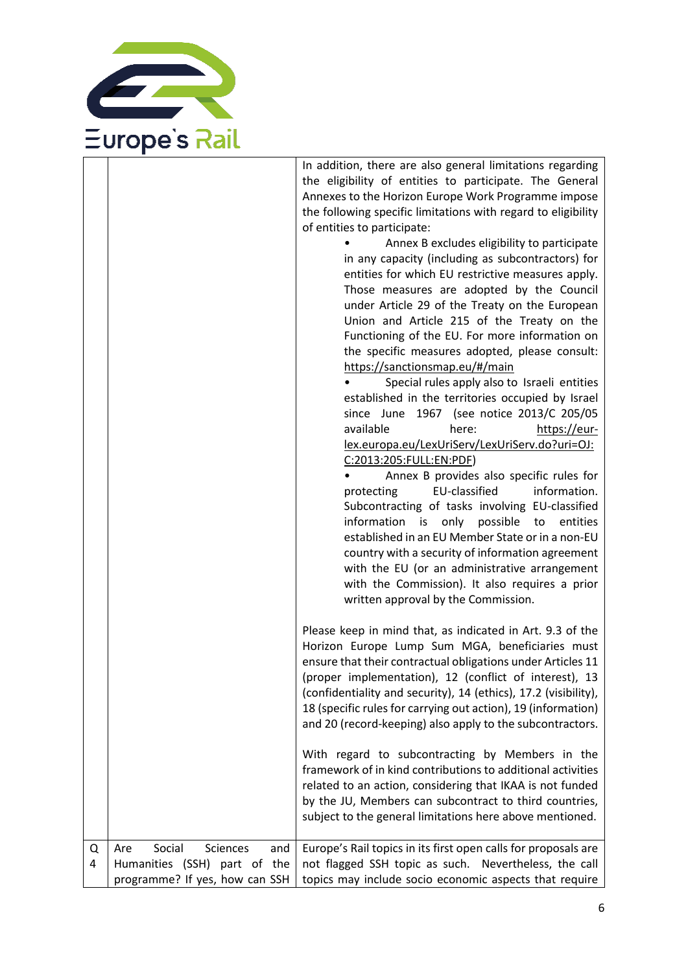

In addition, there are also general limitations regarding the eligibility of entities to participate. The General Annexes to the Horizon Europe Work Programme impose the following specific limitations with regard to eligibility of entities to participate:

| Annex B excludes eligibility to participate       |
|---------------------------------------------------|
| in any capacity (including as subcontractors) for |
| entities for which EU restrictive measures apply. |
| Those measures are adopted by the Council         |
| under Article 29 of the Treaty on the European    |
| Union and Article 215 of the Treaty on the        |
| Functioning of the EU. For more information on    |
| the specific measures adopted, please consult:    |
| https://sanctionsmap.eu/#/main                    |
| Special rules apply also to Israeli entities      |
| established in the territories occupied by Israel |
| since June 1967 (see notice 2013/C 205/05         |
| here:<br>available<br>https://eur-                |
| lex.europa.eu/LexUriServ/LexUriServ.do?uri=OJ:    |
| C:2013:205:FULL:EN:PDF)                           |
|                                                   |

| Annex B provides also specific rules for<br>$\bullet$ $\bullet$ |                                                 |  |  |
|-----------------------------------------------------------------|-------------------------------------------------|--|--|
|                                                                 | protecting EU-classified information.           |  |  |
|                                                                 | Subcontracting of tasks involving EU-classified |  |  |
|                                                                 | information is only possible to entities        |  |  |
| established in an EU Member State or in a non-EU                |                                                 |  |  |
| country with a security of information agreement                |                                                 |  |  |
| with the EU (or an administrative arrangement                   |                                                 |  |  |
| with the Commission). It also requires a prior                  |                                                 |  |  |
| written approval by the Commission.                             |                                                 |  |  |

Please keep in mind that, as indicated in Art. 9.3 of the Horizon Europe Lump Sum MGA, beneficiaries must ensure that their contractual obligations under Articles 11 (proper implementation), 12 (conflict of interest), 13 (confidentiality and security), 14 (ethics), 17.2 (visibility), 18 (specific rules for carrying out action), 19 (information) and 20 (record-keeping) also apply to the subcontractors.

With regard to subcontracting by Members in the framework of in kind contributions to additional activities related to an action, considering that IKAA is not funded by the JU, Members can subcontract to third countries, subject to the general limitations here above mentioned.

| Sciences<br>Social<br>Q   Are | and   Europe's Rail topics in its first open calls for proposals are                                |
|-------------------------------|-----------------------------------------------------------------------------------------------------|
|                               | 4   Humanities (SSH) part of the   not flagged SSH topic as such. Nevertheless, the call            |
|                               | $\mid$ programme? If yes, how can SSH $\mid$ topics may include socio economic aspects that require |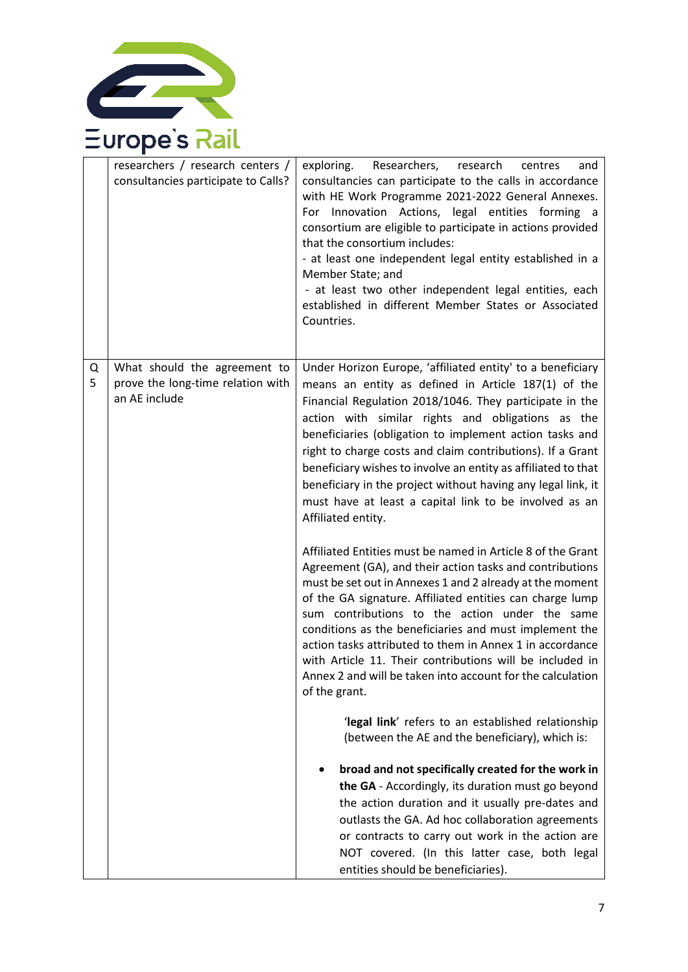

|        | researchers / research centers /<br>consultancies participate to Calls?            | Researchers,<br>exploring.<br>research<br>centres<br>and<br>consultancies can participate to the calls in accordance<br>with HE Work Programme 2021-2022 General Annexes.<br>For Innovation Actions, legal entities forming a<br>consortium are eligible to participate in actions provided<br>that the consortium includes:<br>- at least one independent legal entity established in a<br>Member State; and<br>- at least two other independent legal entities, each<br>established in different Member States or Associated<br>Countries.                                |
|--------|------------------------------------------------------------------------------------|-----------------------------------------------------------------------------------------------------------------------------------------------------------------------------------------------------------------------------------------------------------------------------------------------------------------------------------------------------------------------------------------------------------------------------------------------------------------------------------------------------------------------------------------------------------------------------|
| Q<br>5 | What should the agreement to<br>prove the long-time relation with<br>an AE include | Under Horizon Europe, 'affiliated entity' to a beneficiary<br>means an entity as defined in Article 187(1) of the<br>Financial Regulation 2018/1046. They participate in the<br>action with similar rights and obligations as the<br>beneficiaries (obligation to implement action tasks and<br>right to charge costs and claim contributions). If a Grant<br>beneficiary wishes to involve an entity as affiliated to that<br>beneficiary in the project without having any legal link, it<br>must have at least a capital link to be involved as an<br>Affiliated entity. |
|        |                                                                                    | Affiliated Entities must be named in Article 8 of the Grant<br>Agreement (GA), and their action tasks and contributions<br>must be set out in Annexes 1 and 2 already at the moment<br>of the GA signature. Affiliated entities can charge lump<br>sum contributions to the action under the same<br>conditions as the beneficiaries and must implement the<br>action tasks attributed to them in Annex 1 in accordance<br>with Article 11. Their contributions will be included in<br>Annex 2 and will be taken into account for the calculation<br>of the grant.          |
|        |                                                                                    | 'legal link' refers to an established relationship<br>(between the AE and the beneficiary), which is:                                                                                                                                                                                                                                                                                                                                                                                                                                                                       |
|        |                                                                                    | broad and not specifically created for the work in<br>the GA - Accordingly, its duration must go beyond<br>the action duration and it usually pre-dates and<br>outlasts the GA. Ad hoc collaboration agreements<br>or contracts to carry out work in the action are<br>NOT covered. (In this latter case, both legal<br>entities should be beneficiaries).                                                                                                                                                                                                                  |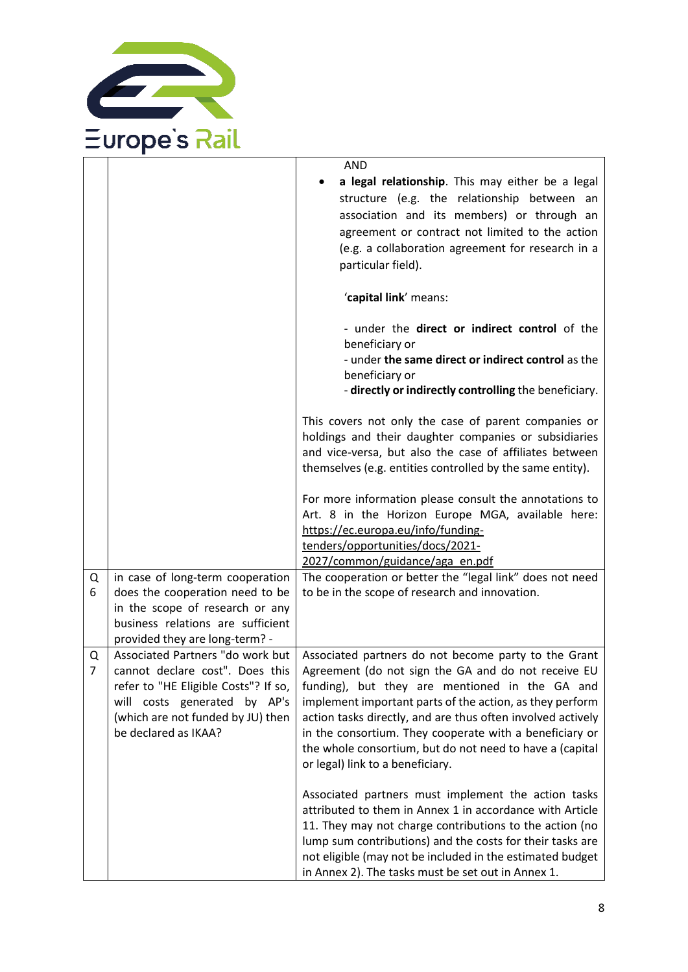

|        |                                                                                                                                                                                                                                            | <b>AND</b>                                                                                                                                                                                                                                                                                                                                                                                                                                          |
|--------|--------------------------------------------------------------------------------------------------------------------------------------------------------------------------------------------------------------------------------------------|-----------------------------------------------------------------------------------------------------------------------------------------------------------------------------------------------------------------------------------------------------------------------------------------------------------------------------------------------------------------------------------------------------------------------------------------------------|
|        |                                                                                                                                                                                                                                            | a legal relationship. This may either be a legal<br>structure (e.g. the relationship between an<br>association and its members) or through an<br>agreement or contract not limited to the action<br>(e.g. a collaboration agreement for research in a<br>particular field).                                                                                                                                                                         |
|        |                                                                                                                                                                                                                                            | 'capital link' means:                                                                                                                                                                                                                                                                                                                                                                                                                               |
|        |                                                                                                                                                                                                                                            | - under the direct or indirect control of the<br>beneficiary or<br>- under the same direct or indirect control as the<br>beneficiary or<br>- directly or indirectly controlling the beneficiary.                                                                                                                                                                                                                                                    |
|        |                                                                                                                                                                                                                                            | This covers not only the case of parent companies or<br>holdings and their daughter companies or subsidiaries<br>and vice-versa, but also the case of affiliates between<br>themselves (e.g. entities controlled by the same entity).                                                                                                                                                                                                               |
|        |                                                                                                                                                                                                                                            | For more information please consult the annotations to<br>Art. 8 in the Horizon Europe MGA, available here:<br>https://ec.europa.eu/info/funding-<br>tenders/opportunities/docs/2021-                                                                                                                                                                                                                                                               |
| Q<br>6 | in case of long-term cooperation<br>does the cooperation need to be<br>in the scope of research or any<br>business relations are sufficient                                                                                                | 2027/common/guidance/aga_en.pdf<br>The cooperation or better the "legal link" does not need<br>to be in the scope of research and innovation.                                                                                                                                                                                                                                                                                                       |
| Q<br>7 | provided they are long-term? -<br>Associated Partners "do work but<br>cannot declare cost". Does this<br>refer to "HE Eligible Costs"? If so,<br>will costs generated by AP's<br>(which are not funded by JU) then<br>be declared as IKAA? | Associated partners do not become party to the Grant<br>Agreement (do not sign the GA and do not receive EU<br>funding), but they are mentioned in the GA and<br>implement important parts of the action, as they perform<br>action tasks directly, and are thus often involved actively<br>in the consortium. They cooperate with a beneficiary or<br>the whole consortium, but do not need to have a (capital<br>or legal) link to a beneficiary. |
|        |                                                                                                                                                                                                                                            | Associated partners must implement the action tasks<br>attributed to them in Annex 1 in accordance with Article<br>11. They may not charge contributions to the action (no<br>lump sum contributions) and the costs for their tasks are<br>not eligible (may not be included in the estimated budget<br>in Annex 2). The tasks must be set out in Annex 1.                                                                                          |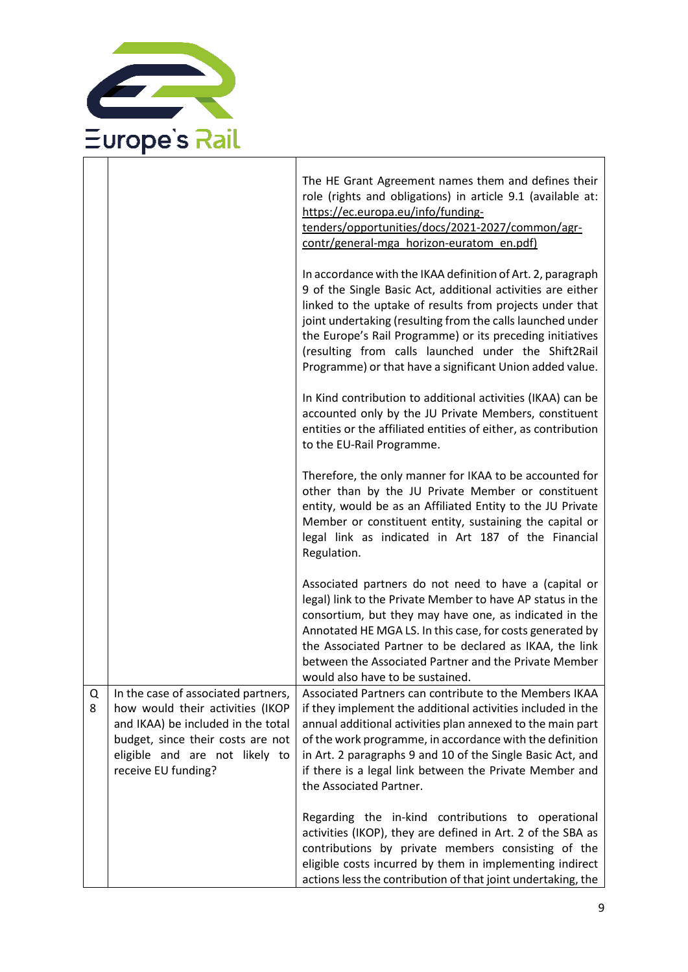

|        |                                                                                                                                                                                                             | The HE Grant Agreement names them and defines their<br>role (rights and obligations) in article 9.1 (available at:                                                                                                                                                                                                                                                                                                                   |
|--------|-------------------------------------------------------------------------------------------------------------------------------------------------------------------------------------------------------------|--------------------------------------------------------------------------------------------------------------------------------------------------------------------------------------------------------------------------------------------------------------------------------------------------------------------------------------------------------------------------------------------------------------------------------------|
|        |                                                                                                                                                                                                             | https://ec.europa.eu/info/funding-<br>tenders/opportunities/docs/2021-2027/common/agr-<br>contr/general-mga horizon-euratom en.pdf)                                                                                                                                                                                                                                                                                                  |
|        |                                                                                                                                                                                                             | In accordance with the IKAA definition of Art. 2, paragraph<br>9 of the Single Basic Act, additional activities are either<br>linked to the uptake of results from projects under that<br>joint undertaking (resulting from the calls launched under<br>the Europe's Rail Programme) or its preceding initiatives<br>(resulting from calls launched under the Shift2Rail<br>Programme) or that have a significant Union added value. |
|        |                                                                                                                                                                                                             | In Kind contribution to additional activities (IKAA) can be<br>accounted only by the JU Private Members, constituent<br>entities or the affiliated entities of either, as contribution<br>to the EU-Rail Programme.                                                                                                                                                                                                                  |
|        |                                                                                                                                                                                                             | Therefore, the only manner for IKAA to be accounted for<br>other than by the JU Private Member or constituent<br>entity, would be as an Affiliated Entity to the JU Private<br>Member or constituent entity, sustaining the capital or<br>legal link as indicated in Art 187 of the Financial<br>Regulation.                                                                                                                         |
|        |                                                                                                                                                                                                             | Associated partners do not need to have a (capital or<br>legal) link to the Private Member to have AP status in the<br>consortium, but they may have one, as indicated in the<br>Annotated HE MGA LS. In this case, for costs generated by<br>the Associated Partner to be declared as IKAA, the link<br>between the Associated Partner and the Private Member<br>would also have to be sustained.                                   |
| Q<br>8 | In the case of associated partners,<br>how would their activities (IKOP<br>and IKAA) be included in the total<br>budget, since their costs are not<br>eligible and are not likely to<br>receive EU funding? | Associated Partners can contribute to the Members IKAA<br>if they implement the additional activities included in the<br>annual additional activities plan annexed to the main part<br>of the work programme, in accordance with the definition<br>in Art. 2 paragraphs 9 and 10 of the Single Basic Act, and<br>if there is a legal link between the Private Member and<br>the Associated Partner.                                  |
|        |                                                                                                                                                                                                             | Regarding the in-kind contributions to operational<br>activities (IKOP), they are defined in Art. 2 of the SBA as<br>contributions by private members consisting of the<br>eligible costs incurred by them in implementing indirect<br>actions less the contribution of that joint undertaking, the                                                                                                                                  |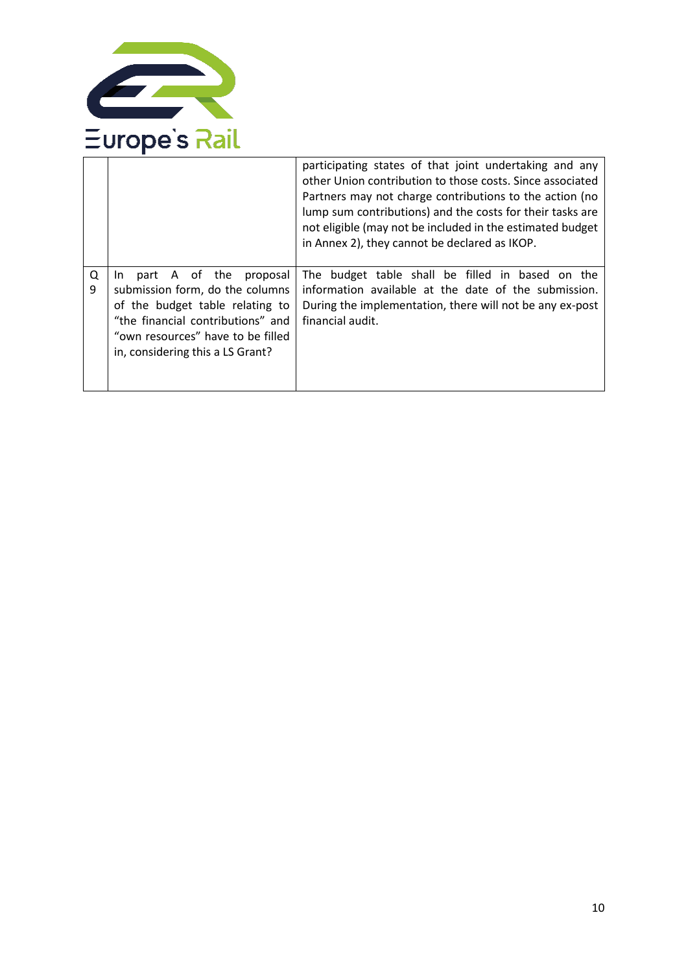

|        |                                                                                                                                                                                                                        | participating states of that joint undertaking and any<br>other Union contribution to those costs. Since associated<br>Partners may not charge contributions to the action (no<br>lump sum contributions) and the costs for their tasks are<br>not eligible (may not be included in the estimated budget<br>in Annex 2), they cannot be declared as IKOP. |
|--------|------------------------------------------------------------------------------------------------------------------------------------------------------------------------------------------------------------------------|-----------------------------------------------------------------------------------------------------------------------------------------------------------------------------------------------------------------------------------------------------------------------------------------------------------------------------------------------------------|
| Q<br>9 | part A of the<br>proposal<br>In In<br>submission form, do the columns<br>of the budget table relating to<br>"the financial contributions" and<br>"own resources" have to be filled<br>in, considering this a LS Grant? | The budget table shall be filled in based on the<br>information available at the date of the submission.<br>During the implementation, there will not be any ex-post<br>financial audit.                                                                                                                                                                  |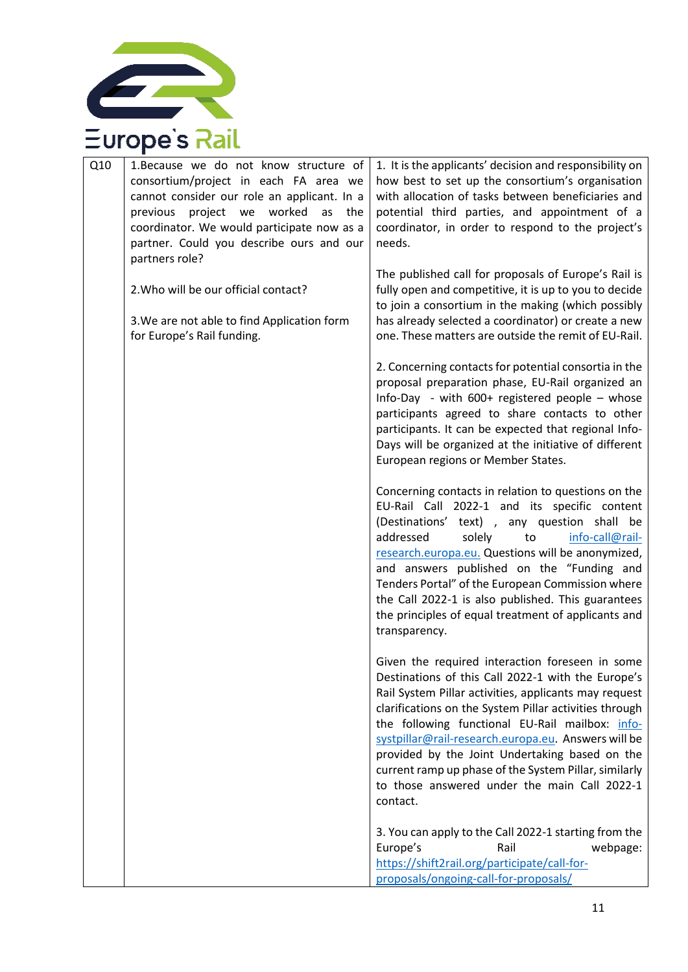

| Q10 | 1. Because we do not know structure of<br>consortium/project in each FA area we<br>cannot consider our role an applicant. In a<br>previous<br>project<br>we<br>worked<br>as<br>the<br>coordinator. We would participate now as a<br>partner. Could you describe ours and our | 1. It is the applicants' decision and responsibility on<br>how best to set up the consortium's organisation<br>with allocation of tasks between beneficiaries and<br>potential third parties, and appointment of a<br>coordinator, in order to respond to the project's<br>needs.                                                                                                                                                                                                                         |
|-----|------------------------------------------------------------------------------------------------------------------------------------------------------------------------------------------------------------------------------------------------------------------------------|-----------------------------------------------------------------------------------------------------------------------------------------------------------------------------------------------------------------------------------------------------------------------------------------------------------------------------------------------------------------------------------------------------------------------------------------------------------------------------------------------------------|
|     | partners role?<br>2. Who will be our official contact?                                                                                                                                                                                                                       | The published call for proposals of Europe's Rail is<br>fully open and competitive, it is up to you to decide<br>to join a consortium in the making (which possibly                                                                                                                                                                                                                                                                                                                                       |
|     | 3. We are not able to find Application form<br>for Europe's Rail funding.                                                                                                                                                                                                    | has already selected a coordinator) or create a new<br>one. These matters are outside the remit of EU-Rail.                                                                                                                                                                                                                                                                                                                                                                                               |
|     |                                                                                                                                                                                                                                                                              | 2. Concerning contacts for potential consortia in the<br>proposal preparation phase, EU-Rail organized an<br>Info-Day - with $600+$ registered people - whose<br>participants agreed to share contacts to other<br>participants. It can be expected that regional Info-<br>Days will be organized at the initiative of different<br>European regions or Member States.                                                                                                                                    |
|     |                                                                                                                                                                                                                                                                              | Concerning contacts in relation to questions on the<br>EU-Rail Call 2022-1 and its specific content<br>(Destinations' text), any question shall be<br>addressed<br>solely<br>to<br>info-call@rail-<br>research.europa.eu. Questions will be anonymized,<br>and answers published on the "Funding and<br>Tenders Portal" of the European Commission where<br>the Call 2022-1 is also published. This guarantees<br>the principles of equal treatment of applicants and<br>transparency.                    |
|     |                                                                                                                                                                                                                                                                              | Given the required interaction foreseen in some<br>Destinations of this Call 2022-1 with the Europe's<br>Rail System Pillar activities, applicants may request<br>clarifications on the System Pillar activities through<br>the following functional EU-Rail mailbox: info-<br>systpillar@rail-research.europa.eu. Answers will be<br>provided by the Joint Undertaking based on the<br>current ramp up phase of the System Pillar, similarly<br>to those answered under the main Call 2022-1<br>contact. |
|     |                                                                                                                                                                                                                                                                              | 3. You can apply to the Call 2022-1 starting from the<br>Europe's<br>Rail<br>webpage:<br>https://shift2rail.org/participate/call-for-<br>proposals/ongoing-call-for-proposals/                                                                                                                                                                                                                                                                                                                            |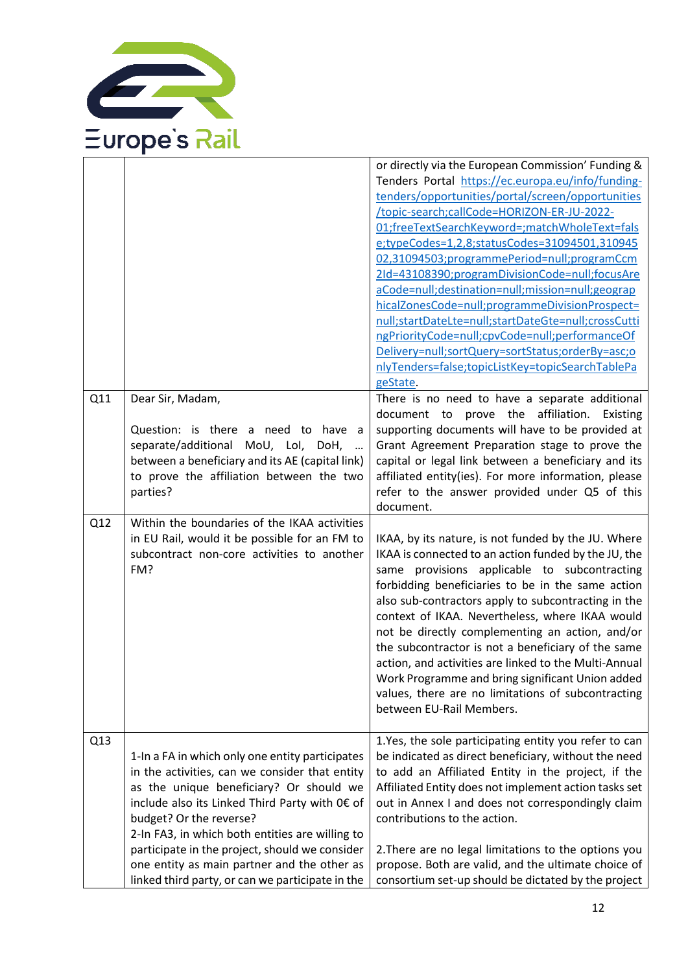

|     |                                                                                                                                                                                                                                                                                                                                                                                                                                   | or directly via the European Commission' Funding &<br>Tenders Portal https://ec.europa.eu/info/funding-<br>tenders/opportunities/portal/screen/opportunities<br>/topic-search;callCode=HORIZON-ER-JU-2022-<br>01;freeTextSearchKeyword=;matchWholeText=fals<br>e;typeCodes=1,2,8;statusCodes=31094501,310945<br>02,31094503;programmePeriod=null;programCcm<br>2Id=43108390;programDivisionCode=null;focusAre<br>aCode=null;destination=null;mission=null;geograp<br>hicalZonesCode=null;programmeDivisionProspect=<br>null;startDateLte=null;startDateGte=null;crossCutti<br>ngPriorityCode=null;cpvCode=null;performanceOf<br>Delivery=null;sortQuery=sortStatus;orderBy=asc;o<br>nlyTenders=false;topicListKey=topicSearchTablePa<br>geState. |
|-----|-----------------------------------------------------------------------------------------------------------------------------------------------------------------------------------------------------------------------------------------------------------------------------------------------------------------------------------------------------------------------------------------------------------------------------------|--------------------------------------------------------------------------------------------------------------------------------------------------------------------------------------------------------------------------------------------------------------------------------------------------------------------------------------------------------------------------------------------------------------------------------------------------------------------------------------------------------------------------------------------------------------------------------------------------------------------------------------------------------------------------------------------------------------------------------------------------|
| Q11 | Dear Sir, Madam,<br>Question: is there a need to have a<br>separate/additional MoU, LoI, DoH,<br>between a beneficiary and its AE (capital link)<br>to prove the affiliation between the two<br>parties?                                                                                                                                                                                                                          | There is no need to have a separate additional<br>document to prove the affiliation.<br>Existing<br>supporting documents will have to be provided at<br>Grant Agreement Preparation stage to prove the<br>capital or legal link between a beneficiary and its<br>affiliated entity(ies). For more information, please<br>refer to the answer provided under Q5 of this<br>document.                                                                                                                                                                                                                                                                                                                                                              |
| Q12 | Within the boundaries of the IKAA activities<br>in EU Rail, would it be possible for an FM to<br>subcontract non-core activities to another<br>FM?                                                                                                                                                                                                                                                                                | IKAA, by its nature, is not funded by the JU. Where<br>IKAA is connected to an action funded by the JU, the<br>same provisions applicable to subcontracting<br>forbidding beneficiaries to be in the same action<br>also sub-contractors apply to subcontracting in the<br>context of IKAA. Nevertheless, where IKAA would<br>not be directly complementing an action, and/or<br>the subcontractor is not a beneficiary of the same<br>action, and activities are linked to the Multi-Annual<br>Work Programme and bring significant Union added<br>values, there are no limitations of subcontracting<br>between EU-Rail Members.                                                                                                               |
| Q13 | 1-In a FA in which only one entity participates<br>in the activities, can we consider that entity<br>as the unique beneficiary? Or should we<br>include also its Linked Third Party with 0€ of<br>budget? Or the reverse?<br>2-In FA3, in which both entities are willing to<br>participate in the project, should we consider<br>one entity as main partner and the other as<br>linked third party, or can we participate in the | 1. Yes, the sole participating entity you refer to can<br>be indicated as direct beneficiary, without the need<br>to add an Affiliated Entity in the project, if the<br>Affiliated Entity does not implement action tasks set<br>out in Annex I and does not correspondingly claim<br>contributions to the action.<br>2. There are no legal limitations to the options you<br>propose. Both are valid, and the ultimate choice of<br>consortium set-up should be dictated by the project                                                                                                                                                                                                                                                         |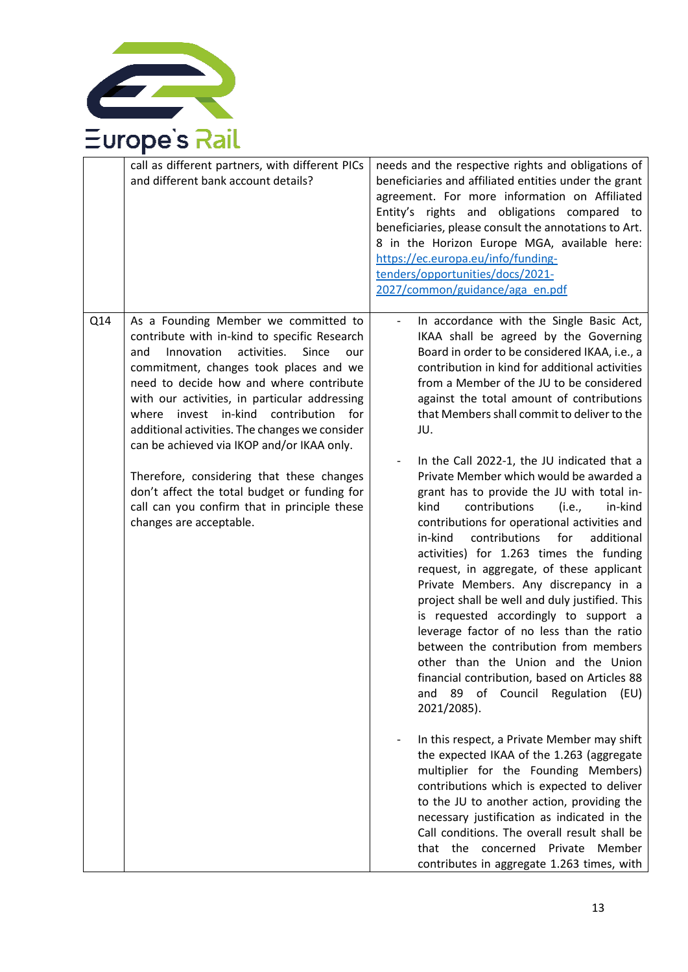

|     | call as different partners, with different PICs<br>and different bank account details?                                                                                                                                                                                                                                                                                                                                                                                                                                                                                                                | needs and the respective rights and obligations of<br>beneficiaries and affiliated entities under the grant<br>agreement. For more information on Affiliated<br>Entity's rights and obligations compared to<br>beneficiaries, please consult the annotations to Art.<br>8 in the Horizon Europe MGA, available here:<br>https://ec.europa.eu/info/funding-<br>tenders/opportunities/docs/2021-<br>2027/common/guidance/aga_en.pdf                                                                                                                                                                                                                                                                                                                                                                                                                                                                                                                                                                                                                                                                                                                                                                                                                                                                                                                                                                                                                                                                                      |
|-----|-------------------------------------------------------------------------------------------------------------------------------------------------------------------------------------------------------------------------------------------------------------------------------------------------------------------------------------------------------------------------------------------------------------------------------------------------------------------------------------------------------------------------------------------------------------------------------------------------------|------------------------------------------------------------------------------------------------------------------------------------------------------------------------------------------------------------------------------------------------------------------------------------------------------------------------------------------------------------------------------------------------------------------------------------------------------------------------------------------------------------------------------------------------------------------------------------------------------------------------------------------------------------------------------------------------------------------------------------------------------------------------------------------------------------------------------------------------------------------------------------------------------------------------------------------------------------------------------------------------------------------------------------------------------------------------------------------------------------------------------------------------------------------------------------------------------------------------------------------------------------------------------------------------------------------------------------------------------------------------------------------------------------------------------------------------------------------------------------------------------------------------|
| Q14 | As a Founding Member we committed to<br>contribute with in-kind to specific Research<br>Innovation<br>activities.<br>Since<br>and<br>our<br>commitment, changes took places and we<br>need to decide how and where contribute<br>with our activities, in particular addressing<br>where invest in-kind<br>contribution<br>for<br>additional activities. The changes we consider<br>can be achieved via IKOP and/or IKAA only.<br>Therefore, considering that these changes<br>don't affect the total budget or funding for<br>call can you confirm that in principle these<br>changes are acceptable. | In accordance with the Single Basic Act,<br>IKAA shall be agreed by the Governing<br>Board in order to be considered IKAA, i.e., a<br>contribution in kind for additional activities<br>from a Member of the JU to be considered<br>against the total amount of contributions<br>that Members shall commit to deliver to the<br>JU.<br>In the Call 2022-1, the JU indicated that a<br>Private Member which would be awarded a<br>grant has to provide the JU with total in-<br>kind<br>contributions<br>(i.e. <i>,</i><br>in-kind<br>contributions for operational activities and<br>contributions<br>for<br>in-kind<br>additional<br>activities) for 1.263 times the funding<br>request, in aggregate, of these applicant<br>Private Members. Any discrepancy in a<br>project shall be well and duly justified. This<br>is requested accordingly to support a<br>leverage factor of no less than the ratio<br>between the contribution from members<br>other than the Union and the Union<br>financial contribution, based on Articles 88<br>89 of Council Regulation<br>and<br>(EU)<br>2021/2085).<br>In this respect, a Private Member may shift<br>the expected IKAA of the 1.263 (aggregate<br>multiplier for the Founding Members)<br>contributions which is expected to deliver<br>to the JU to another action, providing the<br>necessary justification as indicated in the<br>Call conditions. The overall result shall be<br>that the concerned Private Member<br>contributes in aggregate 1.263 times, with |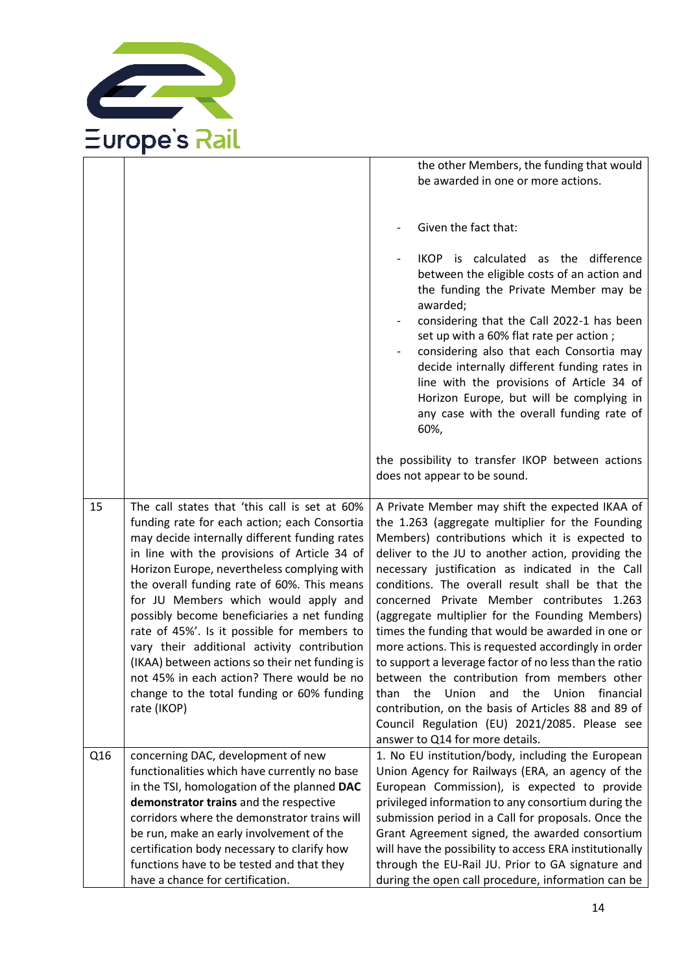

|     |                                                                                                                                                                                                                                                                                                                                                                                                                                                                                                                                                                                                                                               | the other Members, the funding that would                                                                                                                                                                                                                                                                                                                                                                                                                                                                                                                                                                                                                                                                                                                                                                                                         |
|-----|-----------------------------------------------------------------------------------------------------------------------------------------------------------------------------------------------------------------------------------------------------------------------------------------------------------------------------------------------------------------------------------------------------------------------------------------------------------------------------------------------------------------------------------------------------------------------------------------------------------------------------------------------|---------------------------------------------------------------------------------------------------------------------------------------------------------------------------------------------------------------------------------------------------------------------------------------------------------------------------------------------------------------------------------------------------------------------------------------------------------------------------------------------------------------------------------------------------------------------------------------------------------------------------------------------------------------------------------------------------------------------------------------------------------------------------------------------------------------------------------------------------|
|     |                                                                                                                                                                                                                                                                                                                                                                                                                                                                                                                                                                                                                                               | be awarded in one or more actions.                                                                                                                                                                                                                                                                                                                                                                                                                                                                                                                                                                                                                                                                                                                                                                                                                |
|     |                                                                                                                                                                                                                                                                                                                                                                                                                                                                                                                                                                                                                                               |                                                                                                                                                                                                                                                                                                                                                                                                                                                                                                                                                                                                                                                                                                                                                                                                                                                   |
|     |                                                                                                                                                                                                                                                                                                                                                                                                                                                                                                                                                                                                                                               | Given the fact that:                                                                                                                                                                                                                                                                                                                                                                                                                                                                                                                                                                                                                                                                                                                                                                                                                              |
|     |                                                                                                                                                                                                                                                                                                                                                                                                                                                                                                                                                                                                                                               | IKOP is calculated as the difference<br>between the eligible costs of an action and<br>the funding the Private Member may be<br>awarded;<br>considering that the Call 2022-1 has been<br>set up with a 60% flat rate per action;<br>considering also that each Consortia may<br>decide internally different funding rates in<br>line with the provisions of Article 34 of<br>Horizon Europe, but will be complying in<br>any case with the overall funding rate of<br>60%,                                                                                                                                                                                                                                                                                                                                                                        |
|     |                                                                                                                                                                                                                                                                                                                                                                                                                                                                                                                                                                                                                                               | the possibility to transfer IKOP between actions<br>does not appear to be sound.                                                                                                                                                                                                                                                                                                                                                                                                                                                                                                                                                                                                                                                                                                                                                                  |
| 15  | The call states that 'this call is set at 60%<br>funding rate for each action; each Consortia<br>may decide internally different funding rates<br>in line with the provisions of Article 34 of<br>Horizon Europe, nevertheless complying with<br>the overall funding rate of 60%. This means<br>for JU Members which would apply and<br>possibly become beneficiaries a net funding<br>rate of 45%'. Is it possible for members to<br>vary their additional activity contribution<br>(IKAA) between actions so their net funding is<br>not 45% in each action? There would be no<br>change to the total funding or 60% funding<br>rate (IKOP) | A Private Member may shift the expected IKAA of<br>the 1.263 (aggregate multiplier for the Founding<br>Members) contributions which it is expected to<br>deliver to the JU to another action, providing the<br>necessary justification as indicated in the Call<br>conditions. The overall result shall be that the<br>concerned Private Member contributes 1.263<br>(aggregate multiplier for the Founding Members)<br>times the funding that would be awarded in one or<br>more actions. This is requested accordingly in order<br>to support a leverage factor of no less than the ratio<br>between the contribution from members other<br>Union<br>the<br>Union<br>financial<br>than<br>the<br>and<br>contribution, on the basis of Articles 88 and 89 of<br>Council Regulation (EU) 2021/2085. Please see<br>answer to Q14 for more details. |
| Q16 | concerning DAC, development of new<br>functionalities which have currently no base<br>in the TSI, homologation of the planned DAC<br>demonstrator trains and the respective<br>corridors where the demonstrator trains will                                                                                                                                                                                                                                                                                                                                                                                                                   | 1. No EU institution/body, including the European<br>Union Agency for Railways (ERA, an agency of the<br>European Commission), is expected to provide<br>privileged information to any consortium during the<br>submission period in a Call for proposals. Once the                                                                                                                                                                                                                                                                                                                                                                                                                                                                                                                                                                               |
|     | be run, make an early involvement of the                                                                                                                                                                                                                                                                                                                                                                                                                                                                                                                                                                                                      | Grant Agreement signed, the awarded consortium                                                                                                                                                                                                                                                                                                                                                                                                                                                                                                                                                                                                                                                                                                                                                                                                    |
|     | certification body necessary to clarify how                                                                                                                                                                                                                                                                                                                                                                                                                                                                                                                                                                                                   | will have the possibility to access ERA institutionally                                                                                                                                                                                                                                                                                                                                                                                                                                                                                                                                                                                                                                                                                                                                                                                           |
|     | functions have to be tested and that they                                                                                                                                                                                                                                                                                                                                                                                                                                                                                                                                                                                                     | through the EU-Rail JU. Prior to GA signature and                                                                                                                                                                                                                                                                                                                                                                                                                                                                                                                                                                                                                                                                                                                                                                                                 |
|     | have a chance for certification.                                                                                                                                                                                                                                                                                                                                                                                                                                                                                                                                                                                                              | during the open call procedure, information can be                                                                                                                                                                                                                                                                                                                                                                                                                                                                                                                                                                                                                                                                                                                                                                                                |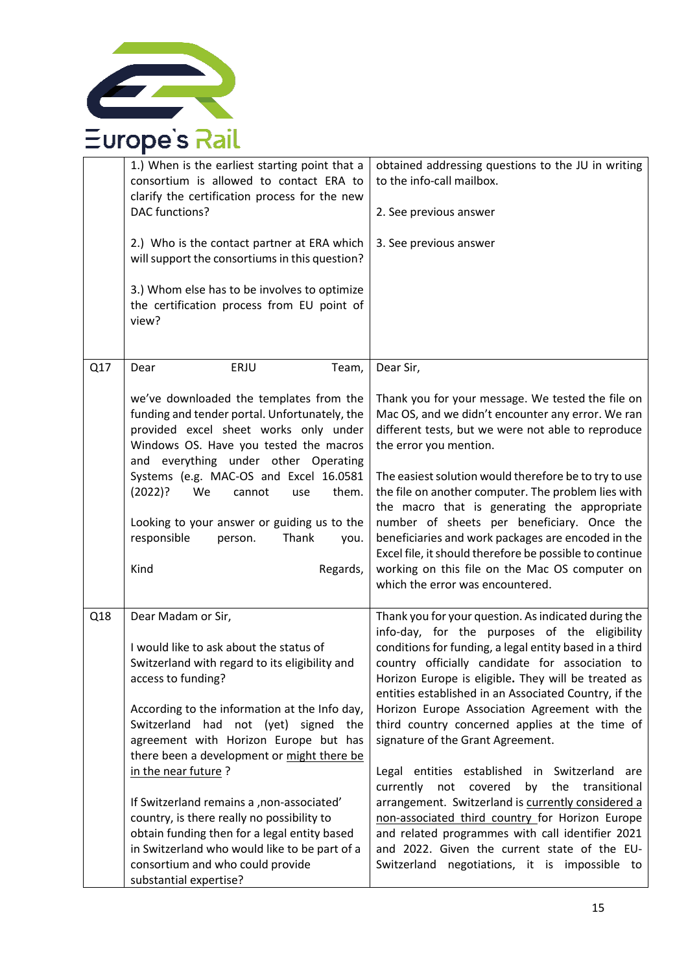

|     | 1.) When is the earliest starting point that a<br>consortium is allowed to contact ERA to<br>clarify the certification process for the new<br><b>DAC</b> functions?<br>2.) Who is the contact partner at ERA which<br>will support the consortiums in this question?<br>3.) Whom else has to be involves to optimize<br>the certification process from EU point of<br>view?                                                                                                                                                                                                                                | obtained addressing questions to the JU in writing<br>to the info-call mailbox.<br>2. See previous answer<br>3. See previous answer                                                                                                                                                                                                                                                                                                                                                                                                                                                                                                                                                                                                                                                                                                                    |
|-----|------------------------------------------------------------------------------------------------------------------------------------------------------------------------------------------------------------------------------------------------------------------------------------------------------------------------------------------------------------------------------------------------------------------------------------------------------------------------------------------------------------------------------------------------------------------------------------------------------------|--------------------------------------------------------------------------------------------------------------------------------------------------------------------------------------------------------------------------------------------------------------------------------------------------------------------------------------------------------------------------------------------------------------------------------------------------------------------------------------------------------------------------------------------------------------------------------------------------------------------------------------------------------------------------------------------------------------------------------------------------------------------------------------------------------------------------------------------------------|
| Q17 | ERJU<br>Team,<br>Dear                                                                                                                                                                                                                                                                                                                                                                                                                                                                                                                                                                                      | Dear Sir,                                                                                                                                                                                                                                                                                                                                                                                                                                                                                                                                                                                                                                                                                                                                                                                                                                              |
|     | we've downloaded the templates from the<br>funding and tender portal. Unfortunately, the<br>provided excel sheet works only under<br>Windows OS. Have you tested the macros<br>and everything under other Operating<br>Systems (e.g. MAC-OS and Excel 16.0581<br>(2022)?<br>them.<br>We<br>cannot<br>use<br>Looking to your answer or guiding us to the<br>responsible<br>Thank<br>person.<br>you.<br>Kind<br>Regards,                                                                                                                                                                                     | Thank you for your message. We tested the file on<br>Mac OS, and we didn't encounter any error. We ran<br>different tests, but we were not able to reproduce<br>the error you mention.<br>The easiest solution would therefore be to try to use<br>the file on another computer. The problem lies with<br>the macro that is generating the appropriate<br>number of sheets per beneficiary. Once the<br>beneficiaries and work packages are encoded in the<br>Excel file, it should therefore be possible to continue<br>working on this file on the Mac OS computer on<br>which the error was encountered.                                                                                                                                                                                                                                            |
| Q18 | Dear Madam or Sir,<br>I would like to ask about the status of<br>Switzerland with regard to its eligibility and<br>access to funding?<br>According to the information at the Info day,<br>Switzerland had not (yet) signed<br>the<br>agreement with Horizon Europe but has<br>there been a development or might there be<br>in the near future?<br>If Switzerland remains a , non-associated'<br>country, is there really no possibility to<br>obtain funding then for a legal entity based<br>in Switzerland who would like to be part of a<br>consortium and who could provide<br>substantial expertise? | Thank you for your question. As indicated during the<br>info-day, for the purposes of the eligibility<br>conditions for funding, a legal entity based in a third<br>country officially candidate for association to<br>Horizon Europe is eligible. They will be treated as<br>entities established in an Associated Country, if the<br>Horizon Europe Association Agreement with the<br>third country concerned applies at the time of<br>signature of the Grant Agreement.<br>Legal entities established in Switzerland are<br>currently<br>covered<br>by<br>the<br>transitional<br>not<br>arrangement. Switzerland is currently considered a<br>non-associated third country for Horizon Europe<br>and related programmes with call identifier 2021<br>and 2022. Given the current state of the EU-<br>Switzerland negotiations, it is impossible to |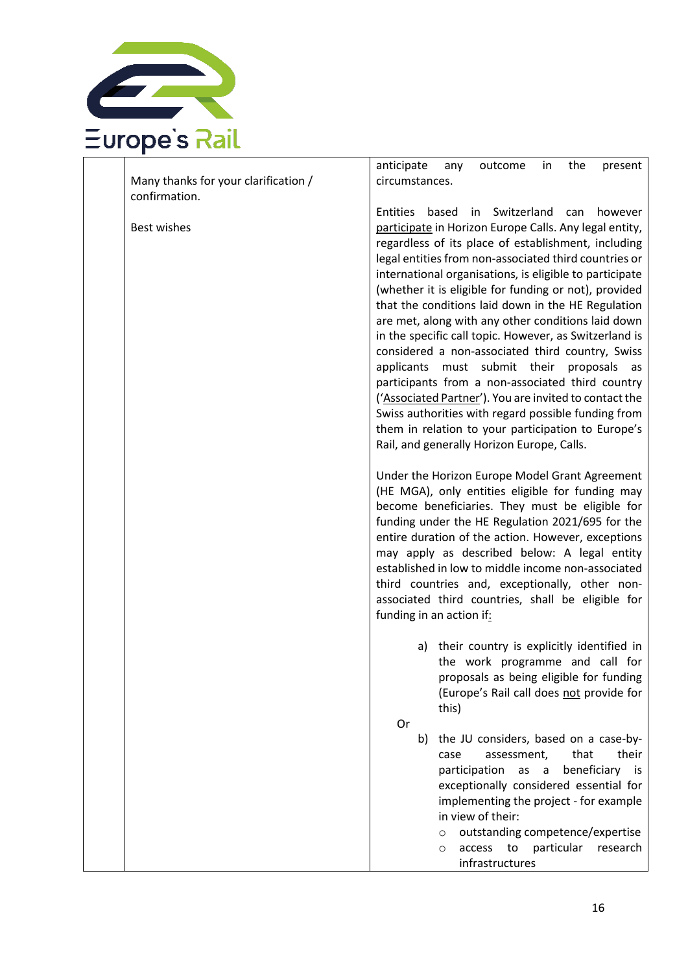

|                                      | anticipate<br>outcome<br>the<br>any<br>in.<br>present           |
|--------------------------------------|-----------------------------------------------------------------|
| Many thanks for your clarification / | circumstances.                                                  |
| confirmation.                        |                                                                 |
|                                      | Switzerland<br><b>Entities</b><br>based<br>can<br>in<br>however |
| Best wishes                          | participate in Horizon Europe Calls. Any legal entity,          |
|                                      | regardless of its place of establishment, including             |
|                                      | legal entities from non-associated third countries or           |
|                                      | international organisations, is eligible to participate         |
|                                      |                                                                 |
|                                      | (whether it is eligible for funding or not), provided           |
|                                      | that the conditions laid down in the HE Regulation              |
|                                      | are met, along with any other conditions laid down              |
|                                      | in the specific call topic. However, as Switzerland is          |
|                                      | considered a non-associated third country, Swiss                |
|                                      | applicants must submit their proposals as                       |
|                                      | participants from a non-associated third country                |
|                                      | ('Associated Partner'). You are invited to contact the          |
|                                      | Swiss authorities with regard possible funding from             |
|                                      | them in relation to your participation to Europe's              |
|                                      | Rail, and generally Horizon Europe, Calls.                      |
|                                      |                                                                 |
|                                      | Under the Horizon Europe Model Grant Agreement                  |
|                                      | (HE MGA), only entities eligible for funding may                |
|                                      | become beneficiaries. They must be eligible for                 |
|                                      | funding under the HE Regulation 2021/695 for the                |
|                                      |                                                                 |
|                                      | entire duration of the action. However, exceptions              |
|                                      | may apply as described below: A legal entity                    |
|                                      | established in low to middle income non-associated              |
|                                      | third countries and, exceptionally, other non-                  |
|                                      | associated third countries, shall be eligible for               |
|                                      | funding in an action if:                                        |
|                                      |                                                                 |
|                                      | a) their country is explicitly identified in                    |
|                                      | the work programme and call for                                 |
|                                      | proposals as being eligible for funding                         |
|                                      | (Europe's Rail call does not provide for                        |
|                                      | this)                                                           |
|                                      | Or                                                              |
|                                      | the JU considers, based on a case-by-<br>b)                     |
|                                      | that<br>their<br>assessment,<br>case                            |
|                                      | beneficiary is<br>participation<br>as<br>$\alpha$               |
|                                      | exceptionally considered essential for                          |
|                                      | implementing the project - for example                          |
|                                      | in view of their:                                               |
|                                      | outstanding competence/expertise<br>$\circ$                     |
|                                      | particular<br>access<br>to<br>research<br>$\circ$               |
|                                      |                                                                 |
|                                      | infrastructures                                                 |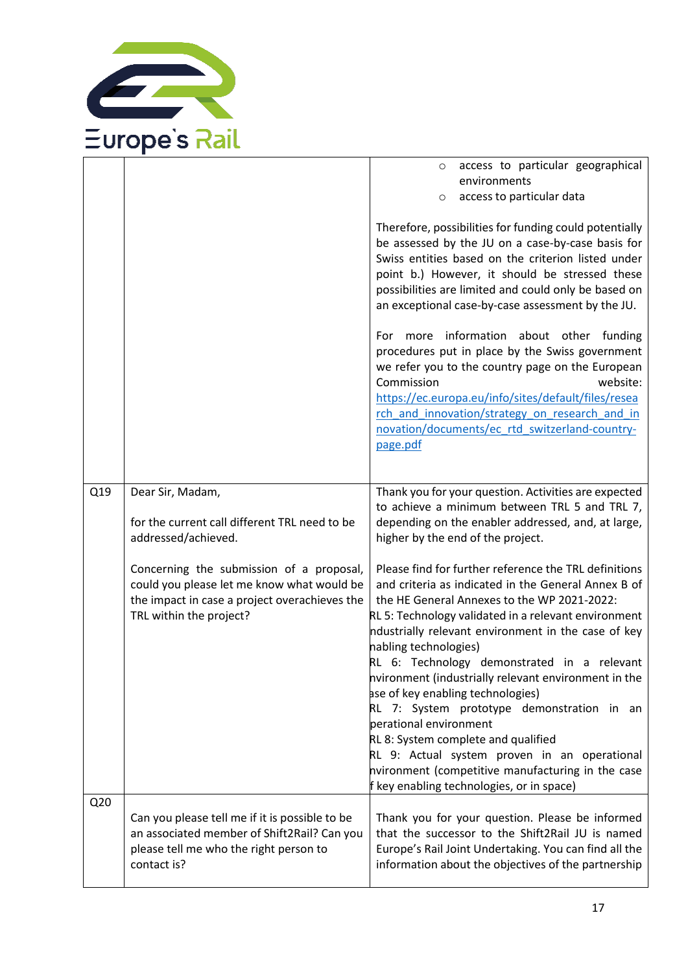

|     |                                                                                                                                                                    | access to particular geographical<br>$\circ$<br>environments<br>access to particular data<br>$\circ$                                                                                                                                                                                                                                                                                                                                                                                                                                                                                                                                                                                                             |
|-----|--------------------------------------------------------------------------------------------------------------------------------------------------------------------|------------------------------------------------------------------------------------------------------------------------------------------------------------------------------------------------------------------------------------------------------------------------------------------------------------------------------------------------------------------------------------------------------------------------------------------------------------------------------------------------------------------------------------------------------------------------------------------------------------------------------------------------------------------------------------------------------------------|
|     |                                                                                                                                                                    | Therefore, possibilities for funding could potentially<br>be assessed by the JU on a case-by-case basis for<br>Swiss entities based on the criterion listed under<br>point b.) However, it should be stressed these<br>possibilities are limited and could only be based on<br>an exceptional case-by-case assessment by the JU.                                                                                                                                                                                                                                                                                                                                                                                 |
|     |                                                                                                                                                                    | For more information about other funding<br>procedures put in place by the Swiss government<br>we refer you to the country page on the European<br>Commission<br>website:<br>https://ec.europa.eu/info/sites/default/files/resea<br>rch and innovation/strategy on research and in<br>novation/documents/ec rtd switzerland-country-<br>page.pdf                                                                                                                                                                                                                                                                                                                                                                 |
| Q19 | Dear Sir, Madam,<br>for the current call different TRL need to be<br>addressed/achieved.                                                                           | Thank you for your question. Activities are expected<br>to achieve a minimum between TRL 5 and TRL 7,<br>depending on the enabler addressed, and, at large,<br>higher by the end of the project.                                                                                                                                                                                                                                                                                                                                                                                                                                                                                                                 |
|     | Concerning the submission of a proposal,<br>could you please let me know what would be<br>the impact in case a project overachieves the<br>TRL within the project? | Please find for further reference the TRL definitions<br>and criteria as indicated in the General Annex B of<br>the HE General Annexes to the WP 2021-2022:<br>RL 5: Technology validated in a relevant environment<br>ndustrially relevant environment in the case of key<br>nabling technologies)<br>RL 6: Technology demonstrated in a relevant<br>nvironment (industrially relevant environment in the<br>ase of key enabling technologies)<br>RL 7: System prototype demonstration in an<br>perational environment<br>RL 8: System complete and qualified<br>RL 9: Actual system proven in an operational<br>nvironment (competitive manufacturing in the case<br>f key enabling technologies, or in space) |
| Q20 | Can you please tell me if it is possible to be<br>an associated member of Shift2Rail? Can you<br>please tell me who the right person to<br>contact is?             | Thank you for your question. Please be informed<br>that the successor to the Shift2Rail JU is named<br>Europe's Rail Joint Undertaking. You can find all the<br>information about the objectives of the partnership                                                                                                                                                                                                                                                                                                                                                                                                                                                                                              |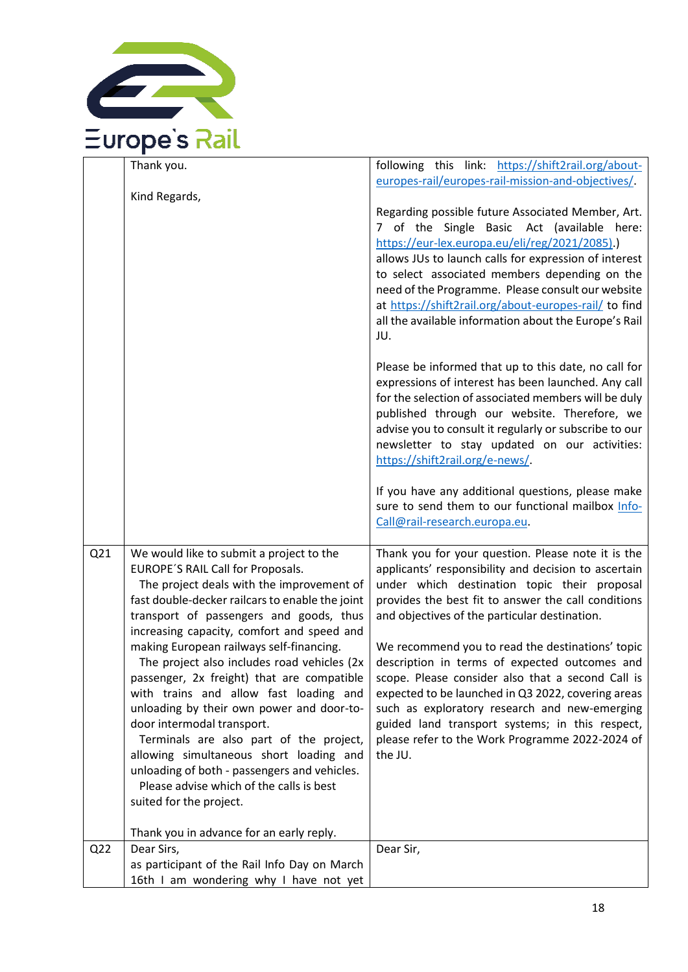

|                 | Thank you.                                                                                                                                                                                                                                                                                                                                                                                                      | following this link: https://shift2rail.org/about-                                                                                                                                                                                                                                                                                                                                                                                       |
|-----------------|-----------------------------------------------------------------------------------------------------------------------------------------------------------------------------------------------------------------------------------------------------------------------------------------------------------------------------------------------------------------------------------------------------------------|------------------------------------------------------------------------------------------------------------------------------------------------------------------------------------------------------------------------------------------------------------------------------------------------------------------------------------------------------------------------------------------------------------------------------------------|
|                 | Kind Regards,                                                                                                                                                                                                                                                                                                                                                                                                   | europes-rail/europes-rail-mission-and-objectives/.                                                                                                                                                                                                                                                                                                                                                                                       |
|                 |                                                                                                                                                                                                                                                                                                                                                                                                                 | Regarding possible future Associated Member, Art.<br>7 of the Single Basic Act (available here:<br>https://eur-lex.europa.eu/eli/reg/2021/2085).<br>allows JUs to launch calls for expression of interest<br>to select associated members depending on the<br>need of the Programme. Please consult our website<br>at https://shift2rail.org/about-europes-rail/ to find<br>all the available information about the Europe's Rail<br>JU. |
|                 |                                                                                                                                                                                                                                                                                                                                                                                                                 | Please be informed that up to this date, no call for<br>expressions of interest has been launched. Any call<br>for the selection of associated members will be duly<br>published through our website. Therefore, we<br>advise you to consult it regularly or subscribe to our<br>newsletter to stay updated on our activities:<br>https://shift2rail.org/e-news/.                                                                        |
|                 |                                                                                                                                                                                                                                                                                                                                                                                                                 | If you have any additional questions, please make<br>sure to send them to our functional mailbox Info-<br>Call@rail-research.europa.eu.                                                                                                                                                                                                                                                                                                  |
| Q21             | We would like to submit a project to the<br>EUROPE'S RAIL Call for Proposals.<br>The project deals with the improvement of<br>fast double-decker railcars to enable the joint<br>transport of passengers and goods, thus<br>increasing capacity, comfort and speed and<br>making European railways self-financing.<br>The project also includes road vehicles (2x<br>passenger, 2x freight) that are compatible | Thank you for your question. Please note it is the<br>applicants' responsibility and decision to ascertain<br>under which destination topic their proposal<br>provides the best fit to answer the call conditions<br>and objectives of the particular destination.<br>We recommend you to read the destinations' topic<br>description in terms of expected outcomes and<br>scope. Please consider also that a second Call is             |
|                 | with trains and allow fast loading and<br>unloading by their own power and door-to-<br>door intermodal transport.<br>Terminals are also part of the project,<br>allowing simultaneous short loading and<br>unloading of both - passengers and vehicles.<br>Please advise which of the calls is best<br>suited for the project.                                                                                  | expected to be launched in Q3 2022, covering areas<br>such as exploratory research and new-emerging<br>guided land transport systems; in this respect,<br>please refer to the Work Programme 2022-2024 of<br>the JU.                                                                                                                                                                                                                     |
|                 | Thank you in advance for an early reply.                                                                                                                                                                                                                                                                                                                                                                        |                                                                                                                                                                                                                                                                                                                                                                                                                                          |
| Q <sub>22</sub> | Dear Sirs,<br>as participant of the Rail Info Day on March<br>16th I am wondering why I have not yet                                                                                                                                                                                                                                                                                                            | Dear Sir,                                                                                                                                                                                                                                                                                                                                                                                                                                |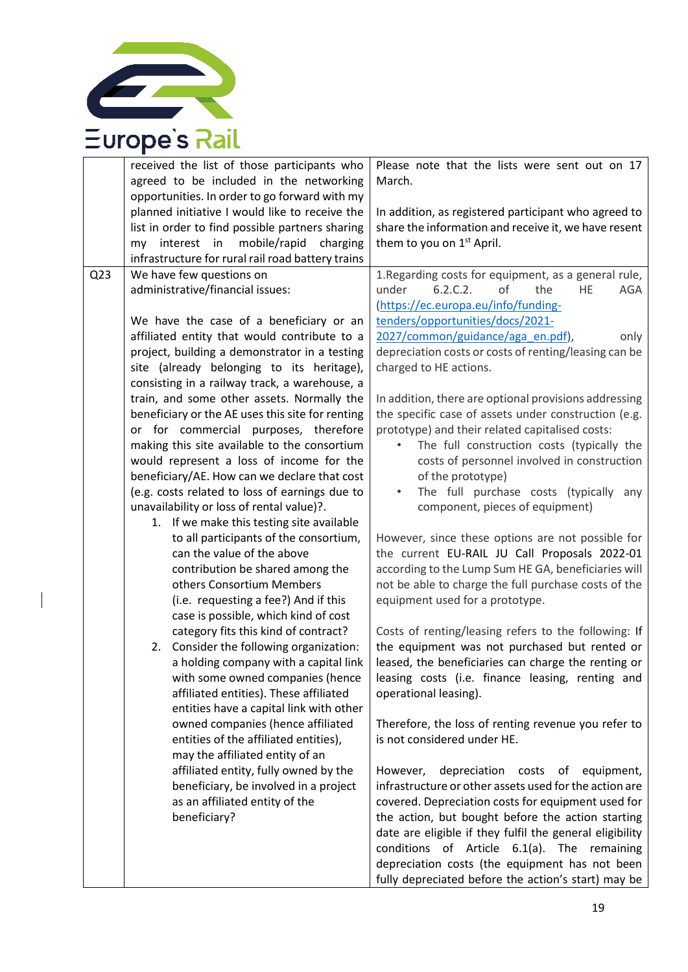

|                 | received the list of those participants who<br>agreed to be included in the networking<br>opportunities. In order to go forward with my                                                                                                                                                                                                                                                                                                                                                                                                                                                                                                                                                                                                                                                                                                                                                                                                                                                                                                                                                                                                                                                                                              | Please note that the lists were sent out on 17<br>March.                                                                                                                                                                                                                                                                                                                                                                                                                                                                                                                                                                                                                                                                                                                                                                                                                                                                                                                                                                                                                                                                                                                               |
|-----------------|--------------------------------------------------------------------------------------------------------------------------------------------------------------------------------------------------------------------------------------------------------------------------------------------------------------------------------------------------------------------------------------------------------------------------------------------------------------------------------------------------------------------------------------------------------------------------------------------------------------------------------------------------------------------------------------------------------------------------------------------------------------------------------------------------------------------------------------------------------------------------------------------------------------------------------------------------------------------------------------------------------------------------------------------------------------------------------------------------------------------------------------------------------------------------------------------------------------------------------------|----------------------------------------------------------------------------------------------------------------------------------------------------------------------------------------------------------------------------------------------------------------------------------------------------------------------------------------------------------------------------------------------------------------------------------------------------------------------------------------------------------------------------------------------------------------------------------------------------------------------------------------------------------------------------------------------------------------------------------------------------------------------------------------------------------------------------------------------------------------------------------------------------------------------------------------------------------------------------------------------------------------------------------------------------------------------------------------------------------------------------------------------------------------------------------------|
|                 | planned initiative I would like to receive the<br>list in order to find possible partners sharing<br>mobile/rapid<br>my interest in<br>charging                                                                                                                                                                                                                                                                                                                                                                                                                                                                                                                                                                                                                                                                                                                                                                                                                                                                                                                                                                                                                                                                                      | In addition, as registered participant who agreed to<br>share the information and receive it, we have resent<br>them to you on 1 <sup>st</sup> April.                                                                                                                                                                                                                                                                                                                                                                                                                                                                                                                                                                                                                                                                                                                                                                                                                                                                                                                                                                                                                                  |
| Q <sub>23</sub> | infrastructure for rural rail road battery trains<br>We have few questions on<br>administrative/financial issues:<br>We have the case of a beneficiary or an<br>affiliated entity that would contribute to a<br>project, building a demonstrator in a testing<br>site (already belonging to its heritage),<br>consisting in a railway track, a warehouse, a<br>train, and some other assets. Normally the<br>beneficiary or the AE uses this site for renting<br>or for commercial purposes, therefore<br>making this site available to the consortium<br>would represent a loss of income for the<br>beneficiary/AE. How can we declare that cost<br>(e.g. costs related to loss of earnings due to<br>unavailability or loss of rental value)?.<br>1. If we make this testing site available<br>to all participants of the consortium,<br>can the value of the above<br>contribution be shared among the<br>others Consortium Members<br>(i.e. requesting a fee?) And if this<br>case is possible, which kind of cost<br>category fits this kind of contract?<br>Consider the following organization:<br>2.<br>a holding company with a capital link<br>with some owned companies (hence<br>affiliated entities). These affiliated | 1. Regarding costs for equipment, as a general rule,<br>6.2.C.2.<br>of<br>the<br>under<br>HE<br>AGA<br>(https://ec.europa.eu/info/funding-<br>tenders/opportunities/docs/2021-<br>2027/common/guidance/aga_en.pdf),<br>only<br>depreciation costs or costs of renting/leasing can be<br>charged to HE actions.<br>In addition, there are optional provisions addressing<br>the specific case of assets under construction (e.g.<br>prototype) and their related capitalised costs:<br>The full construction costs (typically the<br>costs of personnel involved in construction<br>of the prototype)<br>The full purchase costs (typically any<br>component, pieces of equipment)<br>However, since these options are not possible for<br>the current EU-RAIL JU Call Proposals 2022-01<br>according to the Lump Sum HE GA, beneficiaries will<br>not be able to charge the full purchase costs of the<br>equipment used for a prototype.<br>Costs of renting/leasing refers to the following: If<br>the equipment was not purchased but rented or<br>leased, the beneficiaries can charge the renting or<br>leasing costs (i.e. finance leasing, renting and<br>operational leasing). |
|                 | entities have a capital link with other<br>owned companies (hence affiliated<br>entities of the affiliated entities),<br>may the affiliated entity of an<br>affiliated entity, fully owned by the<br>beneficiary, be involved in a project<br>as an affiliated entity of the<br>beneficiary?                                                                                                                                                                                                                                                                                                                                                                                                                                                                                                                                                                                                                                                                                                                                                                                                                                                                                                                                         | Therefore, the loss of renting revenue you refer to<br>is not considered under HE.<br>depreciation costs of equipment,<br>However,<br>infrastructure or other assets used for the action are<br>covered. Depreciation costs for equipment used for<br>the action, but bought before the action starting<br>date are eligible if they fulfil the general eligibility<br>conditions of Article 6.1(a). The remaining<br>depreciation costs (the equipment has not been<br>fully depreciated before the action's start) may be                                                                                                                                                                                                                                                                                                                                                                                                                                                                                                                                                                                                                                                            |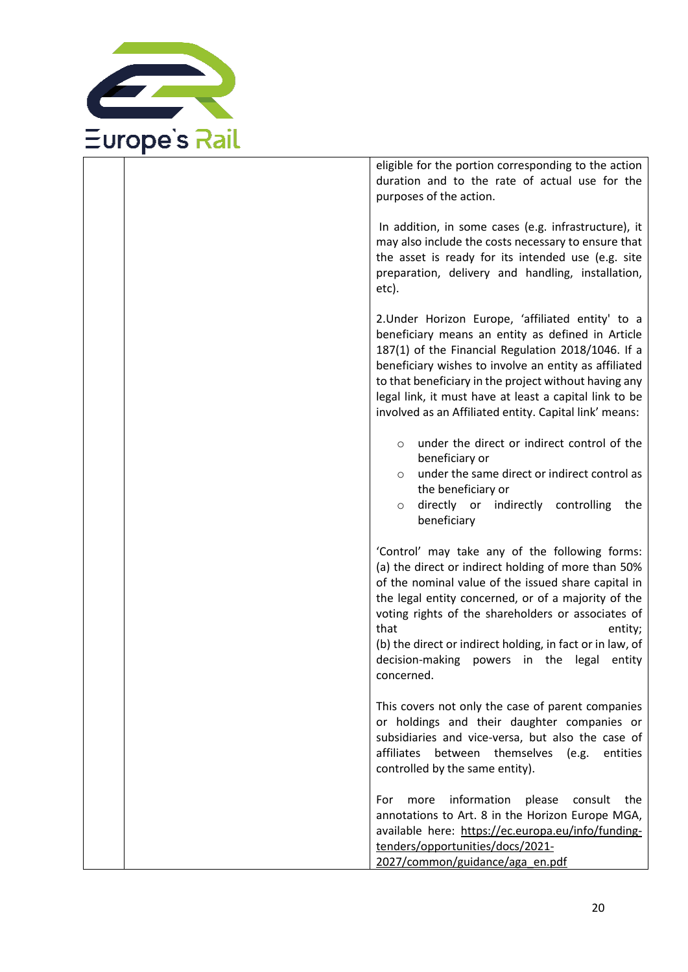

| eligible for the portion corresponding to the action<br>duration and to the rate of actual use for the<br>purposes of the action.                                                                                                                                                                                                                                                                                        |
|--------------------------------------------------------------------------------------------------------------------------------------------------------------------------------------------------------------------------------------------------------------------------------------------------------------------------------------------------------------------------------------------------------------------------|
| In addition, in some cases (e.g. infrastructure), it<br>may also include the costs necessary to ensure that<br>the asset is ready for its intended use (e.g. site<br>preparation, delivery and handling, installation,<br>etc).                                                                                                                                                                                          |
| 2. Under Horizon Europe, 'affiliated entity' to a<br>beneficiary means an entity as defined in Article<br>187(1) of the Financial Regulation 2018/1046. If a<br>beneficiary wishes to involve an entity as affiliated<br>to that beneficiary in the project without having any<br>legal link, it must have at least a capital link to be<br>involved as an Affiliated entity. Capital link' means:                       |
| under the direct or indirect control of the<br>$\circ$<br>beneficiary or<br>under the same direct or indirect control as<br>$\circ$<br>the beneficiary or<br>directly or indirectly controlling<br>the<br>$\circ$<br>beneficiary                                                                                                                                                                                         |
| 'Control' may take any of the following forms:<br>(a) the direct or indirect holding of more than 50%<br>of the nominal value of the issued share capital in<br>the legal entity concerned, or of a majority of the<br>voting rights of the shareholders or associates of<br>that<br>entity;<br>(b) the direct or indirect holding, in fact or in law, of<br>decision-making powers in the legal<br>entity<br>concerned. |
| This covers not only the case of parent companies<br>or holdings and their daughter companies or<br>subsidiaries and vice-versa, but also the case of<br>affiliates between themselves (e.g.<br>entities<br>controlled by the same entity).                                                                                                                                                                              |
| information<br>please<br>more<br>consult<br>the<br>For<br>annotations to Art. 8 in the Horizon Europe MGA,<br>available here: https://ec.europa.eu/info/funding-<br>tenders/opportunities/docs/2021-<br>2027/common/guidance/aga_en.pdf                                                                                                                                                                                  |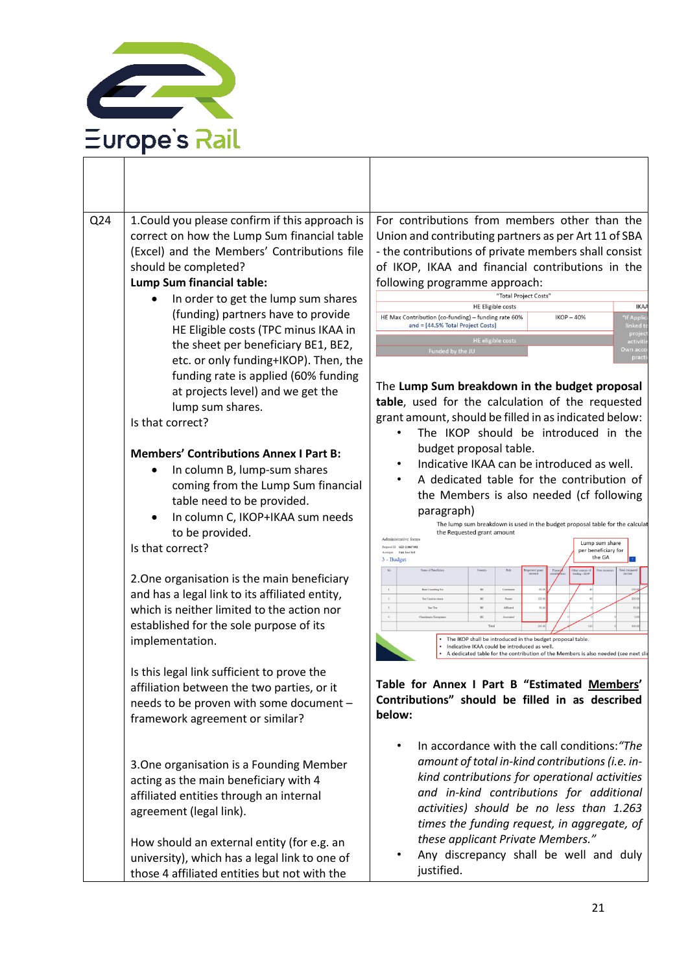

| Q24 | 1. Could you please confirm if this approach is<br>correct on how the Lump Sum financial table<br>(Excel) and the Members' Contributions file<br>should be completed?<br>Lump Sum financial table:<br>In order to get the lump sum shares<br>(funding) partners have to provide<br>HE Eligible costs (TPC minus IKAA in<br>the sheet per beneficiary BE1, BE2,<br>etc. or only funding+IKOP). Then, the<br>funding rate is applied (60% funding<br>at projects level) and we get the<br>lump sum shares.                                                                                                            | For contributions from members other than the<br>Union and contributing partners as per Art 11 of SBA<br>- the contributions of private members shall consist<br>of IKOP, IKAA and financial contributions in the<br>following programme approach:<br>"Total Project Costs"<br><b>HE Eligible costs</b><br><b>IKA</b><br>"If Appl<br>HE Max Contribution (co-funding) - funding rate 60%<br>$IKOP - 40%$<br>and = [44.5% Total Project Costs]<br>linked<br>proje<br><b>HE</b> eligible costs<br>activi<br>Funded by the JU<br>Own aco<br>prad<br>The Lump Sum breakdown in the budget proposal<br>table, used for the calculation of the requested                                                                                                                                                                                                                                                                                                                                                                     |
|-----|---------------------------------------------------------------------------------------------------------------------------------------------------------------------------------------------------------------------------------------------------------------------------------------------------------------------------------------------------------------------------------------------------------------------------------------------------------------------------------------------------------------------------------------------------------------------------------------------------------------------|------------------------------------------------------------------------------------------------------------------------------------------------------------------------------------------------------------------------------------------------------------------------------------------------------------------------------------------------------------------------------------------------------------------------------------------------------------------------------------------------------------------------------------------------------------------------------------------------------------------------------------------------------------------------------------------------------------------------------------------------------------------------------------------------------------------------------------------------------------------------------------------------------------------------------------------------------------------------------------------------------------------------|
|     | Is that correct?                                                                                                                                                                                                                                                                                                                                                                                                                                                                                                                                                                                                    | grant amount, should be filled in as indicated below:<br>The IKOP should be introduced in the                                                                                                                                                                                                                                                                                                                                                                                                                                                                                                                                                                                                                                                                                                                                                                                                                                                                                                                          |
|     | <b>Members' Contributions Annex I Part B:</b><br>In column B, lump-sum shares<br>coming from the Lump Sum financial<br>table need to be provided.<br>In column C, IKOP+IKAA sum needs<br>to be provided.<br>Is that correct?<br>2. One organisation is the main beneficiary<br>and has a legal link to its affiliated entity,<br>which is neither limited to the action nor<br>established for the sole purpose of its<br>implementation.<br>Is this legal link sufficient to prove the<br>affiliation between the two parties, or it<br>needs to be proven with some document -<br>framework agreement or similar? | budget proposal table.<br>Indicative IKAA can be introduced as well.<br>A dedicated table for the contribution of<br>the Members is also needed (cf following<br>paragraph)<br>The lump sum breakdown is used in the budget proposal table for the calculat<br>the Requested grant amount<br>Administrative forms<br>Lump sum share<br>Tropoual ID SEP-210847092<br>per beneficiary for<br>ronym FA6-Test Nr2<br>the GA<br>3 - Budget<br><b>BE</b><br><b>Baird Consulting Sco</b><br>$\,2\,$<br>200.<br><b>BE</b><br>120<br>Paton<br>30.0<br>$\,$ $\,$<br>Says Text<br>$_{\rm BL}$<br>Affliated<br>$\epsilon$<br>$_{0.0}$<br><b>Charalampos Xenogia</b><br>$\mathbb{R} \mathbb{E}$<br>330.0<br>Total<br>The IKOP shall be introduced in the budget proposal table.<br>Indicative IKAA could be introduced as well.<br>A dedicated table for the contribution of the Members is also needed (see next slid<br>Table for Annex I Part B "Estimated Members'<br>Contributions" should be filled in as described<br>below: |
|     | 3. One organisation is a Founding Member<br>acting as the main beneficiary with 4<br>affiliated entities through an internal<br>agreement (legal link).<br>How should an external entity (for e.g. an<br>university), which has a legal link to one of<br>those 4 affiliated entities but not with the                                                                                                                                                                                                                                                                                                              | In accordance with the call conditions: "The<br>amount of total in-kind contributions (i.e. in-<br>kind contributions for operational activities<br>and in-kind contributions for additional<br>activities) should be no less than 1.263<br>times the funding request, in aggregate, of<br>these applicant Private Members."<br>Any discrepancy shall be well and duly<br>justified.                                                                                                                                                                                                                                                                                                                                                                                                                                                                                                                                                                                                                                   |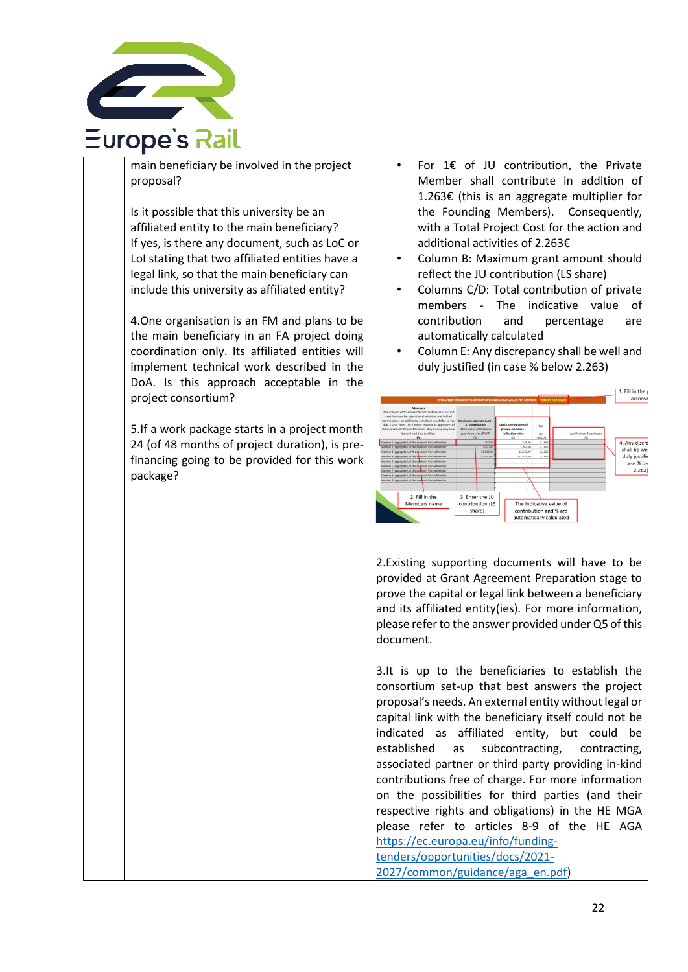

main beneficiary be involved in the project proposal?

Is it possible that this university be an affiliated entity to the main beneficiary? If yes, is there any document, such as LoC or LoI stating that two affiliated entities have a legal link, so that the main beneficiary can include this university as affiliated entity?

4.One organisation is an FM and plans to be the main beneficiary in an FA project doing coordination only. Its affiliated entities will implement technical work described in the DoA. Is this approach acceptable in the project consortium?

5.If a work package starts in a project month 24 (of 48 months of project duration), is prefinancing going to be provided for this work package?

- For  $1 \in \text{of}$  JU contribution, the Private Member shall contribute in addition of 1.263€ (this is an aggregate multiplier for the Founding Members). Consequently, with a Total Project Cost for the action and additional activities of 2.263€
- Column B: Maximum grant amount should reflect the JU contribution (LS share)
- Columns C/D: Total contribution of private members - The indicative value of contribution and percentage are automatically calculated
- Column E: Any discrepancy shall be well and duly justified (in case % below 2.263)



2.Existing supporting documents will have to be provided at Grant Agreement Preparation stage to prove the capital or legal link between a beneficiary and its affiliated entity(ies). For more information, please refer to the answer provided under Q5 of this document.

3.It is up to the beneficiaries to establish the consortium set-up that best answers the project proposal's needs. An external entity without legal or capital link with the beneficiary itself could not be indicated as affiliated entity, but could be established as subcontracting, contracting, associated partner or third party providing in-kind contributions free of charge. For more information on the possibilities for third parties (and their respective rights and obligations) in the HE MGA please refer to articles 8-9 of the HE AGA [https://ec.europa.eu/info/funding](https://ec.europa.eu/info/funding-tenders/opportunities/docs/2021-2027/common/guidance/aga_en.pdf)[tenders/opportunities/docs/2021-](https://ec.europa.eu/info/funding-tenders/opportunities/docs/2021-2027/common/guidance/aga_en.pdf) [2027/common/guidance/aga\\_en.pdf\)](https://ec.europa.eu/info/funding-tenders/opportunities/docs/2021-2027/common/guidance/aga_en.pdf)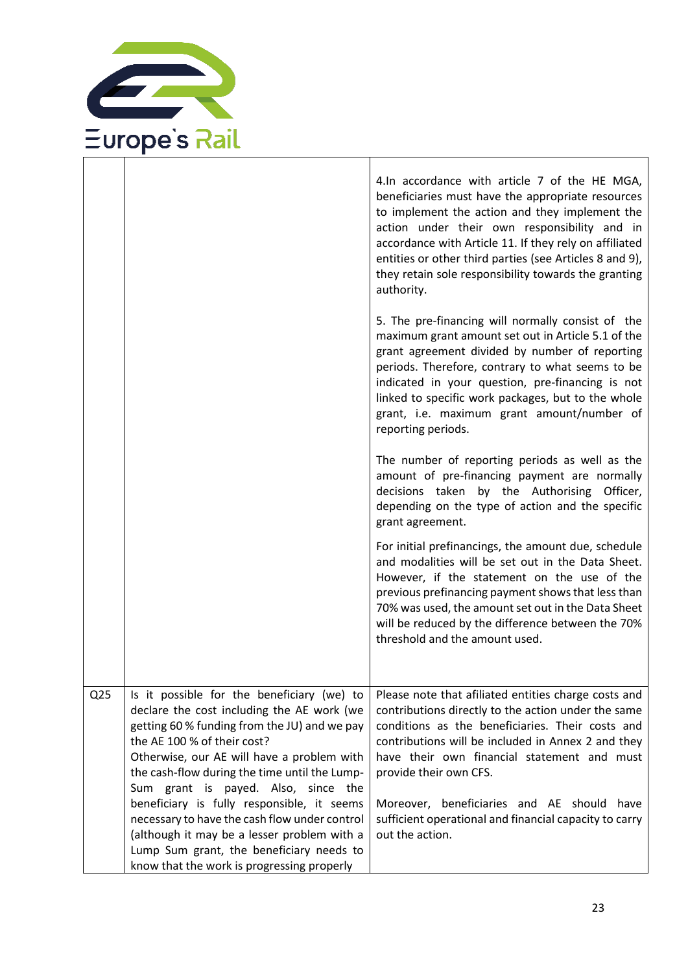

|                 |                                                                                                                                                                                                                                                                                                                                                                                                                                                                                                                                                       | 4.In accordance with article 7 of the HE MGA,<br>beneficiaries must have the appropriate resources<br>to implement the action and they implement the<br>action under their own responsibility and in<br>accordance with Article 11. If they rely on affiliated<br>entities or other third parties (see Articles 8 and 9),<br>they retain sole responsibility towards the granting<br>authority.                           |
|-----------------|-------------------------------------------------------------------------------------------------------------------------------------------------------------------------------------------------------------------------------------------------------------------------------------------------------------------------------------------------------------------------------------------------------------------------------------------------------------------------------------------------------------------------------------------------------|---------------------------------------------------------------------------------------------------------------------------------------------------------------------------------------------------------------------------------------------------------------------------------------------------------------------------------------------------------------------------------------------------------------------------|
|                 |                                                                                                                                                                                                                                                                                                                                                                                                                                                                                                                                                       | 5. The pre-financing will normally consist of the<br>maximum grant amount set out in Article 5.1 of the<br>grant agreement divided by number of reporting<br>periods. Therefore, contrary to what seems to be<br>indicated in your question, pre-financing is not<br>linked to specific work packages, but to the whole<br>grant, i.e. maximum grant amount/number of<br>reporting periods.                               |
|                 |                                                                                                                                                                                                                                                                                                                                                                                                                                                                                                                                                       | The number of reporting periods as well as the<br>amount of pre-financing payment are normally<br>decisions taken by the Authorising Officer,<br>depending on the type of action and the specific<br>grant agreement.                                                                                                                                                                                                     |
|                 |                                                                                                                                                                                                                                                                                                                                                                                                                                                                                                                                                       | For initial prefinancings, the amount due, schedule<br>and modalities will be set out in the Data Sheet.<br>However, if the statement on the use of the<br>previous prefinancing payment shows that less than<br>70% was used, the amount set out in the Data Sheet<br>will be reduced by the difference between the 70%<br>threshold and the amount used.                                                                |
| Q <sub>25</sub> | Is it possible for the beneficiary (we) to<br>declare the cost including the AE work (we<br>getting 60 % funding from the JU) and we pay<br>the AE 100 % of their cost?<br>Otherwise, our AE will have a problem with<br>the cash-flow during the time until the Lump-<br>Sum grant is payed. Also, since the<br>beneficiary is fully responsible, it seems<br>necessary to have the cash flow under control<br>(although it may be a lesser problem with a<br>Lump Sum grant, the beneficiary needs to<br>know that the work is progressing properly | Please note that afiliated entities charge costs and<br>contributions directly to the action under the same<br>conditions as the beneficiaries. Their costs and<br>contributions will be included in Annex 2 and they<br>have their own financial statement and must<br>provide their own CFS.<br>Moreover, beneficiaries and AE should have<br>sufficient operational and financial capacity to carry<br>out the action. |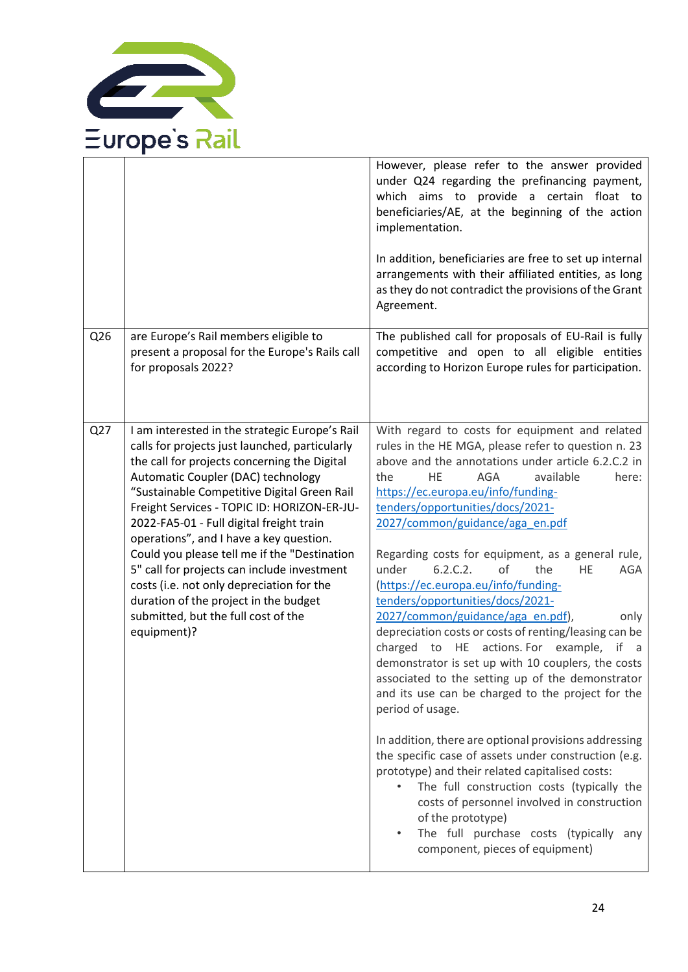

|     |                                                                                                                                                                                                                                                                                                                                                                                                                                                                                                                                                                                                                        | However, please refer to the answer provided<br>under Q24 regarding the prefinancing payment,<br>which aims to provide a certain float to<br>beneficiaries/AE, at the beginning of the action<br>implementation.<br>In addition, beneficiaries are free to set up internal<br>arrangements with their affiliated entities, as long<br>as they do not contradict the provisions of the Grant<br>Agreement.                                                                                                                                                                                                                                                                                                                                                                                                                                                                                                                                                                                                                                                                                                                                                                                                                        |
|-----|------------------------------------------------------------------------------------------------------------------------------------------------------------------------------------------------------------------------------------------------------------------------------------------------------------------------------------------------------------------------------------------------------------------------------------------------------------------------------------------------------------------------------------------------------------------------------------------------------------------------|----------------------------------------------------------------------------------------------------------------------------------------------------------------------------------------------------------------------------------------------------------------------------------------------------------------------------------------------------------------------------------------------------------------------------------------------------------------------------------------------------------------------------------------------------------------------------------------------------------------------------------------------------------------------------------------------------------------------------------------------------------------------------------------------------------------------------------------------------------------------------------------------------------------------------------------------------------------------------------------------------------------------------------------------------------------------------------------------------------------------------------------------------------------------------------------------------------------------------------|
| Q26 | are Europe's Rail members eligible to<br>present a proposal for the Europe's Rails call<br>for proposals 2022?                                                                                                                                                                                                                                                                                                                                                                                                                                                                                                         | The published call for proposals of EU-Rail is fully<br>competitive and open to all eligible entities<br>according to Horizon Europe rules for participation.                                                                                                                                                                                                                                                                                                                                                                                                                                                                                                                                                                                                                                                                                                                                                                                                                                                                                                                                                                                                                                                                    |
| Q27 | I am interested in the strategic Europe's Rail<br>calls for projects just launched, particularly<br>the call for projects concerning the Digital<br>Automatic Coupler (DAC) technology<br>"Sustainable Competitive Digital Green Rail<br>Freight Services - TOPIC ID: HORIZON-ER-JU-<br>2022-FA5-01 - Full digital freight train<br>operations", and I have a key question.<br>Could you please tell me if the "Destination<br>5" call for projects can include investment<br>costs (i.e. not only depreciation for the<br>duration of the project in the budget<br>submitted, but the full cost of the<br>equipment)? | With regard to costs for equipment and related<br>rules in the HE MGA, please refer to question n. 23<br>above and the annotations under article 6.2.C.2 in<br><b>AGA</b><br>the<br>HE<br>available<br>here:<br>https://ec.europa.eu/info/funding-<br>tenders/opportunities/docs/2021-<br>2027/common/guidance/aga_en.pdf<br>Regarding costs for equipment, as a general rule,<br>6.2.C.2.<br>the<br>under<br>οf<br><b>HE</b><br>AGA<br>(https://ec.europa.eu/info/funding-<br>tenders/opportunities/docs/2021-<br>2027/common/guidance/aga_en.pdf),<br>only<br>depreciation costs or costs of renting/leasing can be<br>to HE<br>actions. For example,<br>charged<br>if a<br>demonstrator is set up with 10 couplers, the costs<br>associated to the setting up of the demonstrator<br>and its use can be charged to the project for the<br>period of usage.<br>In addition, there are optional provisions addressing<br>the specific case of assets under construction (e.g.<br>prototype) and their related capitalised costs:<br>The full construction costs (typically the<br>costs of personnel involved in construction<br>of the prototype)<br>The full purchase costs (typically any<br>component, pieces of equipment) |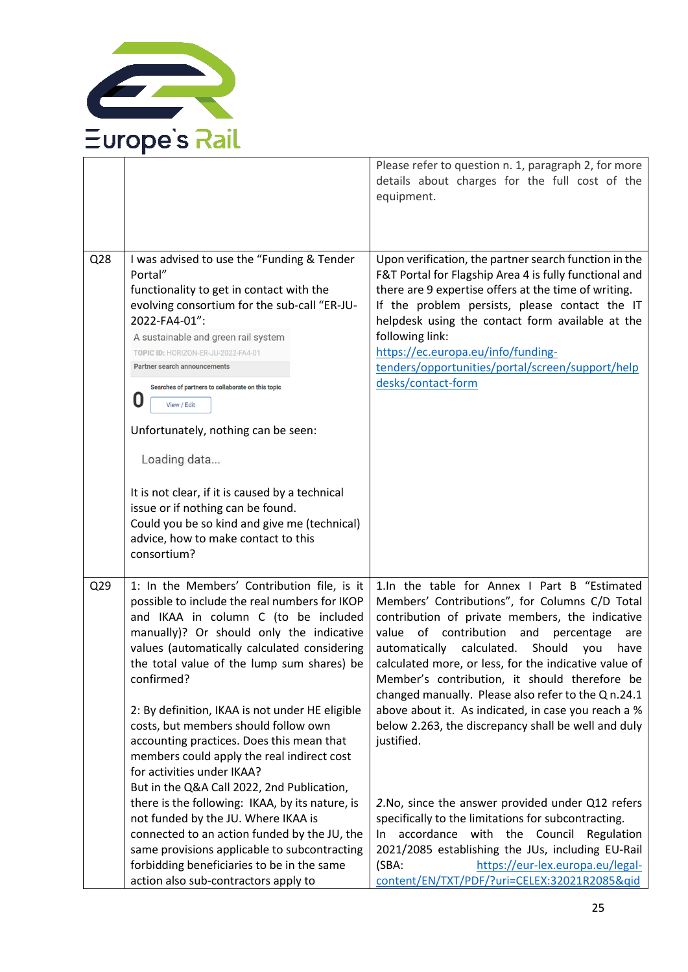

|                 |                                                                                                                                                                                                                                                                                                                                                                                                                                                                                                                  | Please refer to question n. 1, paragraph 2, for more<br>details about charges for the full cost of the<br>equipment.                                                                                                                                                                                                                                                                                                                                                                                                                                      |
|-----------------|------------------------------------------------------------------------------------------------------------------------------------------------------------------------------------------------------------------------------------------------------------------------------------------------------------------------------------------------------------------------------------------------------------------------------------------------------------------------------------------------------------------|-----------------------------------------------------------------------------------------------------------------------------------------------------------------------------------------------------------------------------------------------------------------------------------------------------------------------------------------------------------------------------------------------------------------------------------------------------------------------------------------------------------------------------------------------------------|
| Q28             | I was advised to use the "Funding & Tender<br>Portal"<br>functionality to get in contact with the<br>evolving consortium for the sub-call "ER-JU-<br>2022-FA4-01":<br>A sustainable and green rail system<br>TOPIC ID: HORIZON-ER-JU-2022-FA4-01<br><b>Partner search announcements</b><br>Searches of partners to collaborate on this topic<br>O<br>View / Edit                                                                                                                                                 | Upon verification, the partner search function in the<br>F&T Portal for Flagship Area 4 is fully functional and<br>there are 9 expertise offers at the time of writing.<br>If the problem persists, please contact the IT<br>helpdesk using the contact form available at the<br>following link:<br>https://ec.europa.eu/info/funding-<br>tenders/opportunities/portal/screen/support/help<br>desks/contact-form                                                                                                                                          |
|                 | Unfortunately, nothing can be seen:<br>Loading data<br>It is not clear, if it is caused by a technical<br>issue or if nothing can be found.<br>Could you be so kind and give me (technical)<br>advice, how to make contact to this<br>consortium?                                                                                                                                                                                                                                                                |                                                                                                                                                                                                                                                                                                                                                                                                                                                                                                                                                           |
| Q <sub>29</sub> | 1: In the Members' Contribution file, is it<br>possible to include the real numbers for IKOP<br>and IKAA in column C (to be included<br>manually)? Or should only the indicative<br>values (automatically calculated considering<br>the total value of the lump sum shares) be<br>confirmed?<br>2: By definition, IKAA is not under HE eligible<br>costs, but members should follow own<br>accounting practices. Does this mean that<br>members could apply the real indirect cost<br>for activities under IKAA? | 1.In the table for Annex I Part B "Estimated<br>Members' Contributions", for Columns C/D Total<br>contribution of private members, the indicative<br>value of contribution<br>and<br>percentage<br>are<br>automatically calculated.<br>Should<br>you<br>have<br>calculated more, or less, for the indicative value of<br>Member's contribution, it should therefore be<br>changed manually. Please also refer to the Q n.24.1<br>above about it. As indicated, in case you reach a %<br>below 2.263, the discrepancy shall be well and duly<br>justified. |
|                 | But in the Q&A Call 2022, 2nd Publication,<br>there is the following: IKAA, by its nature, is<br>not funded by the JU. Where IKAA is<br>connected to an action funded by the JU, the<br>same provisions applicable to subcontracting<br>forbidding beneficiaries to be in the same<br>action also sub-contractors apply to                                                                                                                                                                                       | 2. No, since the answer provided under Q12 refers<br>specifically to the limitations for subcontracting.<br>accordance with the Council<br>Regulation<br>In.<br>2021/2085 establishing the JUs, including EU-Rail<br>https://eur-lex.europa.eu/legal-<br>(SBA:<br>content/EN/TXT/PDF/?uri=CELEX:32021R2085&qid                                                                                                                                                                                                                                            |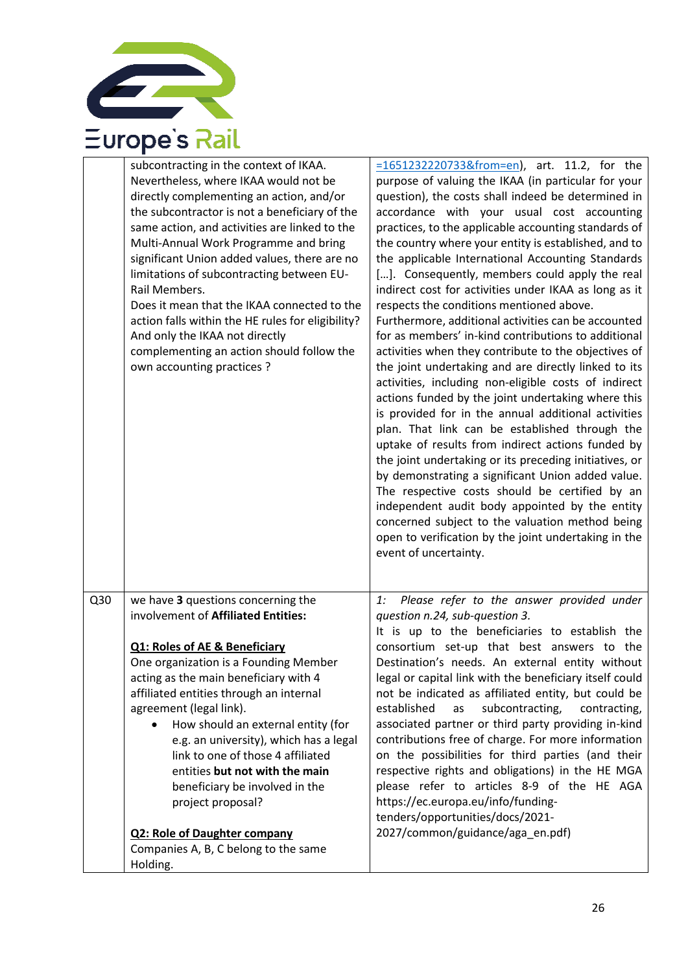

| subcontracting in the context of IKAA.<br>Nevertheless, where IKAA would not be<br>directly complementing an action, and/or<br>the subcontractor is not a beneficiary of the<br>same action, and activities are linked to the<br>Multi-Annual Work Programme and bring<br>significant Union added values, there are no<br>limitations of subcontracting between EU-<br>Rail Members.<br>Does it mean that the IKAA connected to the<br>action falls within the HE rules for eligibility?<br>And only the IKAA not directly<br>complementing an action should follow the<br>own accounting practices ? | $=16512322207338$ from = en), art. 11.2, for the<br>purpose of valuing the IKAA (in particular for your<br>question), the costs shall indeed be determined in<br>accordance with your usual cost accounting<br>practices, to the applicable accounting standards of<br>the country where your entity is established, and to<br>the applicable International Accounting Standards<br>[]. Consequently, members could apply the real<br>indirect cost for activities under IKAA as long as it<br>respects the conditions mentioned above.<br>Furthermore, additional activities can be accounted<br>for as members' in-kind contributions to additional<br>activities when they contribute to the objectives of<br>the joint undertaking and are directly linked to its<br>activities, including non-eligible costs of indirect<br>actions funded by the joint undertaking where this<br>is provided for in the annual additional activities |
|-------------------------------------------------------------------------------------------------------------------------------------------------------------------------------------------------------------------------------------------------------------------------------------------------------------------------------------------------------------------------------------------------------------------------------------------------------------------------------------------------------------------------------------------------------------------------------------------------------|--------------------------------------------------------------------------------------------------------------------------------------------------------------------------------------------------------------------------------------------------------------------------------------------------------------------------------------------------------------------------------------------------------------------------------------------------------------------------------------------------------------------------------------------------------------------------------------------------------------------------------------------------------------------------------------------------------------------------------------------------------------------------------------------------------------------------------------------------------------------------------------------------------------------------------------------|
|                                                                                                                                                                                                                                                                                                                                                                                                                                                                                                                                                                                                       | plan. That link can be established through the<br>uptake of results from indirect actions funded by<br>the joint undertaking or its preceding initiatives, or<br>by demonstrating a significant Union added value.<br>The respective costs should be certified by an<br>independent audit body appointed by the entity<br>concerned subject to the valuation method being<br>open to verification by the joint undertaking in the<br>event of uncertainty.                                                                                                                                                                                                                                                                                                                                                                                                                                                                                 |
| Q30<br>we have 3 questions concerning the                                                                                                                                                                                                                                                                                                                                                                                                                                                                                                                                                             | Please refer to the answer provided under<br>1:                                                                                                                                                                                                                                                                                                                                                                                                                                                                                                                                                                                                                                                                                                                                                                                                                                                                                            |
| involvement of Affiliated Entities:                                                                                                                                                                                                                                                                                                                                                                                                                                                                                                                                                                   | question n.24, sub-question 3.                                                                                                                                                                                                                                                                                                                                                                                                                                                                                                                                                                                                                                                                                                                                                                                                                                                                                                             |
| <b>Q1: Roles of AE &amp; Beneficiary</b>                                                                                                                                                                                                                                                                                                                                                                                                                                                                                                                                                              | It is up to the beneficiaries to establish the<br>consortium set-up that best answers to the                                                                                                                                                                                                                                                                                                                                                                                                                                                                                                                                                                                                                                                                                                                                                                                                                                               |
| One organization is a Founding Member                                                                                                                                                                                                                                                                                                                                                                                                                                                                                                                                                                 | Destination's needs. An external entity without                                                                                                                                                                                                                                                                                                                                                                                                                                                                                                                                                                                                                                                                                                                                                                                                                                                                                            |
| acting as the main beneficiary with 4<br>affiliated entities through an internal                                                                                                                                                                                                                                                                                                                                                                                                                                                                                                                      | legal or capital link with the beneficiary itself could<br>not be indicated as affiliated entity, but could be                                                                                                                                                                                                                                                                                                                                                                                                                                                                                                                                                                                                                                                                                                                                                                                                                             |
| agreement (legal link).                                                                                                                                                                                                                                                                                                                                                                                                                                                                                                                                                                               | subcontracting,<br>established<br>contracting,<br>as                                                                                                                                                                                                                                                                                                                                                                                                                                                                                                                                                                                                                                                                                                                                                                                                                                                                                       |
| How should an external entity (for                                                                                                                                                                                                                                                                                                                                                                                                                                                                                                                                                                    | associated partner or third party providing in-kind                                                                                                                                                                                                                                                                                                                                                                                                                                                                                                                                                                                                                                                                                                                                                                                                                                                                                        |
| e.g. an university), which has a legal<br>link to one of those 4 affiliated                                                                                                                                                                                                                                                                                                                                                                                                                                                                                                                           | contributions free of charge. For more information                                                                                                                                                                                                                                                                                                                                                                                                                                                                                                                                                                                                                                                                                                                                                                                                                                                                                         |
| entities but not with the main                                                                                                                                                                                                                                                                                                                                                                                                                                                                                                                                                                        |                                                                                                                                                                                                                                                                                                                                                                                                                                                                                                                                                                                                                                                                                                                                                                                                                                                                                                                                            |
|                                                                                                                                                                                                                                                                                                                                                                                                                                                                                                                                                                                                       | on the possibilities for third parties (and their<br>respective rights and obligations) in the HE MGA                                                                                                                                                                                                                                                                                                                                                                                                                                                                                                                                                                                                                                                                                                                                                                                                                                      |
| beneficiary be involved in the                                                                                                                                                                                                                                                                                                                                                                                                                                                                                                                                                                        | please refer to articles 8-9 of the HE AGA                                                                                                                                                                                                                                                                                                                                                                                                                                                                                                                                                                                                                                                                                                                                                                                                                                                                                                 |
| project proposal?                                                                                                                                                                                                                                                                                                                                                                                                                                                                                                                                                                                     | https://ec.europa.eu/info/funding-<br>tenders/opportunities/docs/2021-                                                                                                                                                                                                                                                                                                                                                                                                                                                                                                                                                                                                                                                                                                                                                                                                                                                                     |
| <b>Q2: Role of Daughter company</b><br>Companies A, B, C belong to the same                                                                                                                                                                                                                                                                                                                                                                                                                                                                                                                           | 2027/common/guidance/aga_en.pdf)                                                                                                                                                                                                                                                                                                                                                                                                                                                                                                                                                                                                                                                                                                                                                                                                                                                                                                           |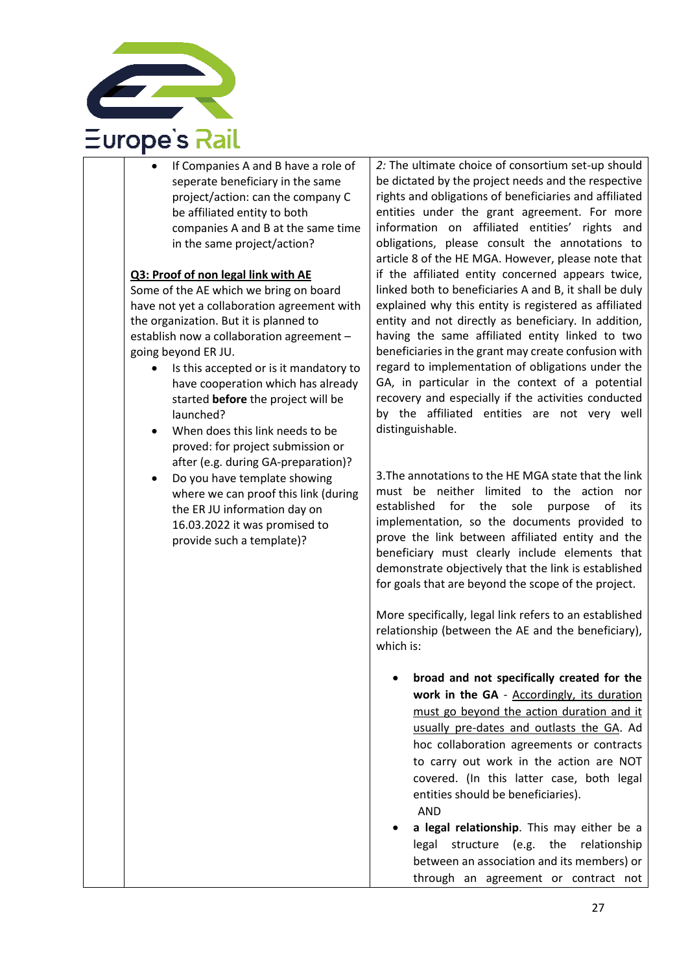

If Companies A and B have a role of seperate beneficiary in the same project/action: can the company C be affiliated entity to both companies A and B at the same time in the same project/action?

#### **Q3: Proof of non legal link with AE**

Some of the AE which we bring on board have not yet a collaboration agreement with the organization. But it is planned to establish now a collaboration agreement – going beyond ER JU.

- Is this accepted or is it mandatory to have cooperation which has already started **before** the project will be launched?
- When does this link needs to be proved: for project submission or after (e.g. during GA-preparation)?
- Do you have template showing where we can proof this link (during the ER JU information day on 16.03.2022 it was promised to provide such a template)?

*2:* The ultimate choice of consortium set-up should be dictated by the project needs and the respective rights and obligations of beneficiaries and affiliated entities under the grant agreement. For more information on affiliated entities' rights and obligations, please consult the annotations to article 8 of the HE MGA. However, please note that if the affiliated entity concerned appears twice, linked both to beneficiaries A and B, it shall be duly explained why this entity is registered as affiliated entity and not directly as beneficiary. In addition, having the same affiliated entity linked to two beneficiaries in the grant may create confusion with regard to implementation of obligations under the GA, in particular in the context of a potential recovery and especially if the activities conducted by the affiliated entities are not very well distinguishable.

3.The annotations to the HE MGA state that the link must be neither limited to the action nor established for the sole purpose of its implementation, so the documents provided to prove the link between affiliated entity and the beneficiary must clearly include elements that demonstrate objectively that the link is established for goals that are beyond the scope of the project.

More specifically, legal link refers to an established relationship (between the AE and the beneficiary), which is:

- **broad and not specifically created for the work in the GA** - Accordingly, its duration must go beyond the action duration and it usually pre-dates and outlasts the GA. Ad hoc collaboration agreements or contracts to carry out work in the action are NOT covered. (In this latter case, both legal entities should be beneficiaries). AND
- **a legal relationship**. This may either be a legal structure (e.g. the relationship between an association and its members) or through an agreement or contract not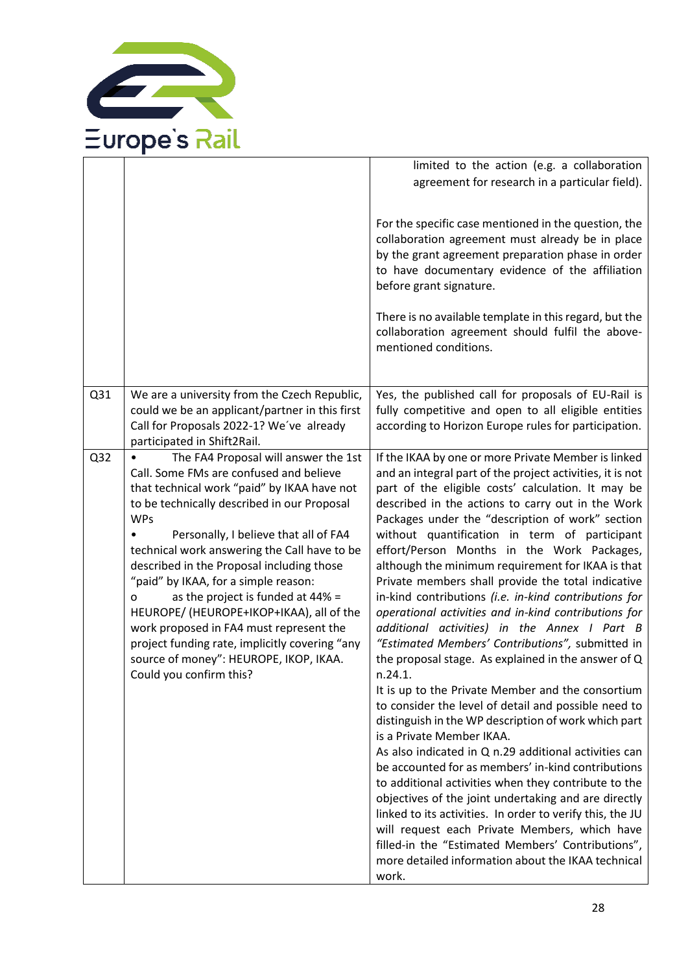

|                 |                                                                                                                                                                                                                                                                                                                                                                                                                                                                                                                                                                                                                                   | limited to the action (e.g. a collaboration<br>agreement for research in a particular field).                                                                                                                                                                                                                                                                                                                                                                                                                                                                                                                                                                                                                                                                                                                                                                                                                                                                                                                                                                                                                                                                                                                                                                                                                                                                                                                                                       |
|-----------------|-----------------------------------------------------------------------------------------------------------------------------------------------------------------------------------------------------------------------------------------------------------------------------------------------------------------------------------------------------------------------------------------------------------------------------------------------------------------------------------------------------------------------------------------------------------------------------------------------------------------------------------|-----------------------------------------------------------------------------------------------------------------------------------------------------------------------------------------------------------------------------------------------------------------------------------------------------------------------------------------------------------------------------------------------------------------------------------------------------------------------------------------------------------------------------------------------------------------------------------------------------------------------------------------------------------------------------------------------------------------------------------------------------------------------------------------------------------------------------------------------------------------------------------------------------------------------------------------------------------------------------------------------------------------------------------------------------------------------------------------------------------------------------------------------------------------------------------------------------------------------------------------------------------------------------------------------------------------------------------------------------------------------------------------------------------------------------------------------------|
|                 |                                                                                                                                                                                                                                                                                                                                                                                                                                                                                                                                                                                                                                   | For the specific case mentioned in the question, the<br>collaboration agreement must already be in place<br>by the grant agreement preparation phase in order<br>to have documentary evidence of the affiliation<br>before grant signature.                                                                                                                                                                                                                                                                                                                                                                                                                                                                                                                                                                                                                                                                                                                                                                                                                                                                                                                                                                                                                                                                                                                                                                                                         |
|                 |                                                                                                                                                                                                                                                                                                                                                                                                                                                                                                                                                                                                                                   | There is no available template in this regard, but the<br>collaboration agreement should fulfil the above-<br>mentioned conditions.                                                                                                                                                                                                                                                                                                                                                                                                                                                                                                                                                                                                                                                                                                                                                                                                                                                                                                                                                                                                                                                                                                                                                                                                                                                                                                                 |
| Q31             | We are a university from the Czech Republic,<br>could we be an applicant/partner in this first<br>Call for Proposals 2022-1? We've already<br>participated in Shift2Rail.                                                                                                                                                                                                                                                                                                                                                                                                                                                         | Yes, the published call for proposals of EU-Rail is<br>fully competitive and open to all eligible entities<br>according to Horizon Europe rules for participation.                                                                                                                                                                                                                                                                                                                                                                                                                                                                                                                                                                                                                                                                                                                                                                                                                                                                                                                                                                                                                                                                                                                                                                                                                                                                                  |
| Q <sub>32</sub> | The FA4 Proposal will answer the 1st<br>Call. Some FMs are confused and believe<br>that technical work "paid" by IKAA have not<br>to be technically described in our Proposal<br><b>WPs</b><br>Personally, I believe that all of FA4<br>technical work answering the Call have to be<br>described in the Proposal including those<br>"paid" by IKAA, for a simple reason:<br>as the project is funded at 44% =<br>o<br>HEUROPE/ (HEUROPE+IKOP+IKAA), all of the<br>work proposed in FA4 must represent the<br>project funding rate, implicitly covering "any<br>source of money": HEUROPE, IKOP, IKAA.<br>Could you confirm this? | If the IKAA by one or more Private Member is linked<br>and an integral part of the project activities, it is not<br>part of the eligible costs' calculation. It may be<br>described in the actions to carry out in the Work<br>Packages under the "description of work" section<br>without quantification in term of participant<br>effort/Person Months in the Work Packages,<br>although the minimum requirement for IKAA is that<br>Private members shall provide the total indicative<br>in-kind contributions (i.e. in-kind contributions for<br>operational activities and in-kind contributions for<br>additional activities) in the Annex I Part B<br>"Estimated Members' Contributions", submitted in<br>the proposal stage. As explained in the answer of Q<br>n.24.1.<br>It is up to the Private Member and the consortium<br>to consider the level of detail and possible need to<br>distinguish in the WP description of work which part<br>is a Private Member IKAA.<br>As also indicated in Q n.29 additional activities can<br>be accounted for as members' in-kind contributions<br>to additional activities when they contribute to the<br>objectives of the joint undertaking and are directly<br>linked to its activities. In order to verify this, the JU<br>will request each Private Members, which have<br>filled-in the "Estimated Members' Contributions",<br>more detailed information about the IKAA technical<br>work. |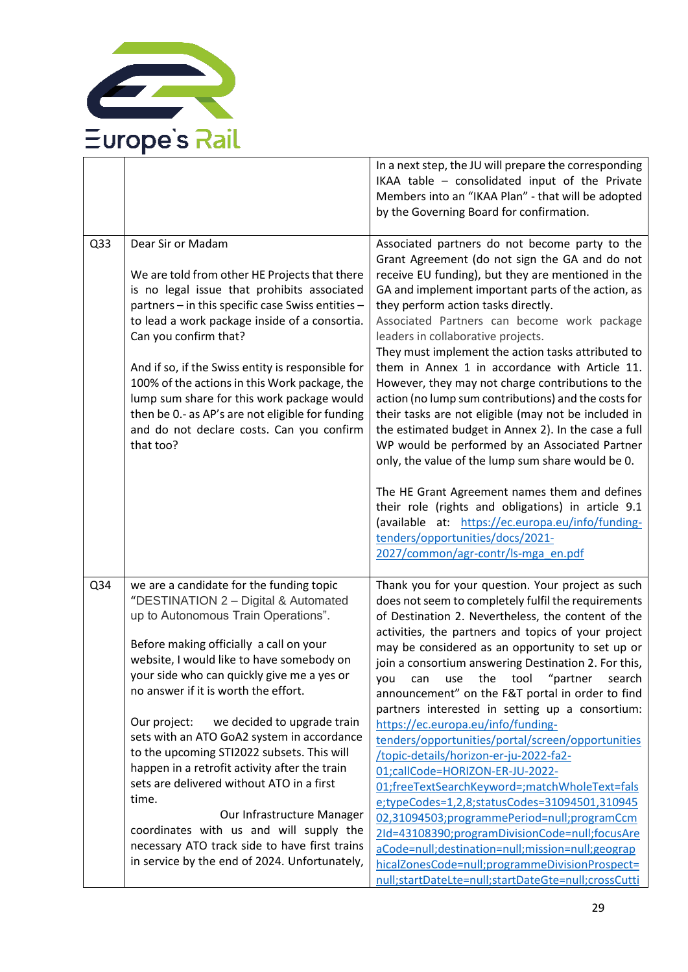

|                 |                                                                                                                                                                                                                                                                                                                                                                                                                                                                                                                                                                                                                                                                                                                                    | In a next step, the JU will prepare the corresponding<br>IKAA table - consolidated input of the Private<br>Members into an "IKAA Plan" - that will be adopted<br>by the Governing Board for confirmation.                                                                                                                                                                                                                                                                                                                                                                                                                                                                                                                                                                                                                                                                                                                                                                                                                                  |
|-----------------|------------------------------------------------------------------------------------------------------------------------------------------------------------------------------------------------------------------------------------------------------------------------------------------------------------------------------------------------------------------------------------------------------------------------------------------------------------------------------------------------------------------------------------------------------------------------------------------------------------------------------------------------------------------------------------------------------------------------------------|--------------------------------------------------------------------------------------------------------------------------------------------------------------------------------------------------------------------------------------------------------------------------------------------------------------------------------------------------------------------------------------------------------------------------------------------------------------------------------------------------------------------------------------------------------------------------------------------------------------------------------------------------------------------------------------------------------------------------------------------------------------------------------------------------------------------------------------------------------------------------------------------------------------------------------------------------------------------------------------------------------------------------------------------|
| Q <sub>33</sub> | Dear Sir or Madam<br>We are told from other HE Projects that there<br>is no legal issue that prohibits associated<br>partners - in this specific case Swiss entities -<br>to lead a work package inside of a consortia.<br>Can you confirm that?<br>And if so, if the Swiss entity is responsible for<br>100% of the actions in this Work package, the<br>lump sum share for this work package would<br>then be 0.- as AP's are not eligible for funding<br>and do not declare costs. Can you confirm<br>that too?                                                                                                                                                                                                                 | Associated partners do not become party to the<br>Grant Agreement (do not sign the GA and do not<br>receive EU funding), but they are mentioned in the<br>GA and implement important parts of the action, as<br>they perform action tasks directly.<br>Associated Partners can become work package<br>leaders in collaborative projects.<br>They must implement the action tasks attributed to<br>them in Annex 1 in accordance with Article 11.<br>However, they may not charge contributions to the<br>action (no lump sum contributions) and the costs for<br>their tasks are not eligible (may not be included in<br>the estimated budget in Annex 2). In the case a full<br>WP would be performed by an Associated Partner<br>only, the value of the lump sum share would be 0.                                                                                                                                                                                                                                                       |
|                 |                                                                                                                                                                                                                                                                                                                                                                                                                                                                                                                                                                                                                                                                                                                                    | The HE Grant Agreement names them and defines<br>their role (rights and obligations) in article 9.1<br>(available at: https://ec.europa.eu/info/funding-<br>tenders/opportunities/docs/2021-<br>2027/common/agr-contr/ls-mga en.pdf                                                                                                                                                                                                                                                                                                                                                                                                                                                                                                                                                                                                                                                                                                                                                                                                        |
| Q34             | we are a candidate for the funding topic<br>"DESTINATION 2 - Digital & Automated<br>up to Autonomous Train Operations".<br>Before making officially a call on your<br>website, I would like to have somebody on<br>your side who can quickly give me a yes or<br>no answer if it is worth the effort.<br>Our project:<br>we decided to upgrade train<br>sets with an ATO GoA2 system in accordance<br>to the upcoming STI2022 subsets. This will<br>happen in a retrofit activity after the train<br>sets are delivered without ATO in a first<br>time.<br>Our Infrastructure Manager<br>coordinates with us and will supply the<br>necessary ATO track side to have first trains<br>in service by the end of 2024. Unfortunately, | Thank you for your question. Your project as such<br>does not seem to completely fulfil the requirements<br>of Destination 2. Nevertheless, the content of the<br>activities, the partners and topics of your project<br>may be considered as an opportunity to set up or<br>join a consortium answering Destination 2. For this,<br>$"$ partner<br>the tool<br>search<br>you<br>can<br>use<br>announcement" on the F&T portal in order to find<br>partners interested in setting up a consortium:<br>https://ec.europa.eu/info/funding-<br>tenders/opportunities/portal/screen/opportunities<br>/topic-details/horizon-er-ju-2022-fa2-<br>01;callCode=HORIZON-ER-JU-2022-<br>01;freeTextSearchKeyword=;matchWholeText=fals<br>e;typeCodes=1,2,8;statusCodes=31094501,310945<br>02,31094503;programmePeriod=null;programCcm<br>2Id=43108390;programDivisionCode=null;focusAre<br>aCode=null;destination=null;mission=null;geograp<br>hicalZonesCode=null;programmeDivisionProspect=<br>null;startDateLte=null;startDateGte=null;crossCutti |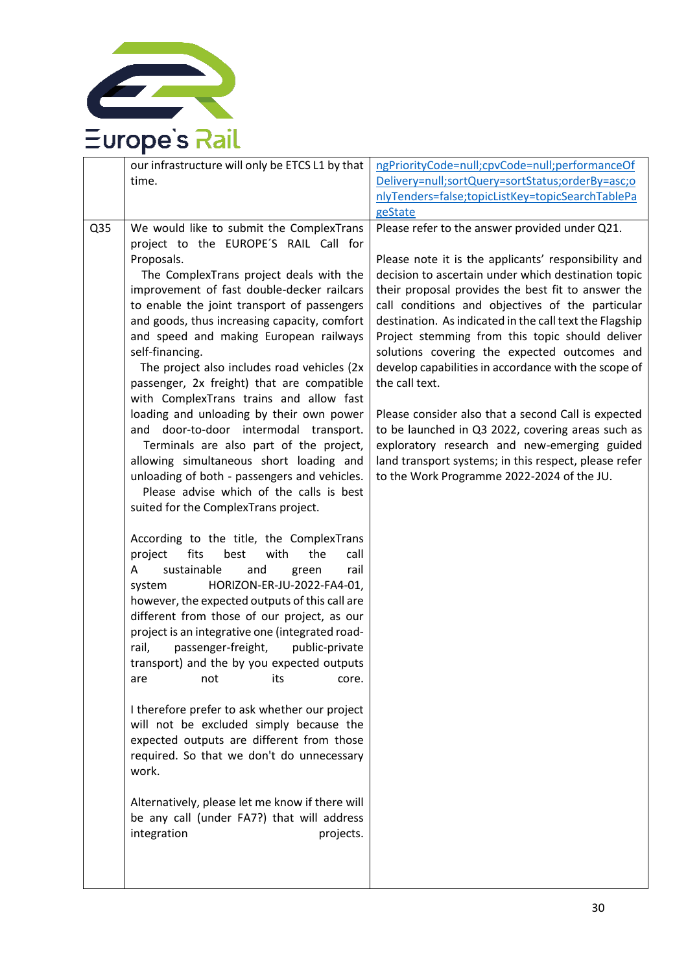

| Q35 | our infrastructure will only be ETCS L1 by that<br>time.<br>We would like to submit the ComplexTrans<br>project to the EUROPE'S RAIL Call for                                                                                                                                                                                                                                                                                                                                                                                                                                                                                                                                                                                                                                                                                                                                                                                                                                                                                                                                                                                                                                                                                                                                                                                                                                                                                                                                                                             | ngPriorityCode=null;cpvCode=null;performanceOf<br>Delivery=null;sortQuery=sortStatus;orderBy=asc;o<br>nlyTenders=false;topicListKey=topicSearchTablePa<br>geState<br>Please refer to the answer provided under Q21.                                                                                                                                                                                                                                                                                                                                                                                                                                                                                                              |
|-----|---------------------------------------------------------------------------------------------------------------------------------------------------------------------------------------------------------------------------------------------------------------------------------------------------------------------------------------------------------------------------------------------------------------------------------------------------------------------------------------------------------------------------------------------------------------------------------------------------------------------------------------------------------------------------------------------------------------------------------------------------------------------------------------------------------------------------------------------------------------------------------------------------------------------------------------------------------------------------------------------------------------------------------------------------------------------------------------------------------------------------------------------------------------------------------------------------------------------------------------------------------------------------------------------------------------------------------------------------------------------------------------------------------------------------------------------------------------------------------------------------------------------------|----------------------------------------------------------------------------------------------------------------------------------------------------------------------------------------------------------------------------------------------------------------------------------------------------------------------------------------------------------------------------------------------------------------------------------------------------------------------------------------------------------------------------------------------------------------------------------------------------------------------------------------------------------------------------------------------------------------------------------|
|     | Proposals.<br>The ComplexTrans project deals with the<br>improvement of fast double-decker railcars<br>to enable the joint transport of passengers<br>and goods, thus increasing capacity, comfort<br>and speed and making European railways<br>self-financing.<br>The project also includes road vehicles (2x<br>passenger, 2x freight) that are compatible<br>with ComplexTrans trains and allow fast<br>loading and unloading by their own power<br>door-to-door intermodal transport.<br>and<br>Terminals are also part of the project,<br>allowing simultaneous short loading and<br>unloading of both - passengers and vehicles.<br>Please advise which of the calls is best<br>suited for the ComplexTrans project.<br>According to the title, the ComplexTrans<br>project<br>fits<br>the<br>best<br>with<br>call<br>sustainable<br>and<br>rail<br>A<br>green<br>HORIZON-ER-JU-2022-FA4-01,<br>system<br>however, the expected outputs of this call are<br>different from those of our project, as our<br>project is an integrative one (integrated road-<br>passenger-freight,<br>rail,<br>public-private<br>transport) and the by you expected outputs<br>its<br>not<br>are<br>core.<br>I therefore prefer to ask whether our project<br>will not be excluded simply because the<br>expected outputs are different from those<br>required. So that we don't do unnecessary<br>work.<br>Alternatively, please let me know if there will<br>be any call (under FA7?) that will address<br>integration<br>projects. | Please note it is the applicants' responsibility and<br>decision to ascertain under which destination topic<br>their proposal provides the best fit to answer the<br>call conditions and objectives of the particular<br>destination. As indicated in the call text the Flagship<br>Project stemming from this topic should deliver<br>solutions covering the expected outcomes and<br>develop capabilities in accordance with the scope of<br>the call text.<br>Please consider also that a second Call is expected<br>to be launched in Q3 2022, covering areas such as<br>exploratory research and new-emerging guided<br>land transport systems; in this respect, please refer<br>to the Work Programme 2022-2024 of the JU. |
|     |                                                                                                                                                                                                                                                                                                                                                                                                                                                                                                                                                                                                                                                                                                                                                                                                                                                                                                                                                                                                                                                                                                                                                                                                                                                                                                                                                                                                                                                                                                                           |                                                                                                                                                                                                                                                                                                                                                                                                                                                                                                                                                                                                                                                                                                                                  |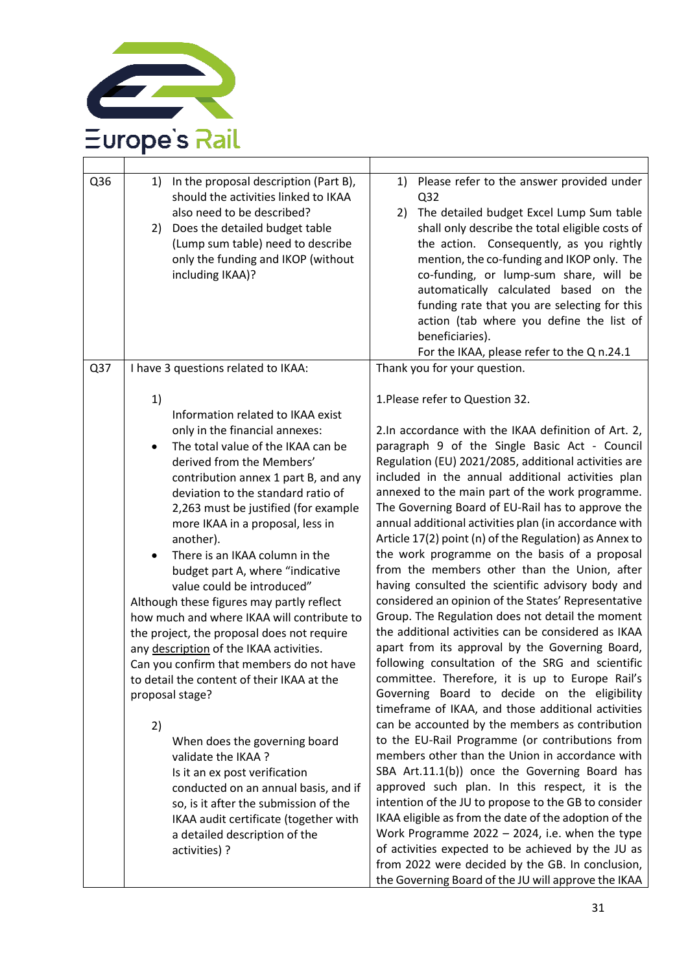

| Q36 | In the proposal description (Part B),<br>1)<br>should the activities linked to IKAA<br>also need to be described?<br>Does the detailed budget table<br>2)<br>(Lump sum table) need to describe<br>only the funding and IKOP (without<br>including IKAA)?                                                                                                                                                                                                                                                                                                                                                                                                                                                                                                                                                                                                                                                                                                                                           | Please refer to the answer provided under<br>1)<br>Q <sub>32</sub><br>The detailed budget Excel Lump Sum table<br>2)<br>shall only describe the total eligible costs of<br>the action. Consequently, as you rightly<br>mention, the co-funding and IKOP only. The<br>co-funding, or lump-sum share, will be<br>automatically calculated based on the<br>funding rate that you are selecting for this<br>action (tab where you define the list of<br>beneficiaries).<br>For the IKAA, please refer to the Q n.24.1                                                                                                                                                                                                                                                                                                                                                                                                                                                                                                                                                                                                                                                                                                                                                                                                                                                                                                                                                                                                                                                                                                                                                        |
|-----|----------------------------------------------------------------------------------------------------------------------------------------------------------------------------------------------------------------------------------------------------------------------------------------------------------------------------------------------------------------------------------------------------------------------------------------------------------------------------------------------------------------------------------------------------------------------------------------------------------------------------------------------------------------------------------------------------------------------------------------------------------------------------------------------------------------------------------------------------------------------------------------------------------------------------------------------------------------------------------------------------|--------------------------------------------------------------------------------------------------------------------------------------------------------------------------------------------------------------------------------------------------------------------------------------------------------------------------------------------------------------------------------------------------------------------------------------------------------------------------------------------------------------------------------------------------------------------------------------------------------------------------------------------------------------------------------------------------------------------------------------------------------------------------------------------------------------------------------------------------------------------------------------------------------------------------------------------------------------------------------------------------------------------------------------------------------------------------------------------------------------------------------------------------------------------------------------------------------------------------------------------------------------------------------------------------------------------------------------------------------------------------------------------------------------------------------------------------------------------------------------------------------------------------------------------------------------------------------------------------------------------------------------------------------------------------|
| Q37 | I have 3 questions related to IKAA:                                                                                                                                                                                                                                                                                                                                                                                                                                                                                                                                                                                                                                                                                                                                                                                                                                                                                                                                                                | Thank you for your question.                                                                                                                                                                                                                                                                                                                                                                                                                                                                                                                                                                                                                                                                                                                                                                                                                                                                                                                                                                                                                                                                                                                                                                                                                                                                                                                                                                                                                                                                                                                                                                                                                                             |
|     | 1)<br>Information related to IKAA exist<br>only in the financial annexes:<br>The total value of the IKAA can be<br>derived from the Members'<br>contribution annex 1 part B, and any<br>deviation to the standard ratio of<br>2,263 must be justified (for example<br>more IKAA in a proposal, less in<br>another).<br>There is an IKAA column in the<br>budget part A, where "indicative<br>value could be introduced"<br>Although these figures may partly reflect<br>how much and where IKAA will contribute to<br>the project, the proposal does not require<br>any description of the IKAA activities.<br>Can you confirm that members do not have<br>to detail the content of their IKAA at the<br>proposal stage?<br>2)<br>When does the governing board<br>validate the IKAA?<br>Is it an ex post verification<br>conducted on an annual basis, and if<br>so, is it after the submission of the<br>IKAA audit certificate (together with<br>a detailed description of the<br>activities) ? | 1. Please refer to Question 32.<br>2. In accordance with the IKAA definition of Art. 2,<br>paragraph 9 of the Single Basic Act - Council<br>Regulation (EU) 2021/2085, additional activities are<br>included in the annual additional activities plan<br>annexed to the main part of the work programme.<br>The Governing Board of EU-Rail has to approve the<br>annual additional activities plan (in accordance with<br>Article 17(2) point (n) of the Regulation) as Annex to<br>the work programme on the basis of a proposal<br>from the members other than the Union, after<br>having consulted the scientific advisory body and<br>considered an opinion of the States' Representative<br>Group. The Regulation does not detail the moment<br>the additional activities can be considered as IKAA<br>apart from its approval by the Governing Board,<br>following consultation of the SRG and scientific<br>committee. Therefore, it is up to Europe Rail's<br>Governing Board to decide on the eligibility<br>timeframe of IKAA, and those additional activities<br>can be accounted by the members as contribution<br>to the EU-Rail Programme (or contributions from<br>members other than the Union in accordance with<br>SBA Art.11.1(b)) once the Governing Board has<br>approved such plan. In this respect, it is the<br>intention of the JU to propose to the GB to consider<br>IKAA eligible as from the date of the adoption of the<br>Work Programme 2022 - 2024, i.e. when the type<br>of activities expected to be achieved by the JU as<br>from 2022 were decided by the GB. In conclusion,<br>the Governing Board of the JU will approve the IKAA |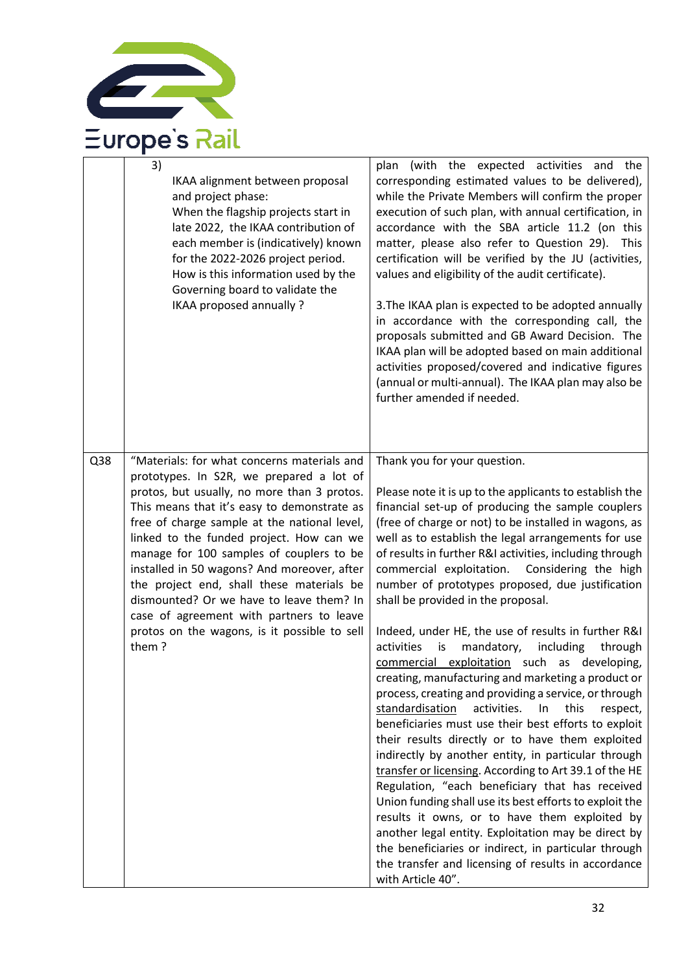

|     | 3)<br>IKAA alignment between proposal<br>and project phase:<br>When the flagship projects start in<br>late 2022, the IKAA contribution of<br>each member is (indicatively) known<br>for the 2022-2026 project period.<br>How is this information used by the<br>Governing board to validate the<br>IKAA proposed annually ?                                                                                                                                                                                                                                                | plan (with the expected activities and the<br>corresponding estimated values to be delivered),<br>while the Private Members will confirm the proper<br>execution of such plan, with annual certification, in<br>accordance with the SBA article 11.2 (on this<br>matter, please also refer to Question 29). This<br>certification will be verified by the JU (activities,<br>values and eligibility of the audit certificate).<br>3. The IKAA plan is expected to be adopted annually<br>in accordance with the corresponding call, the<br>proposals submitted and GB Award Decision. The<br>IKAA plan will be adopted based on main additional<br>activities proposed/covered and indicative figures<br>(annual or multi-annual). The IKAA plan may also be<br>further amended if needed.                                                                                                                                                                                                                                                                                                                                                                                                                                                                                                                                                                                                           |
|-----|----------------------------------------------------------------------------------------------------------------------------------------------------------------------------------------------------------------------------------------------------------------------------------------------------------------------------------------------------------------------------------------------------------------------------------------------------------------------------------------------------------------------------------------------------------------------------|------------------------------------------------------------------------------------------------------------------------------------------------------------------------------------------------------------------------------------------------------------------------------------------------------------------------------------------------------------------------------------------------------------------------------------------------------------------------------------------------------------------------------------------------------------------------------------------------------------------------------------------------------------------------------------------------------------------------------------------------------------------------------------------------------------------------------------------------------------------------------------------------------------------------------------------------------------------------------------------------------------------------------------------------------------------------------------------------------------------------------------------------------------------------------------------------------------------------------------------------------------------------------------------------------------------------------------------------------------------------------------------------------|
| Q38 | "Materials: for what concerns materials and<br>prototypes. In S2R, we prepared a lot of<br>protos, but usually, no more than 3 protos.<br>This means that it's easy to demonstrate as<br>free of charge sample at the national level,<br>linked to the funded project. How can we<br>manage for 100 samples of couplers to be<br>installed in 50 wagons? And moreover, after<br>the project end, shall these materials be<br>dismounted? Or we have to leave them? In<br>case of agreement with partners to leave<br>protos on the wagons, is it possible to sell<br>them? | Thank you for your question.<br>Please note it is up to the applicants to establish the<br>financial set-up of producing the sample couplers<br>(free of charge or not) to be installed in wagons, as<br>well as to establish the legal arrangements for use<br>of results in further R&I activities, including through<br>commercial exploitation. Considering the high<br>number of prototypes proposed, due justification<br>shall be provided in the proposal.<br>Indeed, under HE, the use of results in further R&I<br>activities<br>mandatory,<br>is<br>including<br>through<br>commercial exploitation such as developing,<br>creating, manufacturing and marketing a product or<br>process, creating and providing a service, or through<br>standardisation<br>activities.<br>In<br>this<br>respect,<br>beneficiaries must use their best efforts to exploit<br>their results directly or to have them exploited<br>indirectly by another entity, in particular through<br>transfer or licensing. According to Art 39.1 of the HE<br>Regulation, "each beneficiary that has received<br>Union funding shall use its best efforts to exploit the<br>results it owns, or to have them exploited by<br>another legal entity. Exploitation may be direct by<br>the beneficiaries or indirect, in particular through<br>the transfer and licensing of results in accordance<br>with Article 40". |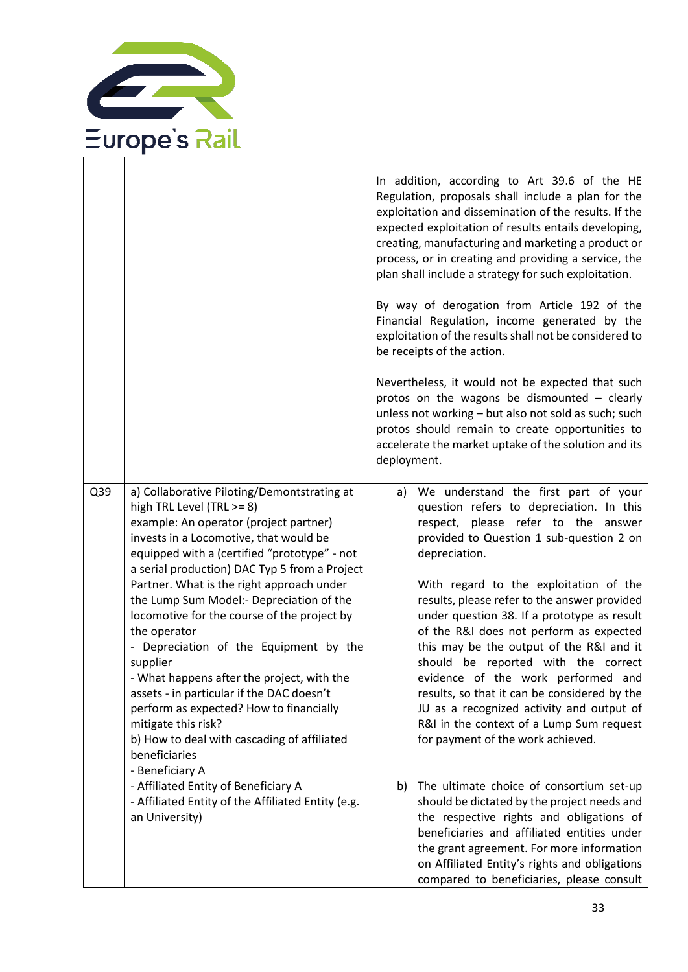

|     |                                                                                                                                                                                                                                                                                                                                                                                                                                                                                                                                                                                                                                                                                                                             | In addition, according to Art 39.6 of the HE<br>Regulation, proposals shall include a plan for the<br>exploitation and dissemination of the results. If the<br>expected exploitation of results entails developing,<br>creating, manufacturing and marketing a product or<br>process, or in creating and providing a service, the<br>plan shall include a strategy for such exploitation.<br>By way of derogation from Article 192 of the<br>Financial Regulation, income generated by the<br>exploitation of the results shall not be considered to<br>be receipts of the action.<br>Nevertheless, it would not be expected that such<br>protos on the wagons be dismounted - clearly<br>unless not working - but also not sold as such; such<br>protos should remain to create opportunities to<br>accelerate the market uptake of the solution and its<br>deployment. |
|-----|-----------------------------------------------------------------------------------------------------------------------------------------------------------------------------------------------------------------------------------------------------------------------------------------------------------------------------------------------------------------------------------------------------------------------------------------------------------------------------------------------------------------------------------------------------------------------------------------------------------------------------------------------------------------------------------------------------------------------------|--------------------------------------------------------------------------------------------------------------------------------------------------------------------------------------------------------------------------------------------------------------------------------------------------------------------------------------------------------------------------------------------------------------------------------------------------------------------------------------------------------------------------------------------------------------------------------------------------------------------------------------------------------------------------------------------------------------------------------------------------------------------------------------------------------------------------------------------------------------------------|
| Q39 | a) Collaborative Piloting/Demontstrating at<br>high TRL Level (TRL >= 8)<br>example: An operator (project partner)<br>invests in a Locomotive, that would be<br>equipped with a (certified "prototype" - not<br>a serial production) DAC Typ 5 from a Project<br>Partner. What is the right approach under<br>the Lump Sum Model:- Depreciation of the<br>locomotive for the course of the project by<br>the operator<br>- Depreciation of the Equipment by the<br>supplier<br>- What happens after the project, with the<br>assets - in particular if the DAC doesn't<br>perform as expected? How to financially<br>mitigate this risk?<br>b) How to deal with cascading of affiliated<br>beneficiaries<br>- Beneficiary A | a) We understand the first part of your<br>question refers to depreciation. In this<br>respect, please refer to the answer<br>provided to Question 1 sub-question 2 on<br>depreciation.<br>With regard to the exploitation of the<br>results, please refer to the answer provided<br>under question 38. If a prototype as result<br>of the R&I does not perform as expected<br>this may be the output of the R&I and it<br>should be reported with the correct<br>evidence of the work performed and<br>results, so that it can be considered by the<br>JU as a recognized activity and output of<br>R&I in the context of a Lump Sum request<br>for payment of the work achieved.                                                                                                                                                                                       |
|     | - Affiliated Entity of Beneficiary A<br>- Affiliated Entity of the Affiliated Entity (e.g.<br>an University)                                                                                                                                                                                                                                                                                                                                                                                                                                                                                                                                                                                                                | The ultimate choice of consortium set-up<br>b)<br>should be dictated by the project needs and<br>the respective rights and obligations of<br>beneficiaries and affiliated entities under<br>the grant agreement. For more information<br>on Affiliated Entity's rights and obligations<br>compared to beneficiaries, please consult                                                                                                                                                                                                                                                                                                                                                                                                                                                                                                                                      |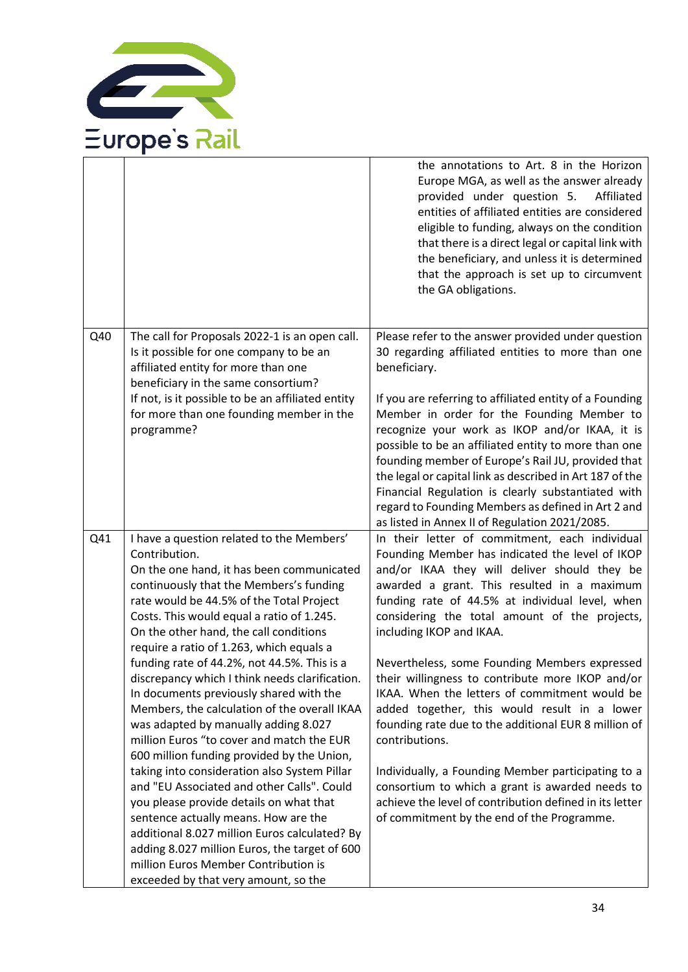

|     |                                                                                                                                                                                                                                                                                                                                                                 | the annotations to Art. 8 in the Horizon<br>Europe MGA, as well as the answer already<br>provided under question 5.<br>Affiliated<br>entities of affiliated entities are considered<br>eligible to funding, always on the condition<br>that there is a direct legal or capital link with<br>the beneficiary, and unless it is determined<br>that the approach is set up to circumvent<br>the GA obligations. |
|-----|-----------------------------------------------------------------------------------------------------------------------------------------------------------------------------------------------------------------------------------------------------------------------------------------------------------------------------------------------------------------|--------------------------------------------------------------------------------------------------------------------------------------------------------------------------------------------------------------------------------------------------------------------------------------------------------------------------------------------------------------------------------------------------------------|
| Q40 | The call for Proposals 2022-1 is an open call.<br>Is it possible for one company to be an<br>affiliated entity for more than one<br>beneficiary in the same consortium?<br>If not, is it possible to be an affiliated entity<br>for more than one founding member in the<br>programme?                                                                          | Please refer to the answer provided under question<br>30 regarding affiliated entities to more than one<br>beneficiary.<br>If you are referring to affiliated entity of a Founding<br>Member in order for the Founding Member to<br>recognize your work as IKOP and/or IKAA, it is                                                                                                                           |
|     |                                                                                                                                                                                                                                                                                                                                                                 | possible to be an affiliated entity to more than one<br>founding member of Europe's Rail JU, provided that<br>the legal or capital link as described in Art 187 of the<br>Financial Regulation is clearly substantiated with<br>regard to Founding Members as defined in Art 2 and<br>as listed in Annex II of Regulation 2021/2085.                                                                         |
| Q41 | I have a question related to the Members'<br>Contribution.<br>On the one hand, it has been communicated<br>continuously that the Members's funding<br>rate would be 44.5% of the Total Project<br>Costs. This would equal a ratio of 1.245.<br>On the other hand, the call conditions<br>require a ratio of 1.263, which equals a                               | In their letter of commitment, each individual<br>Founding Member has indicated the level of IKOP<br>and/or IKAA they will deliver should they be<br>awarded a grant. This resulted in a maximum<br>funding rate of 44.5% at individual level, when<br>considering the total amount of the projects,<br>including IKOP and IKAA.                                                                             |
|     | funding rate of 44.2%, not 44.5%. This is a<br>discrepancy which I think needs clarification.<br>In documents previously shared with the<br>Members, the calculation of the overall IKAA<br>was adapted by manually adding 8.027<br>million Euros "to cover and match the EUR<br>600 million funding provided by the Union,                                     | Nevertheless, some Founding Members expressed<br>their willingness to contribute more IKOP and/or<br>IKAA. When the letters of commitment would be<br>added together, this would result in a lower<br>founding rate due to the additional EUR 8 million of<br>contributions.                                                                                                                                 |
|     | taking into consideration also System Pillar<br>and "EU Associated and other Calls". Could<br>you please provide details on what that<br>sentence actually means. How are the<br>additional 8.027 million Euros calculated? By<br>adding 8.027 million Euros, the target of 600<br>million Euros Member Contribution is<br>exceeded by that very amount, so the | Individually, a Founding Member participating to a<br>consortium to which a grant is awarded needs to<br>achieve the level of contribution defined in its letter<br>of commitment by the end of the Programme.                                                                                                                                                                                               |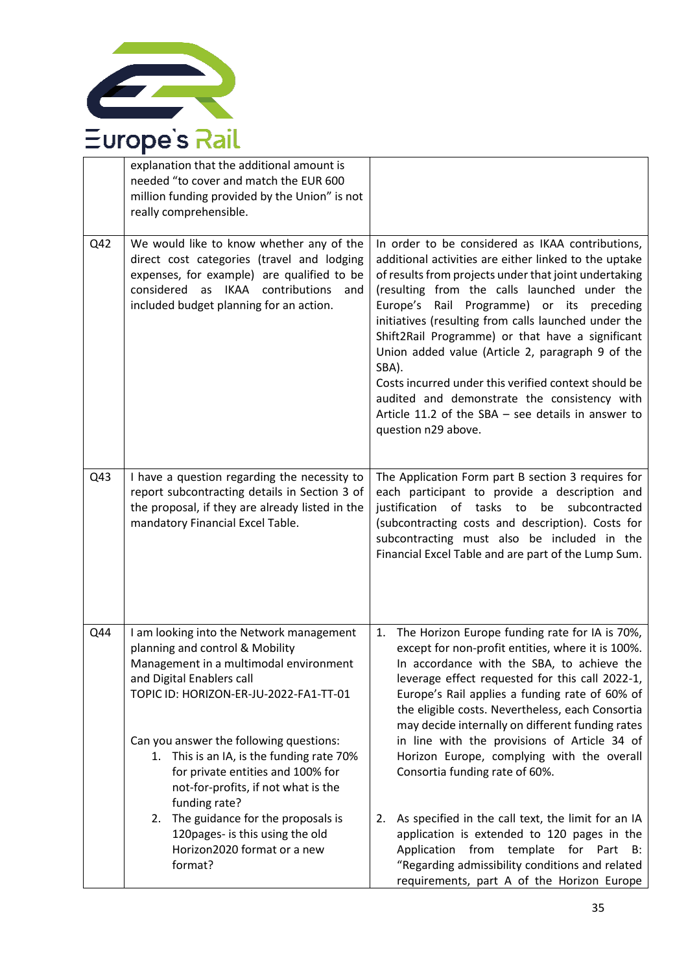

|     | explanation that the additional amount is<br>needed "to cover and match the EUR 600<br>million funding provided by the Union" is not<br>really comprehensible.                                                                                                                                                                                                                    |                                                                                                                                                                                                                                                                                                                                                                                                                                                                                                                                                                                                                                       |
|-----|-----------------------------------------------------------------------------------------------------------------------------------------------------------------------------------------------------------------------------------------------------------------------------------------------------------------------------------------------------------------------------------|---------------------------------------------------------------------------------------------------------------------------------------------------------------------------------------------------------------------------------------------------------------------------------------------------------------------------------------------------------------------------------------------------------------------------------------------------------------------------------------------------------------------------------------------------------------------------------------------------------------------------------------|
| Q42 | We would like to know whether any of the<br>direct cost categories (travel and lodging<br>expenses, for example) are qualified to be<br>considered as IKAA contributions<br>and<br>included budget planning for an action.                                                                                                                                                        | In order to be considered as IKAA contributions,<br>additional activities are either linked to the uptake<br>of results from projects under that joint undertaking<br>(resulting from the calls launched under the<br>Programme) or its preceding<br>Europe's<br>Rail<br>initiatives (resulting from calls launched under the<br>Shift2Rail Programme) or that have a significant<br>Union added value (Article 2, paragraph 9 of the<br>SBA).<br>Costs incurred under this verified context should be<br>audited and demonstrate the consistency with<br>Article 11.2 of the SBA $-$ see details in answer to<br>question n29 above. |
| Q43 | I have a question regarding the necessity to<br>report subcontracting details in Section 3 of<br>the proposal, if they are already listed in the<br>mandatory Financial Excel Table.                                                                                                                                                                                              | The Application Form part B section 3 requires for<br>each participant to provide a description and<br>justification of tasks to be subcontracted<br>(subcontracting costs and description). Costs for<br>subcontracting must also be included in the<br>Financial Excel Table and are part of the Lump Sum.                                                                                                                                                                                                                                                                                                                          |
| Q44 | I am looking into the Network management<br>planning and control & Mobility<br>Management in a multimodal environment<br>and Digital Enablers call<br>TOPIC ID: HORIZON-ER-JU-2022-FA1-TT-01<br>Can you answer the following questions:<br>1. This is an IA, is the funding rate 70%<br>for private entities and 100% for<br>not-for-profits, if not what is the<br>funding rate? | The Horizon Europe funding rate for IA is 70%,<br>1.<br>except for non-profit entities, where it is 100%.<br>In accordance with the SBA, to achieve the<br>leverage effect requested for this call 2022-1,<br>Europe's Rail applies a funding rate of 60% of<br>the eligible costs. Nevertheless, each Consortia<br>may decide internally on different funding rates<br>in line with the provisions of Article 34 of<br>Horizon Europe, complying with the overall<br>Consortia funding rate of 60%.                                                                                                                                  |
|     | The guidance for the proposals is<br>2.<br>120pages- is this using the old<br>Horizon2020 format or a new<br>format?                                                                                                                                                                                                                                                              | As specified in the call text, the limit for an IA<br>2.<br>application is extended to 120 pages in the<br>Application from template for Part B:<br>"Regarding admissibility conditions and related<br>requirements, part A of the Horizon Europe                                                                                                                                                                                                                                                                                                                                                                                     |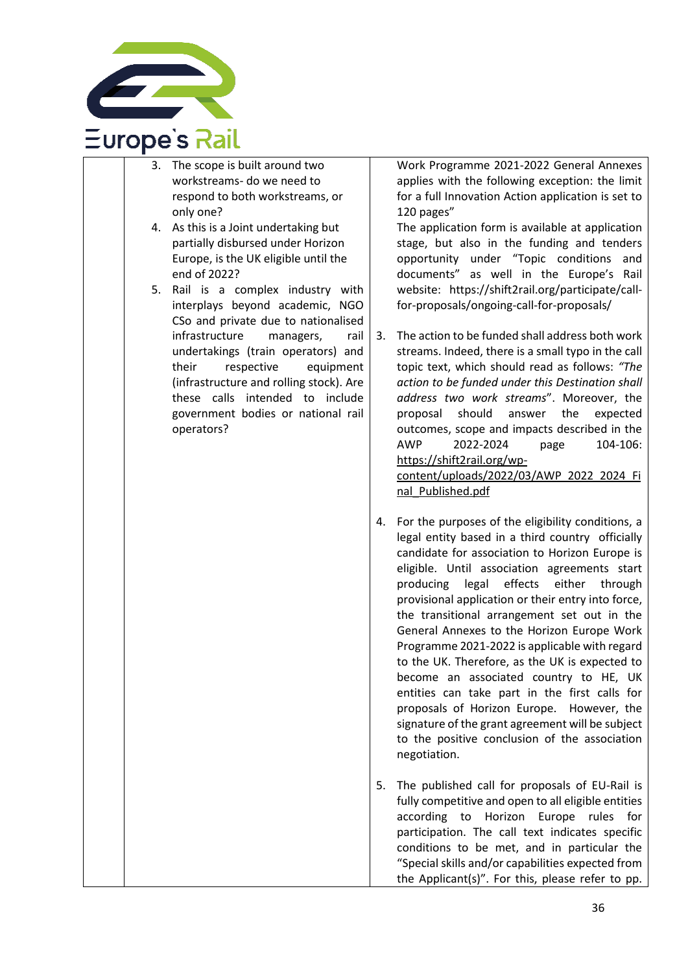

| 3.<br>4. | The scope is built around two<br>workstreams- do we need to<br>respond to both workstreams, or<br>only one?<br>As this is a Joint undertaking but<br>partially disbursed under Horizon<br>Europe, is the UK eligible until the<br>end of 2022?                                                                                                                                        |    | Work Pr<br>applies<br>for a full<br>$120$ page<br>The app<br>stage, b<br>opportu<br>docume                                                                                               |
|----------|---------------------------------------------------------------------------------------------------------------------------------------------------------------------------------------------------------------------------------------------------------------------------------------------------------------------------------------------------------------------------------------|----|------------------------------------------------------------------------------------------------------------------------------------------------------------------------------------------|
| 5.       | is a complex industry with<br>Rail<br>interplays beyond academic,<br><b>NGO</b><br>CSo and private due to nationalised<br>infrastructure<br>managers,<br>rail<br>undertakings (train operators) and<br>respective<br>their<br>equipment<br>(infrastructure and rolling stock). Are<br>calls<br>intended<br>to<br>include<br>these<br>government bodies or national rail<br>operators? | 3. | website:<br>for-prop<br>The actio<br>streams.<br>topic tex<br>action to<br>address<br>proposa<br>outcome<br><b>AWP</b><br>https://s<br>content/<br>nal Publ                              |
|          |                                                                                                                                                                                                                                                                                                                                                                                       | 4. | For the<br>legal ent<br>candidat<br>eligible.<br>producir<br>provisio<br>the trar<br>General<br>Program<br>to the U<br>become<br>entities<br>proposa<br>signatur<br>to the p<br>negotiat |
|          |                                                                                                                                                                                                                                                                                                                                                                                       | 5. | The pub<br>fully con                                                                                                                                                                     |

ogramme 2021-2022 General Annexes with the following exception: the limit Innovation Action application is set to es"

lication form is available at application out also in the funding and tenders nity under "Topic conditions and nts" as well in the Europe's Rail https://shift2rail.org/participate/callosals/ongoing-call-for-proposals/

- on to be funded shall address both work Indeed, there is a small typo in the call  $xt$ , which should read as follows: *"The action to be funded under this Destination shall*  two work streams". Moreover, the should answer the expected es, scope and impacts described in the 2022-2024 page 104-106: shift2rail.org/wp-/uploads/2022/03/AWP 2022 2024 Fi lished.pdf
- purposes of the eligibility conditions, a tity based in a third country officially te for association to Horizon Europe is Until association agreements start ng legal effects either through nal application or their entry into force, nsitional arrangement set out in the Annexes to the Horizon Europe Work Ime 2021-2022 is applicable with regard IK. Therefore, as the UK is expected to an associated country to HE, UK can take part in the first calls for Is of Horizon Europe. However, the e of the grant agreement will be subject positive conclusion of the association ion.
- blished call for proposals of EU-Rail is npetitive and open to all eligible entities according to Horizon Europe rules for participation. The call text indicates specific conditions to be met, and in particular the "Special skills and/or capabilities expected from the Applicant(s)". For this, please refer to pp.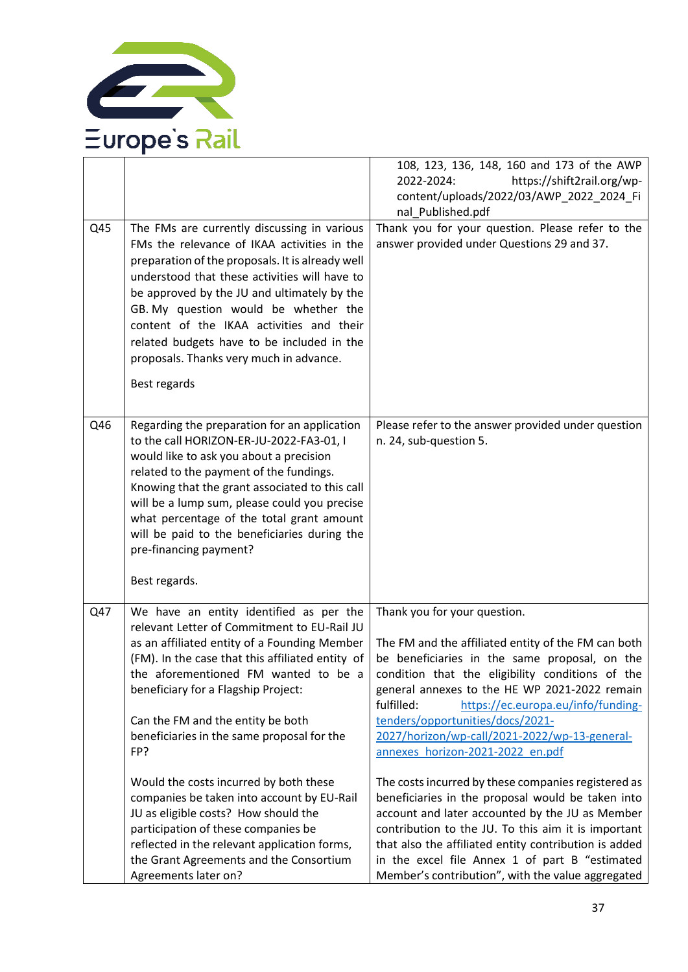

|     |                                                                                                                                                                                                                                                                                                                                                                                                                                             | 108, 123, 136, 148, 160 and 173 of the AWP<br>https://shift2rail.org/wp-<br>2022-2024:<br>content/uploads/2022/03/AWP_2022_2024_Fi                                                                                                                                                                                                                                                     |
|-----|---------------------------------------------------------------------------------------------------------------------------------------------------------------------------------------------------------------------------------------------------------------------------------------------------------------------------------------------------------------------------------------------------------------------------------------------|----------------------------------------------------------------------------------------------------------------------------------------------------------------------------------------------------------------------------------------------------------------------------------------------------------------------------------------------------------------------------------------|
|     |                                                                                                                                                                                                                                                                                                                                                                                                                                             | nal_Published.pdf                                                                                                                                                                                                                                                                                                                                                                      |
| Q45 | The FMs are currently discussing in various<br>FMs the relevance of IKAA activities in the<br>preparation of the proposals. It is already well<br>understood that these activities will have to<br>be approved by the JU and ultimately by the<br>GB. My question would be whether the<br>content of the IKAA activities and their<br>related budgets have to be included in the<br>proposals. Thanks very much in advance.<br>Best regards | Thank you for your question. Please refer to the<br>answer provided under Questions 29 and 37.                                                                                                                                                                                                                                                                                         |
| Q46 | Regarding the preparation for an application<br>to the call HORIZON-ER-JU-2022-FA3-01, I<br>would like to ask you about a precision<br>related to the payment of the fundings.<br>Knowing that the grant associated to this call<br>will be a lump sum, please could you precise<br>what percentage of the total grant amount<br>will be paid to the beneficiaries during the<br>pre-financing payment?<br>Best regards.                    | Please refer to the answer provided under question<br>n. 24, sub-question 5.                                                                                                                                                                                                                                                                                                           |
| Q47 | We have an entity identified as per the                                                                                                                                                                                                                                                                                                                                                                                                     | Thank you for your question.                                                                                                                                                                                                                                                                                                                                                           |
|     | relevant Letter of Commitment to EU-Rail JU<br>as an affiliated entity of a Founding Member<br>(FM). In the case that this affiliated entity of<br>the aforementioned FM wanted to be a<br>beneficiary for a Flagship Project:<br>Can the FM and the entity be both<br>beneficiaries in the same proposal for the<br>FP?                                                                                                                    | The FM and the affiliated entity of the FM can both<br>be beneficiaries in the same proposal, on the<br>condition that the eligibility conditions of the<br>general annexes to the HE WP 2021-2022 remain<br>fulfilled:<br>https://ec.europa.eu/info/funding-<br>tenders/opportunities/docs/2021-<br>2027/horizon/wp-call/2021-2022/wp-13-general-<br>annexes horizon-2021-2022 en.pdf |
|     | Would the costs incurred by both these<br>companies be taken into account by EU-Rail<br>JU as eligible costs? How should the<br>participation of these companies be<br>reflected in the relevant application forms,<br>the Grant Agreements and the Consortium<br>Agreements later on?                                                                                                                                                      | The costs incurred by these companies registered as<br>beneficiaries in the proposal would be taken into<br>account and later accounted by the JU as Member<br>contribution to the JU. To this aim it is important<br>that also the affiliated entity contribution is added<br>in the excel file Annex 1 of part B "estimated<br>Member's contribution", with the value aggregated     |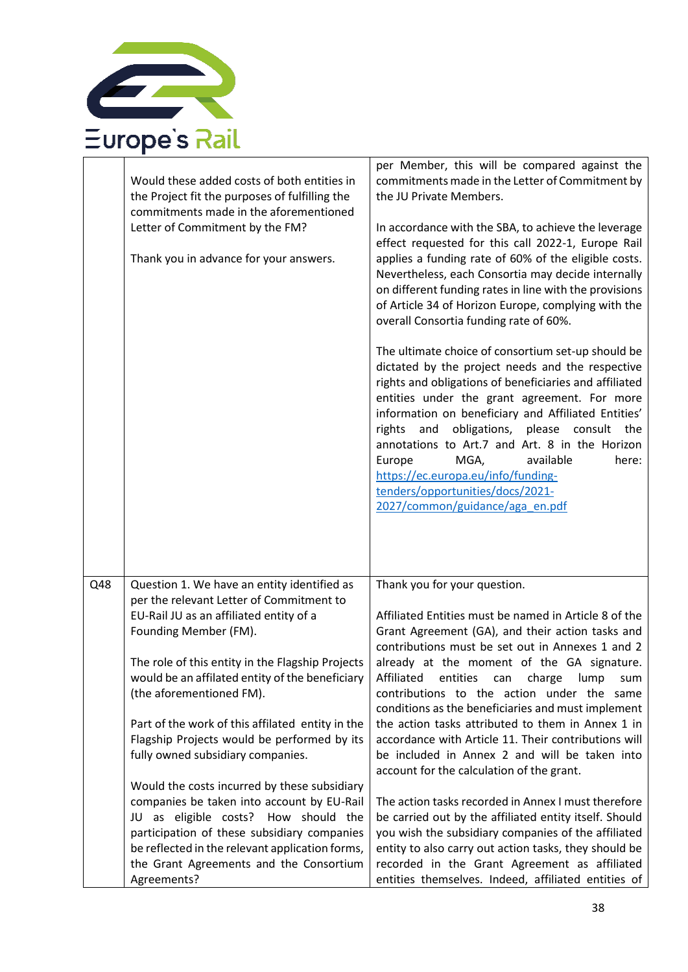

|     | Would these added costs of both entities in<br>the Project fit the purposes of fulfilling the<br>commitments made in the aforementioned<br>Letter of Commitment by the FM?<br>Thank you in advance for your answers.                                                                           | per Member, this will be compared against the<br>commitments made in the Letter of Commitment by<br>the JU Private Members.<br>In accordance with the SBA, to achieve the leverage<br>effect requested for this call 2022-1, Europe Rail<br>applies a funding rate of 60% of the eligible costs.<br>Nevertheless, each Consortia may decide internally<br>on different funding rates in line with the provisions<br>of Article 34 of Horizon Europe, complying with the<br>overall Consortia funding rate of 60%.<br>The ultimate choice of consortium set-up should be<br>dictated by the project needs and the respective<br>rights and obligations of beneficiaries and affiliated<br>entities under the grant agreement. For more<br>information on beneficiary and Affiliated Entities'<br>obligations, please consult the<br>rights<br>and<br>annotations to Art.7 and Art. 8 in the Horizon<br>MGA,<br>available<br>here:<br>Europe<br>https://ec.europa.eu/info/funding-<br>tenders/opportunities/docs/2021-<br>2027/common/guidance/aga_en.pdf |
|-----|------------------------------------------------------------------------------------------------------------------------------------------------------------------------------------------------------------------------------------------------------------------------------------------------|---------------------------------------------------------------------------------------------------------------------------------------------------------------------------------------------------------------------------------------------------------------------------------------------------------------------------------------------------------------------------------------------------------------------------------------------------------------------------------------------------------------------------------------------------------------------------------------------------------------------------------------------------------------------------------------------------------------------------------------------------------------------------------------------------------------------------------------------------------------------------------------------------------------------------------------------------------------------------------------------------------------------------------------------------------|
| Q48 | Question 1. We have an entity identified as                                                                                                                                                                                                                                                    | Thank you for your question.                                                                                                                                                                                                                                                                                                                                                                                                                                                                                                                                                                                                                                                                                                                                                                                                                                                                                                                                                                                                                            |
|     | per the relevant Letter of Commitment to<br>EU-Rail JU as an affiliated entity of a                                                                                                                                                                                                            | Affiliated Entities must be named in Article 8 of the                                                                                                                                                                                                                                                                                                                                                                                                                                                                                                                                                                                                                                                                                                                                                                                                                                                                                                                                                                                                   |
|     | Founding Member (FM).                                                                                                                                                                                                                                                                          | Grant Agreement (GA), and their action tasks and                                                                                                                                                                                                                                                                                                                                                                                                                                                                                                                                                                                                                                                                                                                                                                                                                                                                                                                                                                                                        |
|     | The role of this entity in the Flagship Projects<br>would be an affilated entity of the beneficiary<br>(the aforementioned FM).<br>Part of the work of this affilated entity in the                                                                                                            | contributions must be set out in Annexes 1 and 2<br>already at the moment of the GA signature.<br>Affiliated entities can charge lump sum<br>contributions to the action under the same<br>conditions as the beneficiaries and must implement<br>the action tasks attributed to them in Annex 1 in                                                                                                                                                                                                                                                                                                                                                                                                                                                                                                                                                                                                                                                                                                                                                      |
|     | Flagship Projects would be performed by its<br>fully owned subsidiary companies.                                                                                                                                                                                                               | accordance with Article 11. Their contributions will<br>be included in Annex 2 and will be taken into<br>account for the calculation of the grant.                                                                                                                                                                                                                                                                                                                                                                                                                                                                                                                                                                                                                                                                                                                                                                                                                                                                                                      |
|     | Would the costs incurred by these subsidiary<br>companies be taken into account by EU-Rail<br>JU as eligible costs? How should the<br>participation of these subsidiary companies<br>be reflected in the relevant application forms,<br>the Grant Agreements and the Consortium<br>Agreements? | The action tasks recorded in Annex I must therefore<br>be carried out by the affiliated entity itself. Should<br>you wish the subsidiary companies of the affiliated<br>entity to also carry out action tasks, they should be<br>recorded in the Grant Agreement as affiliated<br>entities themselves. Indeed, affiliated entities of                                                                                                                                                                                                                                                                                                                                                                                                                                                                                                                                                                                                                                                                                                                   |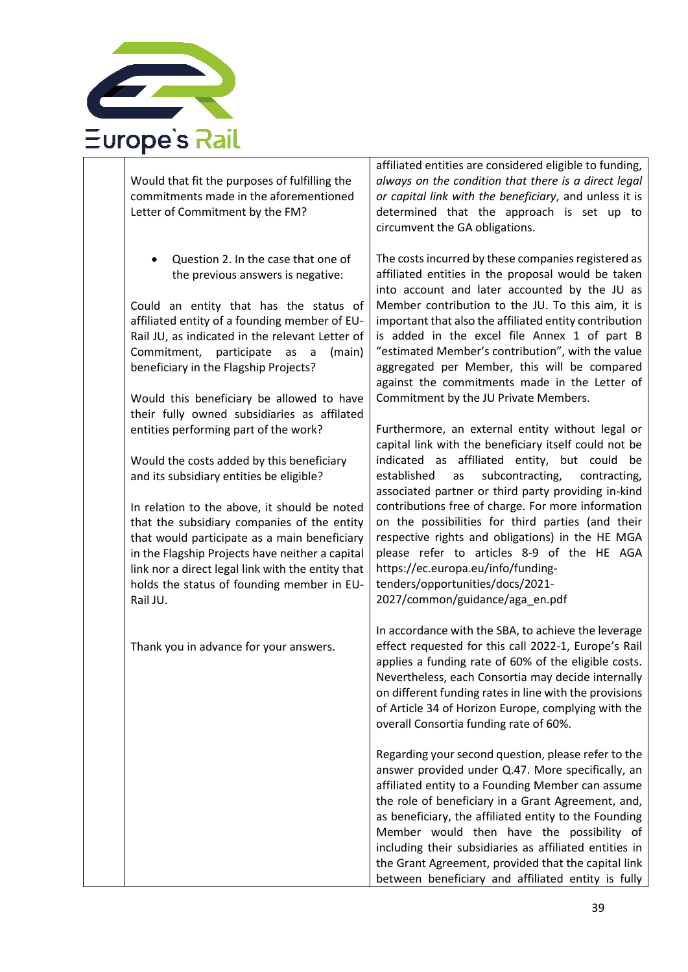

Would that fit the purposes of fulfilling the commitments made in the aforementioned Letter of Commitment by the FM?

• Question 2. In the case that one of the previous answers is negative:

Could an entity that has the status of affiliated entity of a founding member of EU-Rail JU, as indicated in the relevant Letter of Commitment, participate as a (main) beneficiary in the Flagship Projects?

Would this beneficiary be allowed to have their fully owned subsidiaries as affilated entities performing part of the work?

Would the costs added by this beneficiary and its subsidiary entities be eligible?

In relation to the above, it should be noted that the subsidiary companies of the entity that would participate as a main beneficiary in the Flagship Projects have neither a capital link nor a direct legal link with the entity that holds the status of founding member in EU-Rail JU.

Thank you in advance for your answers.

affiliated entities are considered eligible to funding, *always on the condition that there is a direct legal or capital link with the beneficiary*, and unless it is determined that the approach is set up to circumvent the GA obligations.

The costs incurred by these companies registered as affiliated entities in the proposal would be taken into account and later accounted by the JU as Member contribution to the JU. To this aim, it is important that also the affiliated entity contribution is added in the excel file Annex 1 of part B "estimated Member's contribution", with the value aggregated per Member, this will be compared against the commitments made in the Letter of Commitment by the JU Private Members.

Furthermore, an external entity without legal or capital link with the beneficiary itself could not be indicated as affiliated entity, but could be established as subcontracting, contracting, associated partner or third party providing in-kind contributions free of charge. For more information on the possibilities for third parties (and their respective rights and obligations) in the HE MGA please refer to articles 8-9 of the HE AGA [https://ec.europa.eu/info/funding](https://ec.europa.eu/info/funding-tenders/opportunities/docs/2021-2027/common/guidance/aga_en.pdf)[tenders/opportunities/docs/2021-](https://ec.europa.eu/info/funding-tenders/opportunities/docs/2021-2027/common/guidance/aga_en.pdf) [2027/common/guidance/aga\\_en.pdf](https://ec.europa.eu/info/funding-tenders/opportunities/docs/2021-2027/common/guidance/aga_en.pdf)

In accordance with the SBA, to achieve the leverage effect requested for this call 2022-1, Europe's Rail applies a funding rate of 60% of the eligible costs. Nevertheless, each Consortia may decide internally on different funding rates in line with the provisions of Article 34 of Horizon Europe, complying with the overall Consortia funding rate of 60%.

Regarding your second question, please refer to the answer provided under Q.47. More specifically, an affiliated entity to a Founding Member can assume the role of beneficiary in a Grant Agreement, and, as beneficiary, the affiliated entity to the Founding Member would then have the possibility of including their subsidiaries as affiliated entities in the Grant Agreement, provided that the capital link between beneficiary and affiliated entity is fully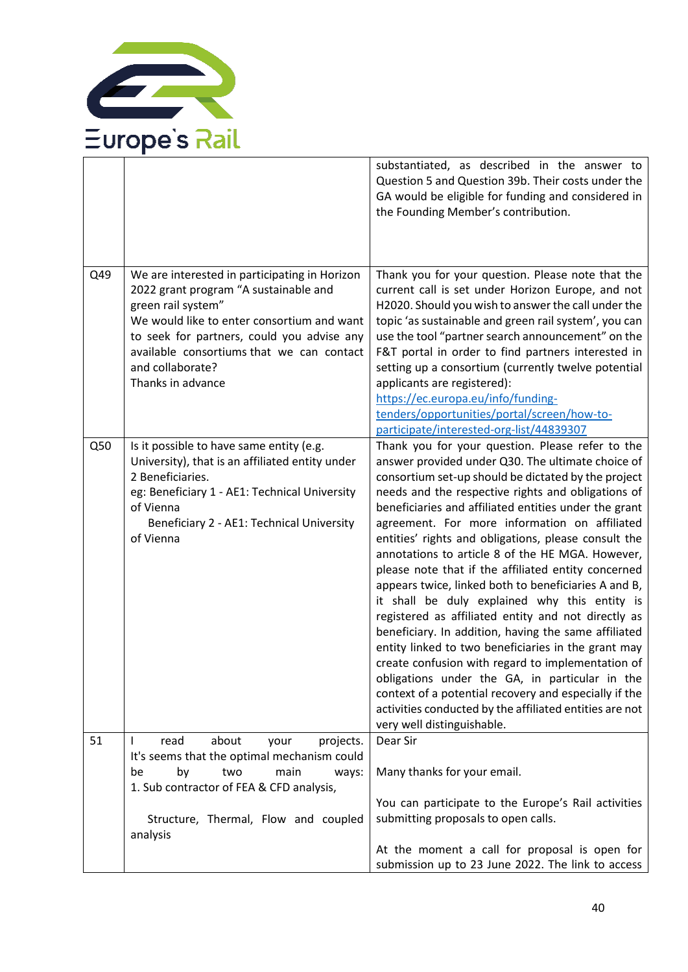

|     |                                                                                                                                                                                                                                                                                                | substantiated, as described in the answer to<br>Question 5 and Question 39b. Their costs under the<br>GA would be eligible for funding and considered in<br>the Founding Member's contribution.                                                                                                                                                                                                                                                                                                                                                                                                                                                                                                                                                                                                                                                                                                                                                                                                                                         |
|-----|------------------------------------------------------------------------------------------------------------------------------------------------------------------------------------------------------------------------------------------------------------------------------------------------|-----------------------------------------------------------------------------------------------------------------------------------------------------------------------------------------------------------------------------------------------------------------------------------------------------------------------------------------------------------------------------------------------------------------------------------------------------------------------------------------------------------------------------------------------------------------------------------------------------------------------------------------------------------------------------------------------------------------------------------------------------------------------------------------------------------------------------------------------------------------------------------------------------------------------------------------------------------------------------------------------------------------------------------------|
| Q49 | We are interested in participating in Horizon<br>2022 grant program "A sustainable and<br>green rail system"<br>We would like to enter consortium and want<br>to seek for partners, could you advise any<br>available consortiums that we can contact<br>and collaborate?<br>Thanks in advance | Thank you for your question. Please note that the<br>current call is set under Horizon Europe, and not<br>H2020. Should you wish to answer the call under the<br>topic 'as sustainable and green rail system', you can<br>use the tool "partner search announcement" on the<br>F&T portal in order to find partners interested in<br>setting up a consortium (currently twelve potential<br>applicants are registered):                                                                                                                                                                                                                                                                                                                                                                                                                                                                                                                                                                                                                 |
|     |                                                                                                                                                                                                                                                                                                | https://ec.europa.eu/info/funding-<br>tenders/opportunities/portal/screen/how-to-<br>participate/interested-org-list/44839307                                                                                                                                                                                                                                                                                                                                                                                                                                                                                                                                                                                                                                                                                                                                                                                                                                                                                                           |
| Q50 | Is it possible to have same entity (e.g.<br>University), that is an affiliated entity under<br>2 Beneficiaries.<br>eg: Beneficiary 1 - AE1: Technical University<br>of Vienna<br>Beneficiary 2 - AE1: Technical University<br>of Vienna                                                        | Thank you for your question. Please refer to the<br>answer provided under Q30. The ultimate choice of<br>consortium set-up should be dictated by the project<br>needs and the respective rights and obligations of<br>beneficiaries and affiliated entities under the grant<br>agreement. For more information on affiliated<br>entities' rights and obligations, please consult the<br>annotations to article 8 of the HE MGA. However,<br>please note that if the affiliated entity concerned<br>appears twice, linked both to beneficiaries A and B,<br>it shall be duly explained why this entity is<br>registered as affiliated entity and not directly as<br>beneficiary. In addition, having the same affiliated<br>entity linked to two beneficiaries in the grant may<br>create confusion with regard to implementation of<br>obligations under the GA, in particular in the<br>context of a potential recovery and especially if the<br>activities conducted by the affiliated entities are not<br>very well distinguishable. |
| 51  | read<br>about<br>your<br>projects.<br>$\mathbf{I}$<br>It's seems that the optimal mechanism could<br>by<br>two<br>main<br>be<br>ways:                                                                                                                                                          | Dear Sir<br>Many thanks for your email.                                                                                                                                                                                                                                                                                                                                                                                                                                                                                                                                                                                                                                                                                                                                                                                                                                                                                                                                                                                                 |
|     | 1. Sub contractor of FEA & CFD analysis,<br>Structure, Thermal, Flow and coupled<br>analysis                                                                                                                                                                                                   | You can participate to the Europe's Rail activities<br>submitting proposals to open calls.<br>At the moment a call for proposal is open for<br>submission up to 23 June 2022. The link to access                                                                                                                                                                                                                                                                                                                                                                                                                                                                                                                                                                                                                                                                                                                                                                                                                                        |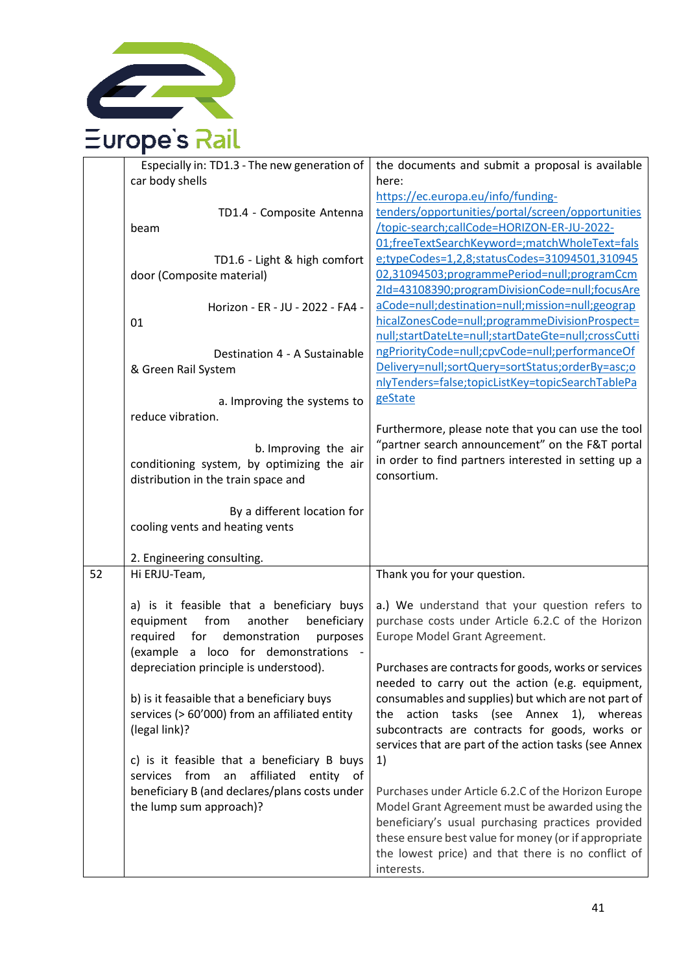

|    | Especially in: TD1.3 - The new generation of   | the documents and submit a proposal is available      |
|----|------------------------------------------------|-------------------------------------------------------|
|    | car body shells                                | here:                                                 |
|    |                                                | https://ec.europa.eu/info/funding-                    |
|    | TD1.4 - Composite Antenna                      | tenders/opportunities/portal/screen/opportunities     |
|    | beam                                           | /topic-search;callCode=HORIZON-ER-JU-2022-            |
|    |                                                | 01;freeTextSearchKeyword=;matchWholeText=fals         |
|    | TD1.6 - Light & high comfort                   | e;typeCodes=1,2,8;statusCodes=31094501,310945         |
|    | door (Composite material)                      | 02,31094503;programmePeriod=null;programCcm           |
|    |                                                | 2Id=43108390;programDivisionCode=null;focusAre        |
|    | Horizon - ER - JU - 2022 - FA4 -               | aCode=null;destination=null;mission=null;geograp      |
|    | 01                                             | hicalZonesCode=null;programmeDivisionProspect=        |
|    |                                                | null;startDateLte=null;startDateGte=null;crossCutti   |
|    | Destination 4 - A Sustainable                  | ngPriorityCode=null;cpvCode=null;performanceOf        |
|    | & Green Rail System                            | Delivery=null;sortQuery=sortStatus;orderBy=asc;o      |
|    |                                                | nlyTenders=false;topicListKey=topicSearchTablePa      |
|    | a. Improving the systems to                    | geState                                               |
|    | reduce vibration.                              |                                                       |
|    |                                                | Furthermore, please note that you can use the tool    |
|    | b. Improving the air                           | "partner search announcement" on the F&T portal       |
|    | conditioning system, by optimizing the air     | in order to find partners interested in setting up a  |
|    | distribution in the train space and            | consortium.                                           |
|    |                                                |                                                       |
|    | By a different location for                    |                                                       |
|    | cooling vents and heating vents                |                                                       |
|    |                                                |                                                       |
|    | 2. Engineering consulting.                     |                                                       |
| 52 | Hi ERJU-Team,                                  | Thank you for your question.                          |
|    |                                                |                                                       |
|    | a) is it feasible that a beneficiary buys      | a.) We understand that your question refers to        |
|    | from<br>another<br>beneficiary<br>equipment    | purchase costs under Article 6.2.C of the Horizon     |
|    | required<br>for<br>demonstration<br>purposes   | Europe Model Grant Agreement.                         |
|    | (example a loco for demonstrations             |                                                       |
|    | depreciation principle is understood).         | Purchases are contracts for goods, works or services  |
|    |                                                | needed to carry out the action (e.g. equipment,       |
|    | b) is it feasaible that a beneficiary buys     | consumables and supplies) but which are not part of   |
|    | services (> 60'000) from an affiliated entity  | action tasks (see Annex 1), whereas<br>the            |
|    | (legal link)?                                  | subcontracts are contracts for goods, works or        |
|    |                                                | services that are part of the action tasks (see Annex |
|    | c) is it feasible that a beneficiary B buys    | 1)                                                    |
|    | services from<br>affiliated<br>entity of<br>an |                                                       |
|    | beneficiary B (and declares/plans costs under  | Purchases under Article 6.2.C of the Horizon Europe   |
|    | the lump sum approach)?                        | Model Grant Agreement must be awarded using the       |
|    |                                                | beneficiary's usual purchasing practices provided     |
|    |                                                | these ensure best value for money (or if appropriate  |
|    |                                                | the lowest price) and that there is no conflict of    |
|    |                                                | interests.                                            |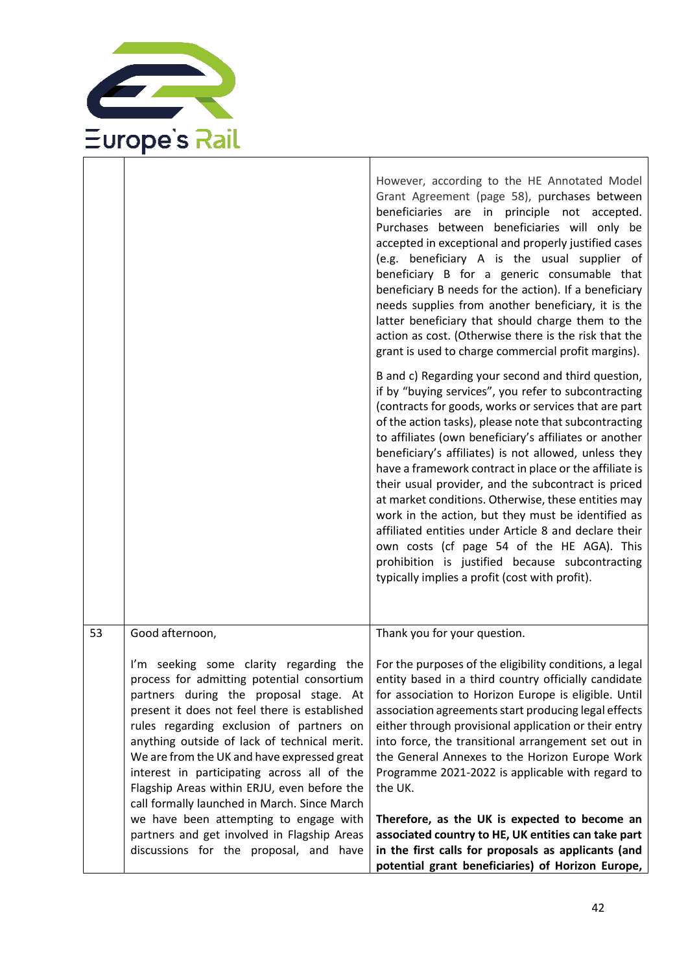

|                                                                                                                                                                                                                                                                                                                                                                                                                                                                                                                                                                                                                                      | However, according to the HE Annotated Model<br>Grant Agreement (page 58), purchases between<br>beneficiaries are in principle not accepted.<br>Purchases between beneficiaries will only be<br>accepted in exceptional and properly justified cases<br>(e.g. beneficiary A is the usual supplier of<br>beneficiary B for a generic consumable that<br>beneficiary B needs for the action). If a beneficiary<br>needs supplies from another beneficiary, it is the<br>latter beneficiary that should charge them to the<br>action as cost. (Otherwise there is the risk that the<br>grant is used to charge commercial profit margins).                                                                                                                                                   |
|--------------------------------------------------------------------------------------------------------------------------------------------------------------------------------------------------------------------------------------------------------------------------------------------------------------------------------------------------------------------------------------------------------------------------------------------------------------------------------------------------------------------------------------------------------------------------------------------------------------------------------------|-------------------------------------------------------------------------------------------------------------------------------------------------------------------------------------------------------------------------------------------------------------------------------------------------------------------------------------------------------------------------------------------------------------------------------------------------------------------------------------------------------------------------------------------------------------------------------------------------------------------------------------------------------------------------------------------------------------------------------------------------------------------------------------------|
|                                                                                                                                                                                                                                                                                                                                                                                                                                                                                                                                                                                                                                      | B and c) Regarding your second and third question,<br>if by "buying services", you refer to subcontracting<br>(contracts for goods, works or services that are part<br>of the action tasks), please note that subcontracting<br>to affiliates (own beneficiary's affiliates or another<br>beneficiary's affiliates) is not allowed, unless they<br>have a framework contract in place or the affiliate is<br>their usual provider, and the subcontract is priced<br>at market conditions. Otherwise, these entities may<br>work in the action, but they must be identified as<br>affiliated entities under Article 8 and declare their<br>own costs (cf page 54 of the HE AGA). This<br>prohibition is justified because subcontracting<br>typically implies a profit (cost with profit). |
| Good afternoon,<br>53<br>I'm seeking some clarity regarding the<br>process for admitting potential consortium<br>partners during the proposal stage. At<br>present it does not feel there is established<br>rules regarding exclusion of partners on<br>anything outside of lack of technical merit.<br>We are from the UK and have expressed great<br>interest in participating across all of the<br>Flagship Areas within ERJU, even before the<br>call formally launched in March. Since March<br>we have been attempting to engage with<br>partners and get involved in Flagship Areas<br>discussions for the proposal, and have | Thank you for your question.<br>For the purposes of the eligibility conditions, a legal<br>entity based in a third country officially candidate<br>for association to Horizon Europe is eligible. Until<br>association agreements start producing legal effects<br>either through provisional application or their entry<br>into force, the transitional arrangement set out in<br>the General Annexes to the Horizon Europe Work<br>Programme 2021-2022 is applicable with regard to<br>the UK.<br>Therefore, as the UK is expected to become an<br>associated country to HE, UK entities can take part<br>in the first calls for proposals as applicants (and                                                                                                                           |

T

٦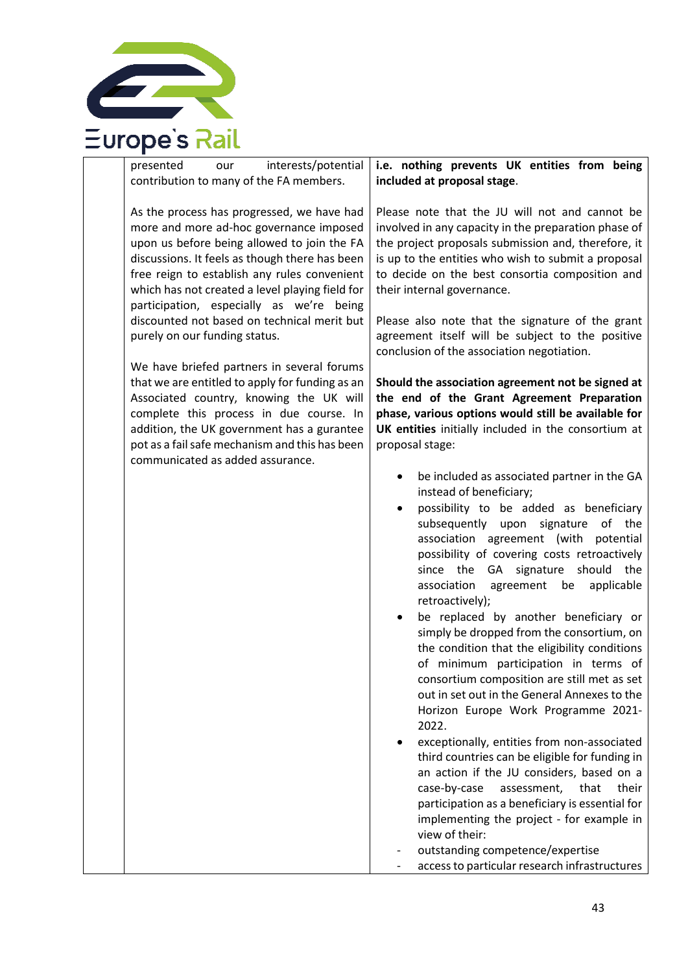

| interests/potential<br>presented<br>our<br>contribution to many of the FA members.                                                                                                                                                                                                                                                                                                                                                                                                                                                                                                                                                                                                                           | i.e. nothing prevents UK entities from being<br>included at proposal stage.                                                                                                                                                                                                                                                                                                                                                                                                                                                                                                                                                                                                                                                                                                                                                                                                                                                                                                                                                                                                                     |
|--------------------------------------------------------------------------------------------------------------------------------------------------------------------------------------------------------------------------------------------------------------------------------------------------------------------------------------------------------------------------------------------------------------------------------------------------------------------------------------------------------------------------------------------------------------------------------------------------------------------------------------------------------------------------------------------------------------|-------------------------------------------------------------------------------------------------------------------------------------------------------------------------------------------------------------------------------------------------------------------------------------------------------------------------------------------------------------------------------------------------------------------------------------------------------------------------------------------------------------------------------------------------------------------------------------------------------------------------------------------------------------------------------------------------------------------------------------------------------------------------------------------------------------------------------------------------------------------------------------------------------------------------------------------------------------------------------------------------------------------------------------------------------------------------------------------------|
| As the process has progressed, we have had<br>more and more ad-hoc governance imposed<br>upon us before being allowed to join the FA<br>discussions. It feels as though there has been<br>free reign to establish any rules convenient<br>which has not created a level playing field for<br>participation, especially as we're being<br>discounted not based on technical merit but<br>purely on our funding status.<br>We have briefed partners in several forums<br>that we are entitled to apply for funding as an<br>Associated country, knowing the UK will<br>complete this process in due course. In<br>addition, the UK government has a gurantee<br>pot as a fail safe mechanism and this has been | Please note that the JU will not and cannot be<br>involved in any capacity in the preparation phase of<br>the project proposals submission and, therefore, it<br>is up to the entities who wish to submit a proposal<br>to decide on the best consortia composition and<br>their internal governance.<br>Please also note that the signature of the grant<br>agreement itself will be subject to the positive<br>conclusion of the association negotiation.<br>Should the association agreement not be signed at<br>the end of the Grant Agreement Preparation<br>phase, various options would still be available for<br>UK entities initially included in the consortium at<br>proposal stage:                                                                                                                                                                                                                                                                                                                                                                                                 |
| communicated as added assurance.                                                                                                                                                                                                                                                                                                                                                                                                                                                                                                                                                                                                                                                                             | be included as associated partner in the GA<br>instead of beneficiary;<br>possibility to be added as beneficiary<br>subsequently upon signature<br>of the<br>association agreement (with<br>potential<br>possibility of covering costs retroactively<br>since the GA signature should<br>the<br>association<br>agreement be<br>applicable<br>retroactively);<br>be replaced by another beneficiary or<br>simply be dropped from the consortium, on<br>the condition that the eligibility conditions<br>of minimum participation in terms of<br>consortium composition are still met as set<br>out in set out in the General Annexes to the<br>Horizon Europe Work Programme 2021-<br>2022.<br>exceptionally, entities from non-associated<br>third countries can be eligible for funding in<br>an action if the JU considers, based on a<br>case-by-case<br>assessment,<br>that<br>their<br>participation as a beneficiary is essential for<br>implementing the project - for example in<br>view of their:<br>outstanding competence/expertise<br>access to particular research infrastructures |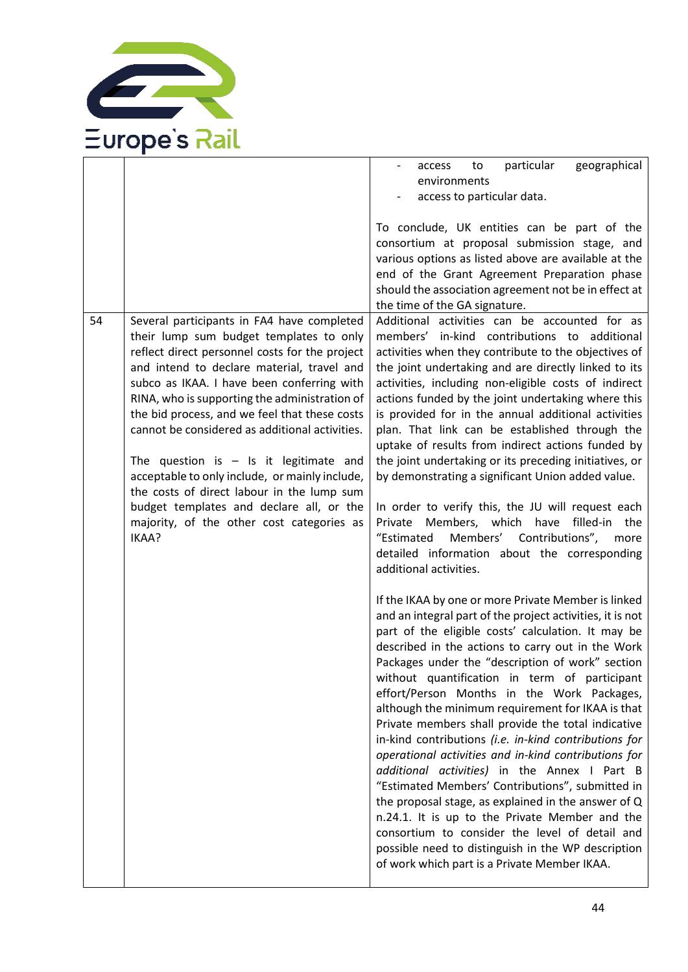

|    |                                                                                                                                                                                                                                                                                                                                                                                                                                                                                                                                                                                                                                       | geographical<br>particular<br>access<br>to<br>environments                                                                                                                                                                                                                                                                                                                                                                                                                                                                                                                                                                                                                                                                                                                                                                                                                                                                                                                                                                                                   |
|----|---------------------------------------------------------------------------------------------------------------------------------------------------------------------------------------------------------------------------------------------------------------------------------------------------------------------------------------------------------------------------------------------------------------------------------------------------------------------------------------------------------------------------------------------------------------------------------------------------------------------------------------|--------------------------------------------------------------------------------------------------------------------------------------------------------------------------------------------------------------------------------------------------------------------------------------------------------------------------------------------------------------------------------------------------------------------------------------------------------------------------------------------------------------------------------------------------------------------------------------------------------------------------------------------------------------------------------------------------------------------------------------------------------------------------------------------------------------------------------------------------------------------------------------------------------------------------------------------------------------------------------------------------------------------------------------------------------------|
|    |                                                                                                                                                                                                                                                                                                                                                                                                                                                                                                                                                                                                                                       | access to particular data.                                                                                                                                                                                                                                                                                                                                                                                                                                                                                                                                                                                                                                                                                                                                                                                                                                                                                                                                                                                                                                   |
| 54 | Several participants in FA4 have completed<br>their lump sum budget templates to only<br>reflect direct personnel costs for the project<br>and intend to declare material, travel and<br>subco as IKAA. I have been conferring with<br>RINA, who is supporting the administration of<br>the bid process, and we feel that these costs<br>cannot be considered as additional activities.<br>The question is $-$ Is it legitimate and<br>acceptable to only include, or mainly include,<br>the costs of direct labour in the lump sum<br>budget templates and declare all, or the<br>majority, of the other cost categories as<br>IKAA? | To conclude, UK entities can be part of the<br>consortium at proposal submission stage, and<br>various options as listed above are available at the<br>end of the Grant Agreement Preparation phase<br>should the association agreement not be in effect at<br>the time of the GA signature.<br>Additional activities can be accounted for as<br>members' in-kind contributions to additional<br>activities when they contribute to the objectives of<br>the joint undertaking and are directly linked to its<br>activities, including non-eligible costs of indirect<br>actions funded by the joint undertaking where this<br>is provided for in the annual additional activities<br>plan. That link can be established through the<br>uptake of results from indirect actions funded by<br>the joint undertaking or its preceding initiatives, or<br>by demonstrating a significant Union added value.<br>In order to verify this, the JU will request each<br>Private Members, which have filled-in the<br>"Estimated<br>Members' Contributions",<br>more |
|    |                                                                                                                                                                                                                                                                                                                                                                                                                                                                                                                                                                                                                                       | detailed information about the corresponding<br>additional activities.<br>If the IKAA by one or more Private Member is linked<br>and an integral part of the project activities, it is not<br>part of the eligible costs' calculation. It may be<br>described in the actions to carry out in the Work<br>Packages under the "description of work" section<br>without quantification in term of participant<br>effort/Person Months in the Work Packages,<br>although the minimum requirement for IKAA is that<br>Private members shall provide the total indicative<br>in-kind contributions (i.e. in-kind contributions for<br>operational activities and in-kind contributions for<br>additional activities) in the Annex I Part B<br>"Estimated Members' Contributions", submitted in<br>the proposal stage, as explained in the answer of Q<br>n.24.1. It is up to the Private Member and the<br>consortium to consider the level of detail and<br>possible need to distinguish in the WP description<br>of work which part is a Private Member IKAA.    |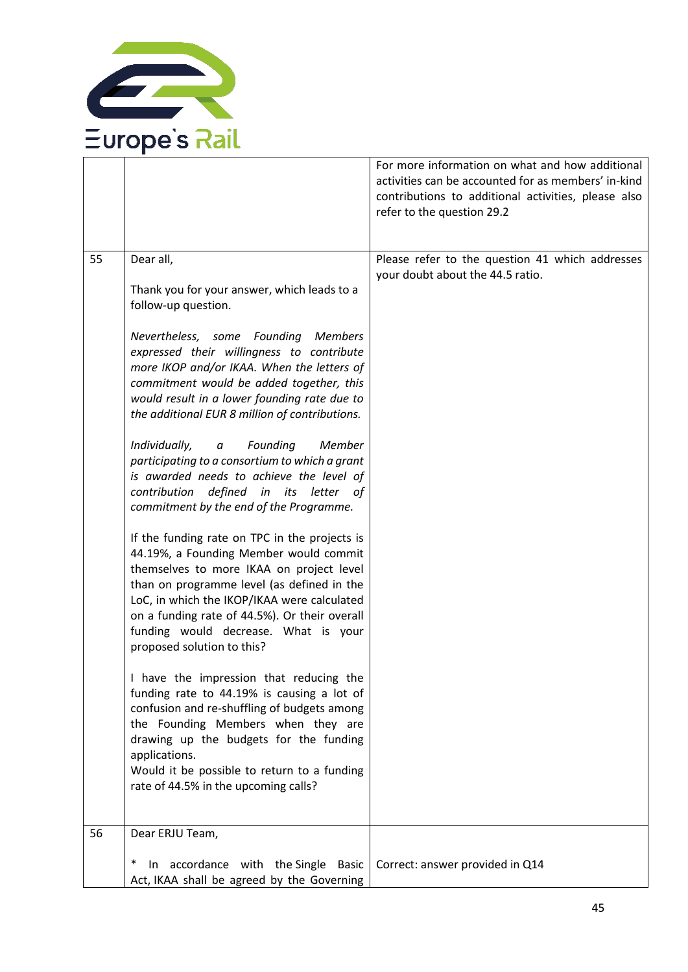

|    |                                                                                                                                                                                                                                                                                                                                                                                                                                                                                                                                                                                                                                                                                                                                                                                                                                                                                                                                                                                                                                                                                                                                                                                                                                                                                                | For more information on what and how additional<br>activities can be accounted for as members' in-kind<br>contributions to additional activities, please also<br>refer to the question 29.2 |
|----|------------------------------------------------------------------------------------------------------------------------------------------------------------------------------------------------------------------------------------------------------------------------------------------------------------------------------------------------------------------------------------------------------------------------------------------------------------------------------------------------------------------------------------------------------------------------------------------------------------------------------------------------------------------------------------------------------------------------------------------------------------------------------------------------------------------------------------------------------------------------------------------------------------------------------------------------------------------------------------------------------------------------------------------------------------------------------------------------------------------------------------------------------------------------------------------------------------------------------------------------------------------------------------------------|---------------------------------------------------------------------------------------------------------------------------------------------------------------------------------------------|
| 55 | Dear all,<br>Thank you for your answer, which leads to a<br>follow-up question.<br>Nevertheless, some Founding Members<br>expressed their willingness to contribute<br>more IKOP and/or IKAA. When the letters of<br>commitment would be added together, this<br>would result in a lower founding rate due to<br>the additional EUR 8 million of contributions.<br>Individually,<br>Founding<br>Member<br>$\it a$<br>participating to a consortium to which a grant<br>is awarded needs to achieve the level of<br>contribution defined in its letter of<br>commitment by the end of the Programme.<br>If the funding rate on TPC in the projects is<br>44.19%, a Founding Member would commit<br>themselves to more IKAA on project level<br>than on programme level (as defined in the<br>LoC, in which the IKOP/IKAA were calculated<br>on a funding rate of 44.5%). Or their overall<br>funding would decrease. What is your<br>proposed solution to this?<br>I have the impression that reducing the<br>funding rate to 44.19% is causing a lot of<br>confusion and re-shuffling of budgets among<br>the Founding Members when they are<br>drawing up the budgets for the funding<br>applications.<br>Would it be possible to return to a funding<br>rate of 44.5% in the upcoming calls? | Please refer to the question 41 which addresses<br>your doubt about the 44.5 ratio.                                                                                                         |
| 56 | Dear ERJU Team,<br>In accordance with the Single Basic<br>$\ast$<br>Act, IKAA shall be agreed by the Governing                                                                                                                                                                                                                                                                                                                                                                                                                                                                                                                                                                                                                                                                                                                                                                                                                                                                                                                                                                                                                                                                                                                                                                                 | Correct: answer provided in Q14                                                                                                                                                             |
|    |                                                                                                                                                                                                                                                                                                                                                                                                                                                                                                                                                                                                                                                                                                                                                                                                                                                                                                                                                                                                                                                                                                                                                                                                                                                                                                |                                                                                                                                                                                             |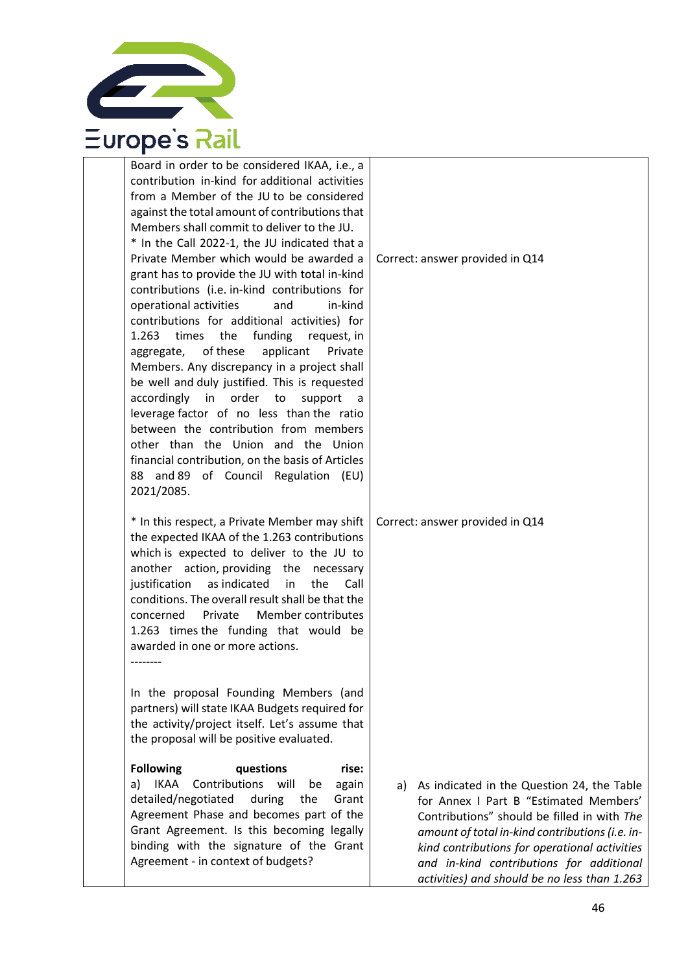

| Board in order to be considered IKAA, i.e., a<br>contribution in-kind for additional activities<br>from a Member of the JU to be considered<br>against the total amount of contributions that<br>Members shall commit to deliver to the JU.<br>* In the Call 2022-1, the JU indicated that a                                                                                                                                                                                                                                                                                                                                                                                                                               |                                                                                                                                                                                                                                                                                                                                        |
|----------------------------------------------------------------------------------------------------------------------------------------------------------------------------------------------------------------------------------------------------------------------------------------------------------------------------------------------------------------------------------------------------------------------------------------------------------------------------------------------------------------------------------------------------------------------------------------------------------------------------------------------------------------------------------------------------------------------------|----------------------------------------------------------------------------------------------------------------------------------------------------------------------------------------------------------------------------------------------------------------------------------------------------------------------------------------|
| Private Member which would be awarded a<br>grant has to provide the JU with total in-kind<br>contributions (i.e. in-kind contributions for<br>operational activities<br>and<br>in-kind<br>contributions for additional activities) for<br>funding<br>1.263<br>times<br>the<br>request, in<br>aggregate, of these<br>applicant<br>Private<br>Members. Any discrepancy in a project shall<br>be well and duly justified. This is requested<br>accordingly<br>in order to<br>support<br>leverage factor of no less than the ratio<br>between the contribution from members<br>other than the Union and the Union<br>financial contribution, on the basis of Articles<br>and 89 of Council Regulation (EU)<br>88<br>2021/2085. | Correct: answer provided in Q14                                                                                                                                                                                                                                                                                                        |
| * In this respect, a Private Member may shift<br>the expected IKAA of the 1.263 contributions<br>which is expected to deliver to the JU to<br>another action, providing the necessary<br>as indicated<br>justification<br>in<br>Call<br>the<br>conditions. The overall result shall be that the<br>Member contributes<br>concerned<br>Private<br>1.263 times the funding that would be<br>awarded in one or more actions.<br>--------                                                                                                                                                                                                                                                                                      | Correct: answer provided in Q14                                                                                                                                                                                                                                                                                                        |
| In the proposal Founding Members (and<br>partners) will state IKAA Budgets required for<br>the activity/project itself. Let's assume that<br>the proposal will be positive evaluated.                                                                                                                                                                                                                                                                                                                                                                                                                                                                                                                                      |                                                                                                                                                                                                                                                                                                                                        |
| <b>Following</b><br>questions<br>rise:<br><b>IKAA</b><br>Contributions will<br>again<br>a)<br>be<br>detailed/negotiated<br>during<br>the<br>Grant<br>Agreement Phase and becomes part of the<br>Grant Agreement. Is this becoming legally<br>binding with the signature of the Grant<br>Agreement - in context of budgets?                                                                                                                                                                                                                                                                                                                                                                                                 | a) As indicated in the Question 24, the Table<br>for Annex I Part B "Estimated Members'<br>Contributions" should be filled in with The<br>amount of total in-kind contributions (i.e. in-<br>kind contributions for operational activities<br>and in-kind contributions for additional<br>activities) and should be no less than 1.263 |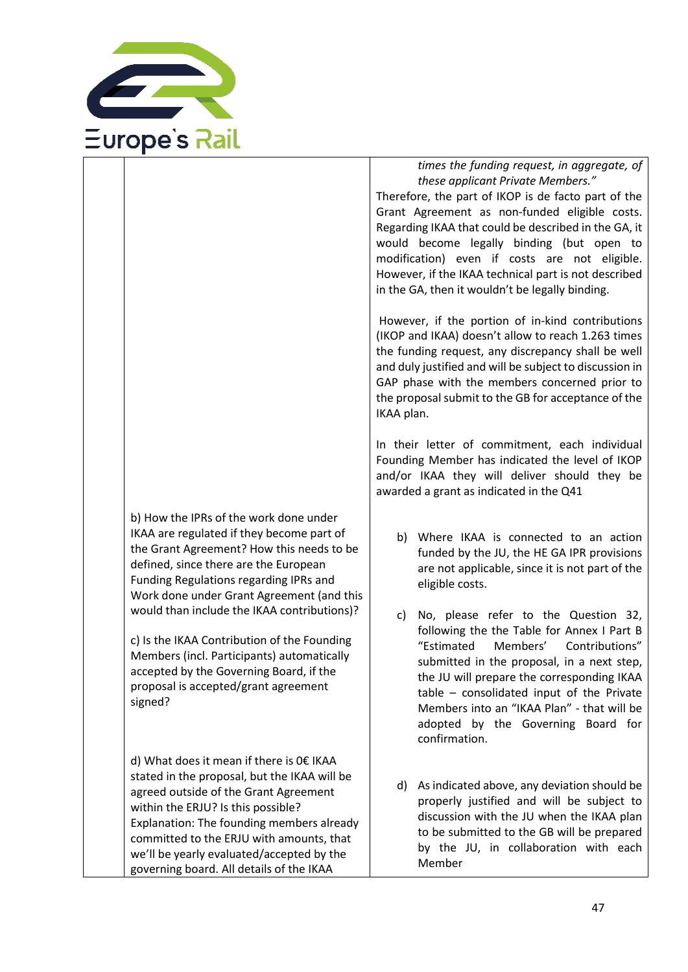

b) How the IPRs of the work done under IKAA are regulated if they become part of the Grant Agreement? How this needs to be defined, since there are the European Funding Regulations regarding IPRs and Work done under Grant Agreement (and this would than include the IKAA contributions)?

c) Is the IKAA Contribution of the Founding Members (incl. Participants) automatically accepted by the Governing Board, if the proposal is accepted/grant agreement signed?

d) What does it mean if there is 0€ IKAA stated in the proposal, but the IKAA will be agreed outside of the Grant Agreement within the ERJU? Is this possible? Explanation: The founding members already committed to the ERJU with amounts, that we'll be yearly evaluated/accepted by the governing board. All details of the IKAA

#### *times the funding request, in aggregate, of these applicant Private Members."*

Therefore, the part of IKOP is de facto part of the Grant Agreement as non-funded eligible costs. Regarding IKAA that could be described in the GA, it would become legally binding (but open to modification) even if costs are not eligible. However, if the IKAA technical part is not described in the GA, then it wouldn't be legally binding.

However, if the portion of in-kind contributions (IKOP and IKAA) doesn't allow to reach 1.263 times the funding request, any discrepancy shall be well and duly justified and will be subject to discussion in GAP phase with the members concerned prior to the proposal submit to the GB for acceptance of the IKAA plan.

In their letter of commitment, each individual Founding Member has indicated the level of IKOP and/or IKAA they will deliver should they be awarded a grant as indicated in the Q41

- b) Where IKAA is connected to an action funded by the JU, the HE GA IPR provisions are not applicable, since it is not part of the eligible costs.
- c) No, please refer to the Question 32, following the the Table for Annex I Part B "Estimated Members' Contributions" submitted in the proposal, in a next step, the JU will prepare the corresponding IKAA table – consolidated input of the Private Members into an "IKAA Plan" - that will be adopted by the Governing Board for confirmation.
- d) As indicated above, any deviation should be properly justified and will be subject to discussion with the JU when the IKAA plan to be submitted to the GB will be prepared by the JU, in collaboration with each Member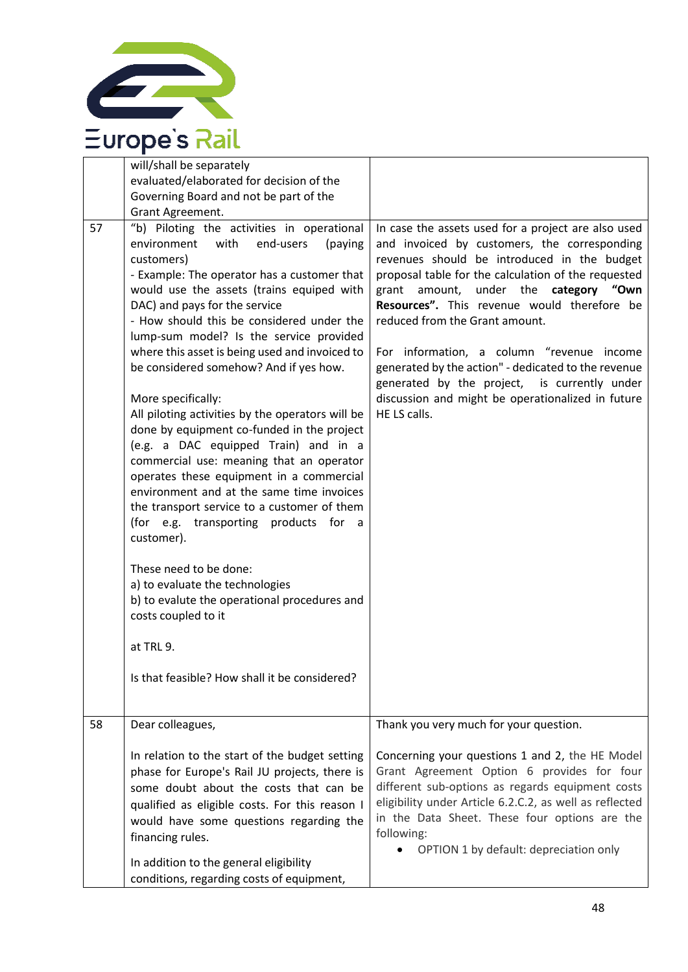

| 57 | will/shall be separately<br>evaluated/elaborated for decision of the<br>Governing Board and not be part of the<br>Grant Agreement.<br>"b) Piloting the activities in operational<br>environment<br>with<br>end-users<br>(paying<br>customers)<br>- Example: The operator has a customer that<br>would use the assets (trains equiped with<br>DAC) and pays for the service<br>- How should this be considered under the<br>lump-sum model? Is the service provided<br>where this asset is being used and invoiced to<br>be considered somehow? And if yes how.<br>More specifically:<br>All piloting activities by the operators will be<br>done by equipment co-funded in the project<br>(e.g. a DAC equipped Train) and in a<br>commercial use: meaning that an operator<br>operates these equipment in a commercial<br>environment and at the same time invoices<br>the transport service to a customer of them<br>(for e.g. transporting products for a<br>customer).<br>These need to be done:<br>a) to evaluate the technologies<br>b) to evalute the operational procedures and<br>costs coupled to it<br>at TRL 9.<br>Is that feasible? How shall it be considered? | In case the assets used for a project are also used<br>and invoiced by customers, the corresponding<br>revenues should be introduced in the budget<br>proposal table for the calculation of the requested<br>grant amount, under the category "Own<br>Resources". This revenue would therefore be<br>reduced from the Grant amount.<br>For information, a column "revenue income<br>generated by the action" - dedicated to the revenue<br>generated by the project, is currently under<br>discussion and might be operationalized in future<br>HE LS calls. |
|----|-----------------------------------------------------------------------------------------------------------------------------------------------------------------------------------------------------------------------------------------------------------------------------------------------------------------------------------------------------------------------------------------------------------------------------------------------------------------------------------------------------------------------------------------------------------------------------------------------------------------------------------------------------------------------------------------------------------------------------------------------------------------------------------------------------------------------------------------------------------------------------------------------------------------------------------------------------------------------------------------------------------------------------------------------------------------------------------------------------------------------------------------------------------------------------|--------------------------------------------------------------------------------------------------------------------------------------------------------------------------------------------------------------------------------------------------------------------------------------------------------------------------------------------------------------------------------------------------------------------------------------------------------------------------------------------------------------------------------------------------------------|
|    |                                                                                                                                                                                                                                                                                                                                                                                                                                                                                                                                                                                                                                                                                                                                                                                                                                                                                                                                                                                                                                                                                                                                                                             |                                                                                                                                                                                                                                                                                                                                                                                                                                                                                                                                                              |
| 58 | Dear colleagues,                                                                                                                                                                                                                                                                                                                                                                                                                                                                                                                                                                                                                                                                                                                                                                                                                                                                                                                                                                                                                                                                                                                                                            | Thank you very much for your question.                                                                                                                                                                                                                                                                                                                                                                                                                                                                                                                       |
|    | In relation to the start of the budget setting<br>phase for Europe's Rail JU projects, there is<br>some doubt about the costs that can be<br>qualified as eligible costs. For this reason I<br>would have some questions regarding the<br>financing rules.                                                                                                                                                                                                                                                                                                                                                                                                                                                                                                                                                                                                                                                                                                                                                                                                                                                                                                                  | Concerning your questions 1 and 2, the HE Model<br>Grant Agreement Option 6 provides for four<br>different sub-options as regards equipment costs<br>eligibility under Article 6.2.C.2, as well as reflected<br>in the Data Sheet. These four options are the<br>following:<br>OPTION 1 by default: depreciation only                                                                                                                                                                                                                                        |
|    | In addition to the general eligibility<br>conditions, regarding costs of equipment,                                                                                                                                                                                                                                                                                                                                                                                                                                                                                                                                                                                                                                                                                                                                                                                                                                                                                                                                                                                                                                                                                         |                                                                                                                                                                                                                                                                                                                                                                                                                                                                                                                                                              |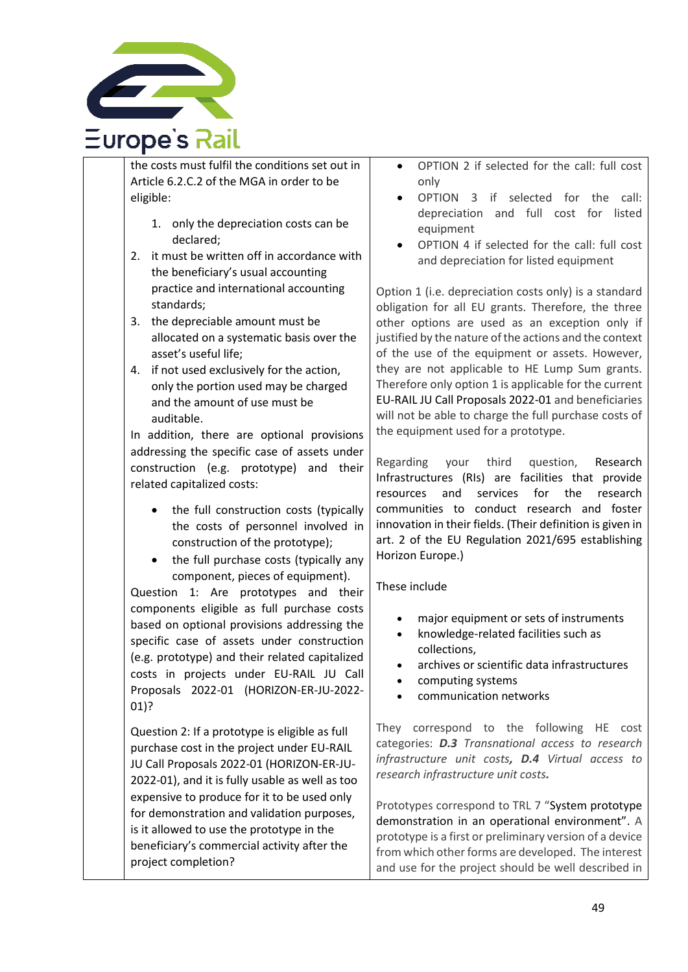

the costs must fulfil the conditions set out in Article 6.2.C.2 of the MGA in order to be eligible:

- 1. only the depreciation costs can be declared;
- 2. it must be written off in accordance with the beneficiary's usual accounting practice and international accounting standards;
- 3. the depreciable amount must be allocated on a systematic basis over the asset's useful life;
- 4. if not used exclusively for the action, only the portion used may be charged and the amount of use must be auditable.

In addition, there are optional provisions addressing the specific case of assets under construction (e.g. prototype) and their related capitalized costs:

- the full construction costs (typically the costs of personnel involved in construction of the prototype);
- the full purchase costs (typically any component, pieces of equipment).

Question 1: Are prototypes and their components eligible as full purchase costs based on optional provisions addressing the specific case of assets under construction (e.g. prototype) and their related capitalized costs in projects under EU-RAIL JU Call Proposals 2022-01 (HORIZON-ER-JU-2022- 01)?

Question 2: If a prototype is eligible as full purchase cost in the project under EU-RAIL JU Call Proposals 2022-01 (HORIZON-ER-JU-2022-01), and it is fully usable as well as too expensive to produce for it to be used only for demonstration and validation purposes, is it allowed to use the prototype in the beneficiary's commercial activity after the project completion?

- OPTION 2 if selected for the call: full cost only
- OPTION 3 if selected for the call: depreciation and full cost for listed equipment
- OPTION 4 if selected for the call: full cost and depreciation for listed equipment

Option 1 (i.e. depreciation costs only) is a standard obligation for all EU grants. Therefore, the three other options are used as an exception only if justified by the nature of the actions and the context of the use of the equipment or assets. However, they are not applicable to HE Lump Sum grants. Therefore only option 1 is applicable for the current EU-RAIL JU Call Proposals 2022-01 and beneficiaries will not be able to charge the full purchase costs of the equipment used for a prototype.

Regarding your third question, Research Infrastructures (RIs) are facilities that provide resources and services for the research communities to conduct research and foster innovation in their fields. (Their definition is given in art. 2 of the EU Regulation 2021/695 establishing Horizon Europe.)

### These include

- major equipment or sets of instruments
- knowledge-related facilities such as collections,
- archives or scientific data infrastructures
- computing systems
- communication networks

They correspond to the following HE cost categories: *D.3 Transnational access to research infrastructure unit costs, D.4 Virtual access to research infrastructure unit costs.*

Prototypes correspond to TRL 7 "System prototype demonstration in an operational environment". A prototype is a first or preliminary version of a device from which other forms are developed. The interest and use for the project should be well described in